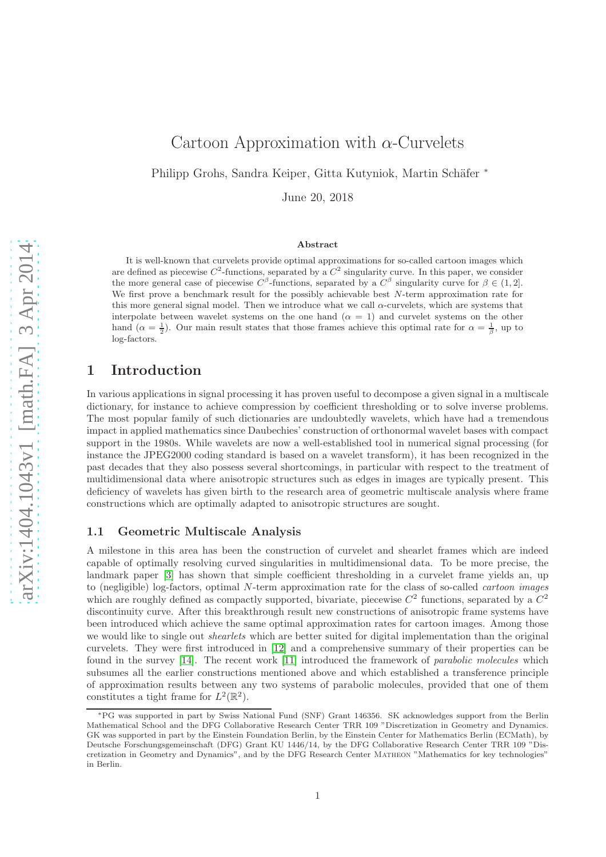# Cartoon Approximation with  $\alpha$ -Curvelets

Philipp Grohs, Sandra Keiper, Gitta Kutyniok, Martin Schäfer <sup>∗</sup>

June 20, 2018

#### Abstract

It is well-known that curvelets provide optimal approximations for so-called cartoon images which are defined as piecewise  $C^2$ -functions, separated by a  $C^2$  singularity curve. In this paper, we consider the more general case of piecewise  $C^{\beta}$ -functions, separated by a  $C^{\beta}$  singularity curve for  $\beta \in (1,2]$ . We first prove a benchmark result for the possibly achievable best N-term approximation rate for this more general signal model. Then we introduce what we call  $\alpha$ -curvelets, which are systems that interpolate between wavelet systems on the one hand  $(\alpha = 1)$  and curvelet systems on the other hand  $(\alpha = \frac{1}{2})$ . Our main result states that those frames achieve this optimal rate for  $\alpha = \frac{1}{\beta}$  $\frac{1}{\beta}$ , up to log-factors.

# 1 Introduction

In various applications in signal processing it has proven useful to decompose a given signal in a multiscale dictionary, for instance to achieve compression by coefficient thresholding or to solve inverse problems. The most popular family of such dictionaries are undoubtedly wavelets, which have had a tremendous impact in applied mathematics since Daubechies' construction of orthonormal wavelet bases with compact support in the 1980s. While wavelets are now a well-established tool in numerical signal processing (for instance the JPEG2000 coding standard is based on a wavelet transform), it has been recognized in the past decades that they also possess several shortcomings, in particular with respect to the treatment of multidimensional data where anisotropic structures such as edges in images are typically present. This deficiency of wavelets has given birth to the research area of geometric multiscale analysis where frame constructions which are optimally adapted to anisotropic structures are sought.

## 1.1 Geometric Multiscale Analysis

A milestone in this area has been the construction of curvelet and shearlet frames which are indeed capable of optimally resolving curved singularities in multidimensional data. To be more precise, the landmark paper [\[3\]](#page-31-0) has shown that simple coefficient thresholding in a curvelet frame yields an, up to (negligible) log-factors, optimal N-term approximation rate for the class of so-called cartoon images which are roughly defined as compactly supported, bivariate, piecewise  $C^2$  functions, separated by a  $C^2$ discontinuity curve. After this breakthrough result new constructions of anisotropic frame systems have been introduced which achieve the same optimal approximation rates for cartoon images. Among those we would like to single out *shearlets* which are better suited for digital implementation than the original curvelets. They were first introduced in [\[12\]](#page-32-0) and a comprehensive summary of their properties can be found in the survey [\[14\]](#page-32-1). The recent work [\[11\]](#page-32-2) introduced the framework of *parabolic molecules* which subsumes all the earlier constructions mentioned above and which established a transference principle of approximation results between any two systems of parabolic molecules, provided that one of them constitutes a tight frame for  $L^2(\mathbb{R}^2)$ .

<sup>∗</sup>PG was supported in part by Swiss National Fund (SNF) Grant 146356. SK acknowledges support from the Berlin Mathematical School and the DFG Collaborative Research Center TRR 109 "Discretization in Geometry and Dynamics. GK was supported in part by the Einstein Foundation Berlin, by the Einstein Center for Mathematics Berlin (ECMath), by Deutsche Forschungsgemeinschaft (DFG) Grant KU 1446/14, by the DFG Collaborative Research Center TRR 109 "Discretization in Geometry and Dynamics", and by the DFG Research Center Matheon "Mathematics for key technologies" in Berlin.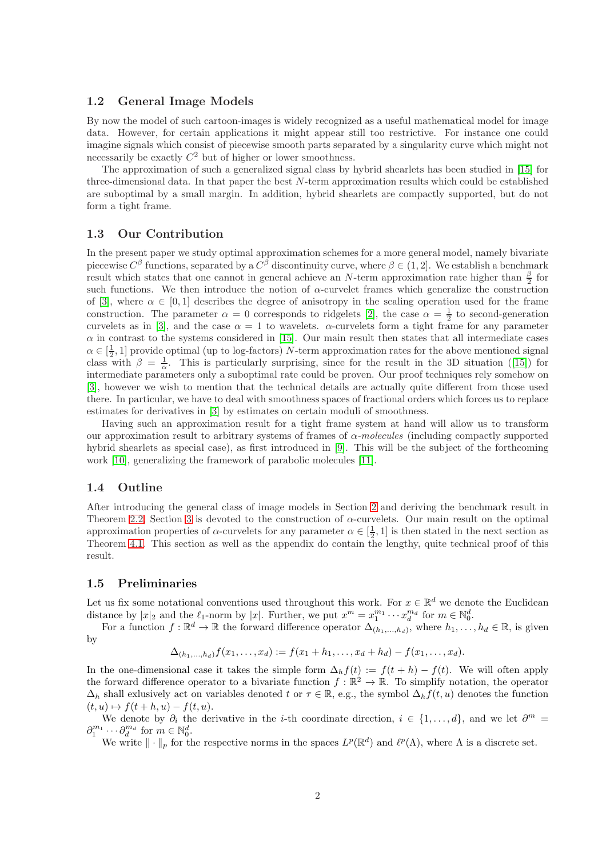## 1.2 General Image Models

By now the model of such cartoon-images is widely recognized as a useful mathematical model for image data. However, for certain applications it might appear still too restrictive. For instance one could imagine signals which consist of piecewise smooth parts separated by a singularity curve which might not necessarily be exactly  $C^2$  but of higher or lower smoothness.

The approximation of such a generalized signal class by hybrid shearlets has been studied in [\[15\]](#page-32-3) for three-dimensional data. In that paper the best  $N$ -term approximation results which could be established are suboptimal by a small margin. In addition, hybrid shearlets are compactly supported, but do not form a tight frame.

## 1.3 Our Contribution

In the present paper we study optimal approximation schemes for a more general model, namely bivariate piecewise  $C^{\beta}$  functions, separated by a  $C^{\beta}$  discontinuity curve, where  $\beta \in (1, 2]$ . We establish a benchmark result which states that one cannot in general achieve an N-term approximation rate higher than  $\frac{\beta}{2}$  for such functions. We then introduce the notion of  $\alpha$ -curvelet frames which generalize the construction of [\[3\]](#page-31-0), where  $\alpha \in [0,1]$  describes the degree of anisotropy in the scaling operation used for the frame construction. The parameter  $\alpha = 0$  corresponds to ridgelets [\[2\]](#page-31-1), the case  $\alpha = \frac{1}{2}$  to second-generation curvelets as in [\[3\]](#page-31-0), and the case  $\alpha = 1$  to wavelets.  $\alpha$ -curvelets form a tight frame for any parameter  $\alpha$  in contrast to the systems considered in [\[15\]](#page-32-3). Our main result then states that all intermediate cases  $\alpha \in [\frac{1}{2}, 1]$  provide optimal (up to log-factors) N-term approximation rates for the above mentioned signal class with  $\beta = \frac{1}{\alpha}$ . This is particularly surprising, since for the result in the 3D situation ([\[15\]](#page-32-3)) for intermediate parameters only a suboptimal rate could be proven. Our proof techniques rely somehow on [\[3\]](#page-31-0), however we wish to mention that the technical details are actually quite different from those used there. In particular, we have to deal with smoothness spaces of fractional orders which forces us to replace estimates for derivatives in [\[3\]](#page-31-0) by estimates on certain moduli of smoothness.

Having such an approximation result for a tight frame system at hand will allow us to transform our approximation result to arbitrary systems of frames of  $\alpha$ -molecules (including compactly supported hybrid shearlets as special case), as first introduced in [\[9\]](#page-32-4). This will be the subject of the forthcoming work [\[10\]](#page-32-5), generalizing the framework of parabolic molecules [\[11\]](#page-32-2).

## 1.4 Outline

After introducing the general class of image models in Section [2](#page-2-0) and deriving the benchmark result in Theorem [2.2,](#page-3-0) Section [3](#page-7-0) is devoted to the construction of  $\alpha$ -curvelets. Our main result on the optimal approximation properties of  $\alpha$ -curvelets for any parameter  $\alpha \in [\frac{1}{2}, 1]$  is then stated in the next section as Theorem [4.1.](#page-10-0) This section as well as the appendix do contain the lengthy, quite technical proof of this result.

## 1.5 Preliminaries

Let us fix some notational conventions used throughout this work. For  $x \in \mathbb{R}^d$  we denote the Euclidean distance by  $|x|_2$  and the  $\ell_1$ -norm by  $|x|$ . Further, we put  $x^m = x_1^{m_1} \cdots x_d^{m_d}$  for  $m \in \mathbb{N}_0^d$ .

For a function  $f: \mathbb{R}^d \to \mathbb{R}$  the forward difference operator  $\Delta_{(h_1,...,h_d)}$ , where  $h_1,...,h_d \in \mathbb{R}$ , is given by

$$
\Delta_{(h_1,\ldots,h_d)} f(x_1,\ldots,x_d) := f(x_1+h_1,\ldots,x_d+h_d) - f(x_1,\ldots,x_d).
$$

In the one-dimensional case it takes the simple form  $\Delta_h f(t) := f(t+h) - f(t)$ . We will often apply the forward difference operator to a bivariate function  $f : \mathbb{R}^2 \to \mathbb{R}$ . To simplify notation, the operator  $\Delta_h$  shall exlusively act on variables denoted t or  $\tau \in \mathbb{R}$ , e.g., the symbol  $\Delta_h f(t, u)$  denotes the function  $(t, u) \mapsto f(t + h, u) - f(t, u).$ 

We denote by  $\partial_i$  the derivative in the *i*-th coordinate direction,  $i \in \{1, ..., d\}$ , and we let  $\partial^m =$  $\partial_1^{m_1} \cdots \partial_d^{m_d}$  for  $m \in \mathbb{N}_0^d$ .

We write  $\|\cdot\|_p$  for the respective norms in the spaces  $L^p(\mathbb{R}^d)$  and  $\ell^p(\Lambda)$ , where  $\Lambda$  is a discrete set.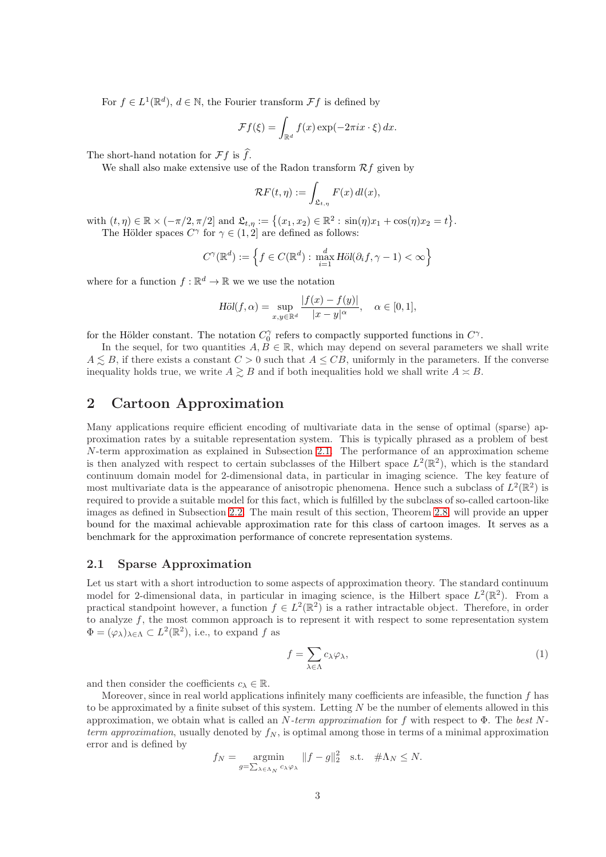For  $f \in L^1(\mathbb{R}^d)$ ,  $d \in \mathbb{N}$ , the Fourier transform  $\mathcal{F}f$  is defined by

$$
\mathcal{F}f(\xi) = \int_{\mathbb{R}^d} f(x) \exp(-2\pi ix \cdot \xi) dx.
$$

The short-hand notation for  $\mathcal{F}f$  is  $\widehat{f}$ .

We shall also make extensive use of the Radon transform  $\mathcal{R}f$  given by

$$
\mathcal{R}F(t,\eta) := \int_{\mathfrak{L}_{t,\eta}} F(x) \, dl(x),
$$

with  $(t, \eta) \in \mathbb{R} \times (-\pi/2, \pi/2]$  and  $\mathfrak{L}_{t, \eta} := \{(x_1, x_2) \in \mathbb{R}^2 : \sin(\eta)x_1 + \cos(\eta)x_2 = t\}.$ The Hölder spaces  $C^{\gamma}$  for  $\gamma \in (1,2]$  are defined as follows:

$$
C^{\gamma}(\mathbb{R}^d) := \left\{ f \in C(\mathbb{R}^d) : \max_{i=1}^d \text{H\"ol}(\partial_i f, \gamma - 1) < \infty \right\}
$$

where for a function  $f : \mathbb{R}^d \to \mathbb{R}$  we we use the notation

$$
H\ddot{o}l(f,\alpha) = \sup_{x,y \in \mathbb{R}^d} \frac{|f(x) - f(y)|}{|x - y|^{\alpha}}, \quad \alpha \in [0,1],
$$

for the Hölder constant. The notation  $C_0^{\gamma}$  refers to compactly supported functions in  $C^{\gamma}$ .

In the sequel, for two quantities  $A, B \in \mathbb{R}$ , which may depend on several parameters we shall write  $A \leq B$ , if there exists a constant  $C > 0$  such that  $A \leq CB$ , uniformly in the parameters. If the converse inequality holds true, we write  $A \geq B$  and if both inequalities hold we shall write  $A \approx B$ .

## <span id="page-2-0"></span>2 Cartoon Approximation

Many applications require efficient encoding of multivariate data in the sense of optimal (sparse) approximation rates by a suitable representation system. This is typically phrased as a problem of best N-term approximation as explained in Subsection [2.1.](#page-2-1) The performance of an approximation scheme is then analyzed with respect to certain subclasses of the Hilbert space  $L^2(\mathbb{R}^2)$ , which is the standard continuum domain model for 2-dimensional data, in particular in imaging science. The key feature of most multivariate data is the appearance of anisotropic phenomena. Hence such a subclass of  $L^2(\mathbb{R}^2)$  is required to provide a suitable model for this fact, which is fulfilled by the subclass of so-called cartoon-like images as defined in Subsection [2.2.](#page-5-0) The main result of this section, Theorem [2.8,](#page-7-1) will provide an upper bound for the maximal achievable approximation rate for this class of cartoon images. It serves as a benchmark for the approximation performance of concrete representation systems.

## <span id="page-2-1"></span>2.1 Sparse Approximation

Let us start with a short introduction to some aspects of approximation theory. The standard continuum model for 2-dimensional data, in particular in imaging science, is the Hilbert space  $L^2(\mathbb{R}^2)$ . From a practical standpoint however, a function  $f \in L^2(\mathbb{R}^2)$  is a rather intractable object. Therefore, in order to analyze  $f$ , the most common approach is to represent it with respect to some representation system  $\Phi = (\varphi_\lambda)_{\lambda \in \Lambda} \subset L^2(\mathbb{R}^2)$ , i.e., to expand f as

<span id="page-2-2"></span>
$$
f = \sum_{\lambda \in \Lambda} c_{\lambda} \varphi_{\lambda},\tag{1}
$$

and then consider the coefficients  $c_{\lambda} \in \mathbb{R}$ .

Moreover, since in real world applications infinitely many coefficients are infeasible, the function  $f$  has to be approximated by a finite subset of this system. Letting  $N$  be the number of elements allowed in this approximation, we obtain what is called an N-term approximation for f with respect to  $\Phi$ . The best Nterm approximation, usually denoted by  $f_N$ , is optimal among those in terms of a minimal approximation error and is defined by

$$
f_N = \operatorname*{argmin}_{g = \sum_{\lambda \in \Lambda_N} c_{\lambda} \varphi_{\lambda}} \|f - g\|_2^2 \quad \text{s.t.} \quad \#\Lambda_N \le N.
$$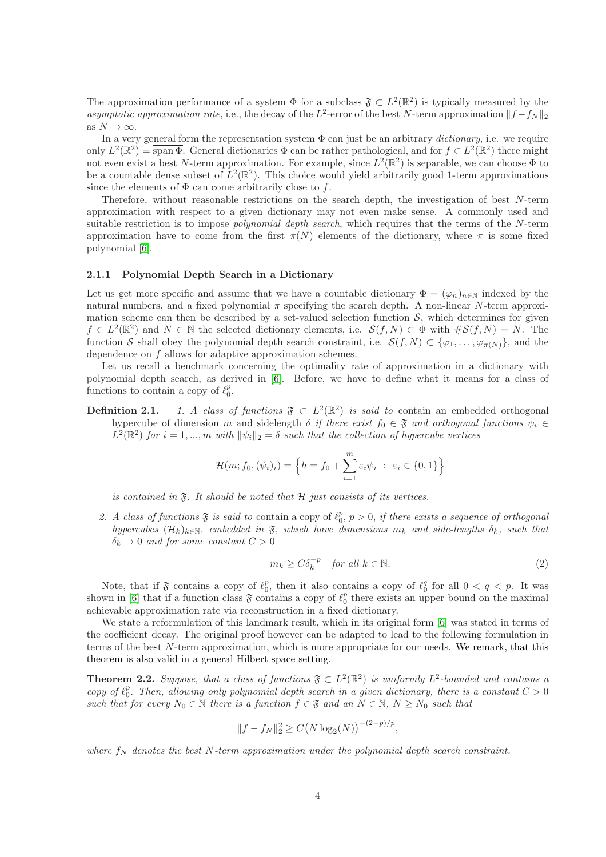The approximation performance of a system  $\Phi$  for a subclass  $\mathfrak{F} \subset L^2(\mathbb{R}^2)$  is typically measured by the asymptotic approximation rate, i.e., the decay of the L<sup>2</sup>-error of the best N-term approximation  $||f - f_N||_2$ as  $N \to \infty$ .

In a very general form the representation system  $\Phi$  can just be an arbitrary *dictionary*, i.e. we require only  $L^2(\mathbb{R}^2) = \overline{\text{span}\,\Phi}$ . General dictionaries  $\Phi$  can be rather pathological, and for  $f \in L^2(\mathbb{R}^2)$  there might not even exist a best N-term approximation. For example, since  $L^2(\mathbb{R}^2)$  is separable, we can choose  $\Phi$  to be a countable dense subset of  $L^2(\mathbb{R}^2)$ . This choice would yield arbitrarily good 1-term approximations since the elements of  $\Phi$  can come arbitrarily close to f.

Therefore, without reasonable restrictions on the search depth, the investigation of best N-term approximation with respect to a given dictionary may not even make sense. A commonly used and suitable restriction is to impose *polynomial depth search*, which requires that the terms of the N-term approximation have to come from the first  $\pi(N)$  elements of the dictionary, where  $\pi$  is some fixed polynomial [\[6\]](#page-31-2).

## 2.1.1 Polynomial Depth Search in a Dictionary

Let us get more specific and assume that we have a countable dictionary  $\Phi = (\varphi_n)_{n \in \mathbb{N}}$  indexed by the natural numbers, and a fixed polynomial  $\pi$  specifying the search depth. A non-linear N-term approximation scheme can then be described by a set-valued selection function  $S$ , which determines for given  $f \in L^2(\mathbb{R}^2)$  and  $N \in \mathbb{N}$  the selected dictionary elements, i.e.  $\mathcal{S}(f, N) \subset \Phi$  with  $\#\mathcal{S}(f, N) = N$ . The function S shall obey the polynomial depth search constraint, i.e.  $S(f, N) \subset \{\varphi_1, \ldots, \varphi_{\pi(N)}\}\$ , and the dependence on f allows for adaptive approximation schemes.

Let us recall a benchmark concerning the optimality rate of approximation in a dictionary with polynomial depth search, as derived in [\[6\]](#page-31-2). Before, we have to define what it means for a class of functions to contain a copy of  $\ell_0^p$ .

**Definition 2.1.** 1. A class of functions  $\mathfrak{F} \subset L^2(\mathbb{R}^2)$  is said to contain an embedded orthogonal hypercube of dimension m and sidelength  $\delta$  if there exist  $f_0 \in \mathfrak{F}$  and orthogonal functions  $\psi_i \in$  $L^2(\mathbb{R}^2)$  for  $i = 1, ..., m$  with  $\|\psi_i\|_2 = \delta$  such that the collection of hypercube vertices

$$
\mathcal{H}(m; f_0, (\psi_i)_i) = \left\{ h = f_0 + \sum_{i=1}^m \varepsilon_i \psi_i \ : \ \varepsilon_i \in \{0, 1\} \right\}
$$

is contained in  $\mathfrak{F}$ . It should be noted that  $\mathcal H$  just consists of its vertices.

2. A class of functions  $\mathfrak F$  is said to contain a copy of  $\ell_0^p$ ,  $p > 0$ , if there exists a sequence of orthogonal hypercubes  $(\mathcal{H}_k)_{k\in\mathbb{N}}$ , embedded in  $\mathfrak{F}$ , which have dimensions  $m_k$  and side-lengths  $\delta_k$ , such that  $\delta_k \to 0$  and for some constant  $C > 0$ 

<span id="page-3-1"></span>
$$
m_k \ge C \delta_k^{-p} \quad \text{for all } k \in \mathbb{N}.
$$

Note, that if  $\mathfrak F$  contains a copy of  $\ell_0^p$ , then it also contains a copy of  $\ell_0^q$  for all  $0 < q < p$ . It was shown in [\[6\]](#page-31-2) that if a function class  $\mathfrak F$  contains a copy of  $\ell_0^p$  there exists an upper bound on the maximal achievable approximation rate via reconstruction in a fixed dictionary.

We state a reformulation of this landmark result, which in its original form [\[6\]](#page-31-2) was stated in terms of the coefficient decay. The original proof however can be adapted to lead to the following formulation in terms of the best N-term approximation, which is more appropriate for our needs. We remark, that this theorem is also valid in a general Hilbert space setting.

<span id="page-3-0"></span>**Theorem 2.2.** Suppose, that a class of functions  $\mathfrak{F} \subset L^2(\mathbb{R}^2)$  is uniformly  $L^2$ -bounded and contains a copy of  $\ell_0^p$ . Then, allowing only polynomial depth search in a given dictionary, there is a constant  $C > 0$ such that for every  $N_0 \in \mathbb{N}$  there is a function  $f \in \mathfrak{F}$  and an  $N \in \mathbb{N}$ ,  $N \ge N_0$  such that

$$
||f - f_N||_2^2 \ge C\big(N\log_2(N)\big)^{-(2-p)/p},
$$

where  $f_N$  denotes the best N-term approximation under the polynomial depth search constraint.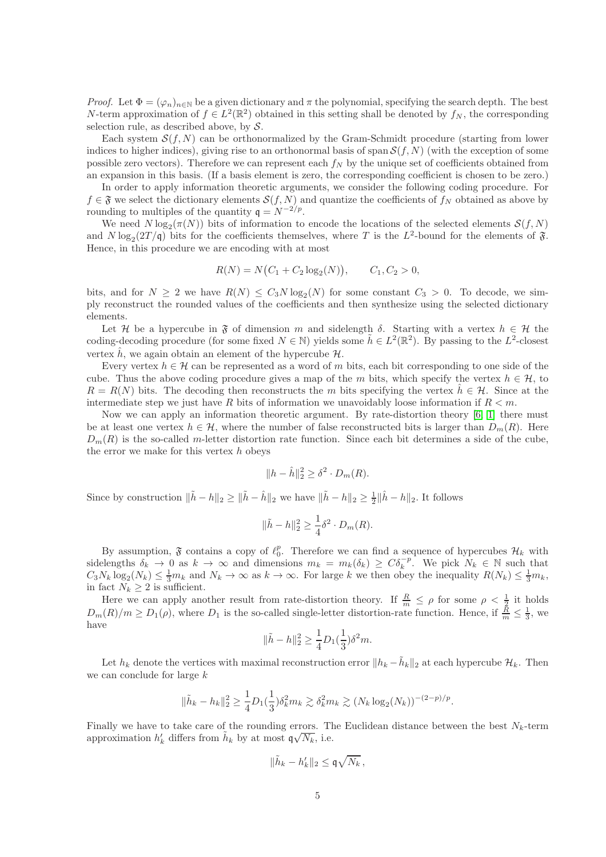*Proof.* Let  $\Phi = (\varphi_n)_{n \in \mathbb{N}}$  be a given dictionary and  $\pi$  the polynomial, specifying the search depth. The best N-term approximation of  $f \in L^2(\mathbb{R}^2)$  obtained in this setting shall be denoted by  $f_N$ , the corresponding selection rule, as described above, by  $S$ .

Each system  $\mathcal{S}(f, N)$  can be orthonormalized by the Gram-Schmidt procedure (starting from lower indices to higher indices), giving rise to an orthonormal basis of span  $S(f, N)$  (with the exception of some possible zero vectors). Therefore we can represent each  $f_N$  by the unique set of coefficients obtained from an expansion in this basis. (If a basis element is zero, the corresponding coefficient is chosen to be zero.)

In order to apply information theoretic arguments, we consider the following coding procedure. For  $f \in \mathfrak{F}$  we select the dictionary elements  $\mathcal{S}(f, N)$  and quantize the coefficients of  $f_N$  obtained as above by rounding to multiples of the quantity  $q = N^{-2/p}$ .

We need  $N \log_2(\pi(N))$  bits of information to encode the locations of the selected elements  $\mathcal{S}(f, N)$ and  $N \log_2(2T/\mathfrak{q})$  bits for the coefficients themselves, where T is the  $L^2$ -bound for the elements of  $\mathfrak{F}$ . Hence, in this procedure we are encoding with at most

$$
R(N) = N(C_1 + C_2 \log_2(N)), \qquad C_1, C_2 > 0,
$$

bits, and for  $N \geq 2$  we have  $R(N) \leq C_3 N \log_2(N)$  for some constant  $C_3 > 0$ . To decode, we simply reconstruct the rounded values of the coefficients and then synthesize using the selected dictionary elements.

Let H be a hypercube in  $\mathfrak F$  of dimension m and sidelength  $\delta$ . Starting with a vertex  $h \in \mathcal H$  the coding-decoding procedure (for some fixed  $N \in \mathbb{N}$ ) yields some  $\tilde{h} \in L^2(\mathbb{R}^2)$ . By passing to the  $L^2$ -closest vertex  $\hat{h}$ , we again obtain an element of the hypercube H.

Every vertex  $h \in \mathcal{H}$  can be represented as a word of m bits, each bit corresponding to one side of the cube. Thus the above coding procedure gives a map of the m bits, which specify the vertex  $h \in \mathcal{H}$ , to  $R = R(N)$  bits. The decoding then reconstructs the m bits specifying the vertex  $h \in \mathcal{H}$ . Since at the intermediate step we just have R bits of information we unavoidably loose information if  $R < m$ .

Now we can apply an information theoretic argument. By rate-distortion theory [\[6,](#page-31-2) [1\]](#page-31-3) there must be at least one vertex  $h \in \mathcal{H}$ , where the number of false reconstructed bits is larger than  $D_m(R)$ . Here  $D_m(R)$  is the so-called m-letter distortion rate function. Since each bit determines a side of the cube, the error we make for this vertex  $h$  obeys

$$
||h - \hat{h}||_2^2 \ge \delta^2 \cdot D_m(R).
$$

Since by construction  $\|\tilde{h} - h\|_2 \ge \|\tilde{h} - \hat{h}\|_2$  we have  $\|\tilde{h} - h\|_2 \ge \frac{1}{2}\|\hat{h} - h\|_2$ . It follows

$$
\|\tilde{h} - h\|_2^2 \ge \frac{1}{4}\delta^2 \cdot D_m(R).
$$

By assumption,  $\mathfrak F$  contains a copy of  $\ell_0^p$ . Therefore we can find a sequence of hypercubes  $\mathcal H_k$  with sidelengths  $\delta_k \to 0$  as  $k \to \infty$  and dimensions  $m_k = m_k(\delta_k) \geq C \delta_k^{-p}$ . We pick  $N_k \in \mathbb{N}$  such that  $C_3N_k \log_2(N_k) \leq \frac{1}{3}m_k$  and  $N_k \to \infty$  as  $k \to \infty$ . For large k we then obey the inequality  $R(N_k) \leq \frac{1}{3}m_k$ , in fact  $N_k \geq 2$  is sufficient.

Here we can apply another result from rate-distortion theory. If  $\frac{R}{m} \leq \rho$  for some  $\rho < \frac{1}{2}$  it holds  $D_m(R)/m \geq D_1(\rho)$ , where  $D_1$  is the so-called single-letter distortion-rate function. Hence, if  $\frac{R}{m} \leq \frac{1}{3}$ , we have

$$
\|\tilde{h} - h\|_2^2 \ge \frac{1}{4}D_1(\frac{1}{3})\delta^2 m.
$$

Let  $h_k$  denote the vertices with maximal reconstruction error  $||h_k - \tilde{h}_k||_2$  at each hypercube  $\mathcal{H}_k$ . Then we can conclude for large  $k$ 

$$
\|\tilde{h}_k - h_k\|_2^2 \ge \frac{1}{4} D_1(\frac{1}{3}) \delta_k^2 m_k \gtrsim \delta_k^2 m_k \gtrsim (N_k \log_2(N_k))^{-(2-p)/p}.
$$

Finally we have to take care of the rounding errors. The Euclidean distance between the best  $N_k$ -term approximation  $h'_k$  differs from  $\tilde{h}_k$  by at most  $\mathfrak{q}\sqrt{N_k}$ , i.e.

$$
\|\tilde h_k-h_k'\|_2\leq {\mathfrak{q}}\sqrt{N_k}\,,
$$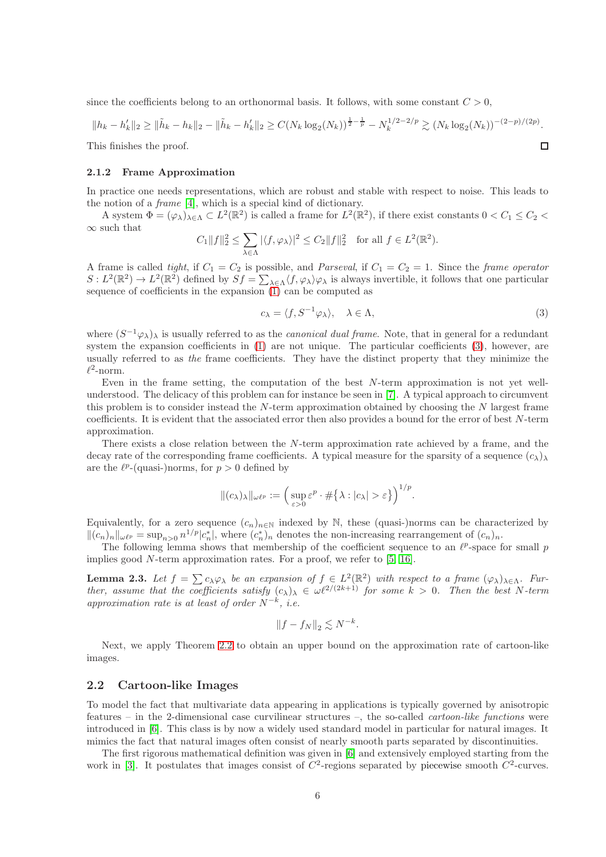since the coefficients belong to an orthonormal basis. It follows, with some constant  $C > 0$ ,

$$
||h_k - h'_k||_2 \ge ||\tilde{h}_k - h_k||_2 - ||\tilde{h}_k - h'_k||_2 \ge C(N_k \log_2(N_k))^\frac{1}{2} - \frac{1}{p} - N_k^{1/2 - 2/p} \gtrsim (N_k \log_2(N_k))^{-(2-p)/(2p)}.
$$
  
This finishes the proof.

This finishes the proof.

#### 2.1.2 Frame Approximation

In practice one needs representations, which are robust and stable with respect to noise. This leads to the notion of a frame [\[4\]](#page-31-4), which is a special kind of dictionary.

A system  $\Phi = (\varphi_\lambda)_{\lambda \in \Lambda} \subset L^2(\mathbb{R}^2)$  is called a frame for  $L^2(\mathbb{R}^2)$ , if there exist constants  $0 < C_1 \le C_2 <$  $\infty$  such that

$$
C_1||f||_2^2 \le \sum_{\lambda \in \Lambda} |\langle f, \varphi_\lambda \rangle|^2 \le C_2||f||_2^2 \quad \text{for all } f \in L^2(\mathbb{R}^2).
$$

A frame is called tight, if  $C_1 = C_2$  is possible, and *Parseval*, if  $C_1 = C_2 = 1$ . Since the *frame operator*  $S: L^2(\mathbb{R}^2) \to L^2(\mathbb{R}^2)$  defined by  $Sf = \sum_{\lambda \in \Lambda} \langle f, \varphi_\lambda \rangle \varphi_\lambda$  is always invertible, it follows that one particular sequence of coefficients in the expansion  $(1)$  can be computed as

<span id="page-5-1"></span>
$$
c_{\lambda} = \langle f, S^{-1} \varphi_{\lambda} \rangle, \quad \lambda \in \Lambda,
$$
\n(3)

where  $(S^{-1}\varphi_{\lambda})_{\lambda}$  is usually referred to as the *canonical dual frame*. Note, that in general for a redundant system the expansion coefficients in  $(1)$  are not unique. The particular coefficients  $(3)$ , however, are usually referred to as the frame coefficients. They have the distinct property that they minimize the  $\ell^2$ -norm.

Even in the frame setting, the computation of the best N-term approximation is not yet wellunderstood. The delicacy of this problem can for instance be seen in [\[7\]](#page-32-6). A typical approach to circumvent this problem is to consider instead the  $N$ -term approximation obtained by choosing the  $N$  largest frame coefficients. It is evident that the associated error then also provides a bound for the error of best N-term approximation.

There exists a close relation between the N-term approximation rate achieved by a frame, and the decay rate of the corresponding frame coefficients. A typical measure for the sparsity of a sequence  $(c_{\lambda})_{\lambda}$ are the  $\ell^{p}$ -(quasi-)norms, for  $p > 0$  defined by

$$
\|(c_{\lambda})_{\lambda}\|_{\omega\ell^{p}} := \left(\sup_{\varepsilon>0} \varepsilon^{p} \cdot \#\{\lambda : |c_{\lambda}| > \varepsilon\}\right)^{1/p}.
$$

Equivalently, for a zero sequence  $(c_n)_{n\in\mathbb{N}}$  indexed by N, these (quasi-)norms can be characterized by  $||(c_n)_n||_{\omega\ell^p} = \sup_{n>0} n^{1/p} |c_n^*|$ , where  $(c_n^*)_n$  denotes the non-increasing rearrangement of  $(c_n)_n$ .

The following lemma shows that membership of the coefficient sequence to an  $\ell^p$ -space for small p implies good  $N$ -term approximation rates. For a proof, we refer to [\[5,](#page-31-5) [16\]](#page-32-7).

<span id="page-5-2"></span>**Lemma 2.3.** Let  $f = \sum c_{\lambda} \varphi_{\lambda}$  be an expansion of  $f \in L^2(\mathbb{R}^2)$  with respect to a frame  $(\varphi_{\lambda})_{\lambda \in \Lambda}$ . Further, assume that the coefficients satisfy  $(c_{\lambda})_{\lambda} \in \omega \ell^{2/(2k+1)}$  for some  $k > 0$ . Then the best N-term approximation rate is at least of order  $N^{-k}$ , i.e.

$$
||f - f_N||_2 \lesssim N^{-k}.
$$

Next, we apply Theorem [2.2](#page-3-0) to obtain an upper bound on the approximation rate of cartoon-like images.

## <span id="page-5-0"></span>2.2 Cartoon-like Images

To model the fact that multivariate data appearing in applications is typically governed by anisotropic features – in the 2-dimensional case curvilinear structures –, the so-called cartoon-like functions were introduced in [\[6\]](#page-31-2). This class is by now a widely used standard model in particular for natural images. It mimics the fact that natural images often consist of nearly smooth parts separated by discontinuities.

The first rigorous mathematical definition was given in [\[6\]](#page-31-2) and extensively employed starting from the work in [\[3\]](#page-31-0). It postulates that images consist of  $C^2$ -regions separated by piecewise smooth  $C^2$ -curves.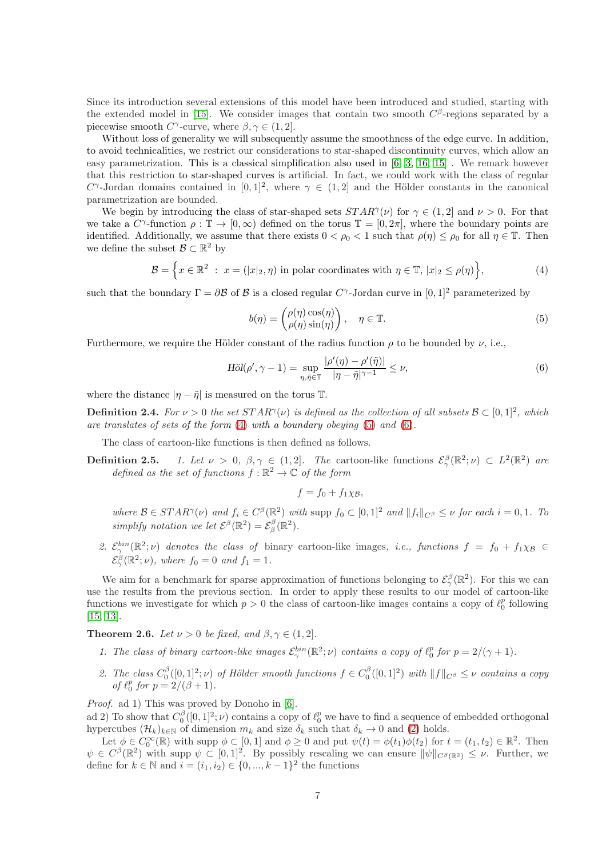Since its introduction several extensions of this model have been introduced and studied, starting with the extended model in [\[15\]](#page-32-3). We consider images that contain two smooth  $C^{\beta}$ -regions separated by a piecewise smooth  $C^{\gamma}$ -curve, where  $\beta, \gamma \in (1, 2]$ .

Without loss of generality we will subsequently assume the smoothness of the edge curve. In addition, to avoid technicalities, we restrict our considerations to star-shaped discontinuity curves, which allow an easy parametrization. This is a classical simplification also used in [\[6,](#page-31-2) [3,](#page-31-0) [16,](#page-32-7) [15\]](#page-32-3) . We remark however that this restriction to star-shaped curves is artificial. In fact, we could work with the class of regular  $C^{\gamma}$ -Jordan domains contained in  $[0,1]^2$ , where  $\gamma \in (1,2]$  and the Hölder constants in the canonical parametrization are bounded.

We begin by introducing the class of star-shaped sets  $STAR^{\gamma}(\nu)$  for  $\gamma \in (1,2]$  and  $\nu > 0$ . For that we take a  $C^{\gamma}$ -function  $\rho : \mathbb{T} \to [0, \infty)$  defined on the torus  $\mathbb{T} = [0, 2\pi]$ , where the boundary points are identified. Additionally, we assume that there exists  $0 < \rho_0 < 1$  such that  $\rho(\eta) \leq \rho_0$  for all  $\eta \in \mathbb{T}$ . Then we define the subset  $\mathcal{B} \subset \mathbb{R}^2$  by

$$
\mathcal{B} = \left\{ x \in \mathbb{R}^2 : x = (|x|_2, \eta) \text{ in polar coordinates with } \eta \in \mathbb{T}, |x|_2 \le \rho(\eta) \right\},\tag{4}
$$

such that the boundary  $\Gamma = \partial \mathcal{B}$  of  $\mathcal{B}$  is a closed regular  $C^{\gamma}$ -Jordan curve in  $[0, 1]^2$  parameterized by

<span id="page-6-1"></span><span id="page-6-0"></span>
$$
b(\eta) = \begin{pmatrix} \rho(\eta)\cos(\eta) \\ \rho(\eta)\sin(\eta) \end{pmatrix}, \quad \eta \in \mathbb{T}.
$$
 (5)

Furthermore, we require the Hölder constant of the radius function  $\rho$  to be bounded by  $\nu$ , i.e.,

$$
\text{H\"ol}(\rho', \gamma - 1) = \sup_{\eta, \tilde{\eta} \in \mathbb{T}} \frac{|\rho'(\eta) - \rho'(\tilde{\eta})|}{|\eta - \tilde{\eta}|^{\gamma - 1}} \le \nu,
$$
\n
$$
(6)
$$

where the distance  $|\eta - \tilde{\eta}|$  is measured on the torus T.

**Definition 2.4.** For  $\nu > 0$  the set  $STAR^{\gamma}(\nu)$  is defined as the collection of all subsets  $\mathcal{B} \subset [0,1]^2$ , which are translates of sets of the form  $(4)$  with a boundary obeying  $(5)$  and  $(6)$ .

The class of cartoon-like functions is then defined as follows.

**Definition 2.5.** 1. Let  $\nu > 0$ ,  $\beta, \gamma \in (1, 2]$ . The cartoon-like functions  $\mathcal{E}^{\beta}_{\gamma}(\mathbb{R}^2; \nu) \subset L^2(\mathbb{R}^2)$  are defined as the set of functions  $f : \mathbb{R}^2 \to \mathbb{C}$  of the form

<span id="page-6-2"></span>
$$
f=f_0+f_1\chi_{\mathcal{B}},
$$

where  $\mathcal{B} \in STAR^{\gamma}(\nu)$  and  $f_i \in C^{\beta}(\mathbb{R}^2)$  with supp  $f_0 \subset [0,1]^2$  and  $||f_i||_{C^{\beta}} \leq \nu$  for each  $i = 0,1$ . To simplify notation we let  $\mathcal{E}^{\beta}(\mathbb{R}^2) = \mathcal{E}^{\beta}_{\beta}(\mathbb{R}^2)$ .

2.  $\mathcal{E}^{bin}_{\gamma}(\mathbb{R}^2;\nu)$  denotes the class of binary cartoon-like images, i.e., functions  $f = f_0 + f_1\chi_{\beta} \in$  $\mathcal{E}_{\gamma}^{\beta}(\mathbb{R}^2; \nu)$ , where  $f_0 = 0$  and  $f_1 = 1$ .

We aim for a benchmark for sparse approximation of functions belonging to  $\mathcal{E}_{\gamma}^{\beta}(\mathbb{R}^2)$ . For this we can use the results from the previous section. In order to apply these results to our model of cartoon-like functions we investigate for which  $p > 0$  the class of cartoon-like images contains a copy of  $\ell_0^p$  following [\[15,](#page-32-3) [13\]](#page-32-8).

**Theorem 2.6.** Let  $\nu > 0$  be fixed, and  $\beta, \gamma \in (1, 2]$ .

- 1. The class of binary cartoon-like images  $\mathcal{E}^{bin}_{\gamma}(\mathbb{R}^2;\nu)$  contains a copy of  $\ell_0^p$  for  $p = 2/(\gamma + 1)$ .
- 2. The class  $C_0^{\beta}([0,1]^2;\nu)$  of Hölder smooth functions  $f \in C_0^{\beta}([0,1]^2)$  with  $||f||_{C^{\beta}} \leq \nu$  contains a copy of  $\ell_0^p$  for  $p = 2/(\beta + 1)$ .

Proof. ad 1) This was proved by Donoho in [\[6\]](#page-31-2).

ad 2) To show that  $C_0^{\beta}([0,1]^2;\nu)$  contains a copy of  $\ell_0^p$  we have to find a sequence of embedded orthogonal hypercubes  $(\mathcal{H}_k)_{k\in\mathbb{N}}$  of dimension  $m_k$  and size  $\delta_k$  such that  $\delta_k \to 0$  and [\(2\)](#page-3-1) holds.

Let  $\phi \in C_0^{\infty}(\mathbb{R})$  with supp  $\phi \subset [0, 1]$  and  $\phi \ge 0$  and put  $\psi(t) = \phi(t_1)\phi(t_2)$  for  $t = (t_1, t_2) \in \mathbb{R}^2$ . Then  $\psi \in C^{\beta}(\mathbb{R}^2)$  with supp  $\psi \subset [0,1]^2$ . By possibly rescaling we can ensure  $\|\psi\|_{C^{\beta}(\mathbb{R}^2)} \leq \nu$ . Further, we define for  $k \in \mathbb{N}$  and  $i = (i_1, i_2) \in \{0, ..., k-1\}^2$  the functions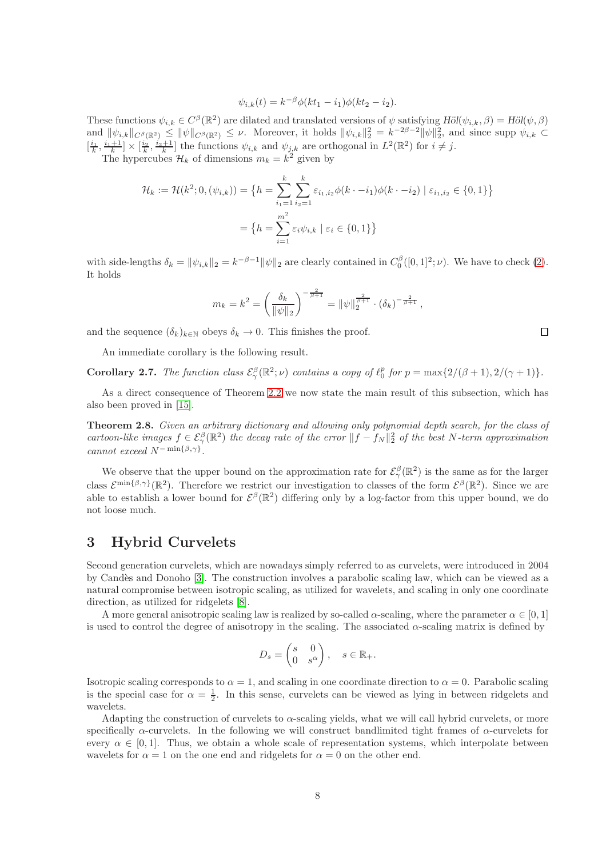$$
\psi_{i,k}(t) = k^{-\beta} \phi(kt_1 - i_1) \phi(kt_2 - i_2).
$$

These functions  $\psi_{i,k} \in C^{\beta}(\mathbb{R}^2)$  are dilated and translated versions of  $\psi$  satisfying  $H\ddot{o}l(\psi_{i,k}, \beta) = H\ddot{o}l(\psi, \beta)$ and  $\|\psi_{i,k}\|_{C^{\beta}(\mathbb{R}^2)} \leq \|\psi\|_{C^{\beta}(\mathbb{R}^2)} \leq \nu$ . Moreover, it holds  $\|\psi_{i,k}\|_2^2 = k^{-2\beta-2} \|\psi\|_2^2$ , and since supp  $\psi_{i,k} \subset$  $\left[\frac{i_1}{k},\frac{i_1+1}{k}\right] \times \left[\frac{i_2}{k},\frac{i_2+1}{k}\right]$  the functions  $\psi_{i,k}$  and  $\psi_{j,k}$  are orthogonal in  $L^2(\mathbb{R}^2)$  for  $i \neq j$ .

The hypercubes  $\mathcal{H}_k$  of dimensions  $m_k = k^2$  given by

$$
\mathcal{H}_k := \mathcal{H}(k^2; 0, (\psi_{i,k})) = \left\{ h = \sum_{i_1=1}^k \sum_{i_2=1}^k \varepsilon_{i_1, i_2} \phi(k \cdot - i_1) \phi(k \cdot - i_2) \mid \varepsilon_{i_1, i_2} \in \{0, 1\} \right\}
$$

$$
= \left\{ h = \sum_{i=1}^{m^2} \varepsilon_i \psi_{i,k} \mid \varepsilon_i \in \{0, 1\} \right\}
$$

with side-lengths  $\delta_k = ||\psi_{i,k}||_2 = k^{-\beta - 1} ||\psi||_2$  are clearly contained in  $C_0^\beta([0, 1]^2; \nu)$ . We have to check [\(2\)](#page-3-1). It holds

$$
m_k = k^2 = \left(\frac{\delta_k}{\|\psi\|_2}\right)^{-\frac{2}{\beta+1}} = \|\psi\|_2^{\frac{2}{\beta+1}} \cdot (\delta_k)^{-\frac{2}{\beta+1}},
$$

and the sequence  $(\delta_k)_{k\in\mathbb{N}}$  obeys  $\delta_k \to 0$ . This finishes the proof.

An immediate corollary is the following result.

**Corollary 2.7.** The function class  $\mathcal{E}_{\gamma}^{\beta}(\mathbb{R}^2; \nu)$  contains a copy of  $\ell_0^p$  for  $p = \max\{2/(\beta+1), 2/(\gamma+1)\}.$ 

As a direct consequence of Theorem [2.2](#page-3-0) we now state the main result of this subsection, which has also been proved in [\[15\]](#page-32-3).

<span id="page-7-1"></span>Theorem 2.8. Given an arbitrary dictionary and allowing only polynomial depth search, for the class of cartoon-like images  $f \in \mathcal{E}^{\beta}_{\gamma}(\mathbb{R}^2)$  the decay rate of the error  $||f - f_N||_2^2$  of the best N-term approximation cannot exceed  $N^{-\min\{\beta,\gamma\}}$ .

We observe that the upper bound on the approximation rate for  $\mathcal{E}_{\gamma}^{\beta}(\mathbb{R}^2)$  is the same as for the larger class  $\mathcal{E}^{\min\{\beta,\gamma\}}(\mathbb{R}^2)$ . Therefore we restrict our investigation to classes of the form  $\mathcal{E}^{\beta}(\mathbb{R}^2)$ . Since we are able to establish a lower bound for  $\mathcal{E}^{\beta}(\mathbb{R}^2)$  differing only by a log-factor from this upper bound, we do not loose much.

# <span id="page-7-0"></span>3 Hybrid Curvelets

Second generation curvelets, which are nowadays simply referred to as curvelets, were introduced in 2004 by Candès and Donoho [\[3\]](#page-31-0). The construction involves a parabolic scaling law, which can be viewed as a natural compromise between isotropic scaling, as utilized for wavelets, and scaling in only one coordinate direction, as utilized for ridgelets [\[8\]](#page-32-9).

A more general anisotropic scaling law is realized by so-called  $\alpha$ -scaling, where the parameter  $\alpha \in [0, 1]$ is used to control the degree of anisotropy in the scaling. The associated α-scaling matrix is defined by

$$
D_s = \begin{pmatrix} s & 0 \\ 0 & s^{\alpha} \end{pmatrix}, \quad s \in \mathbb{R}_+.
$$

Isotropic scaling corresponds to  $\alpha = 1$ , and scaling in one coordinate direction to  $\alpha = 0$ . Parabolic scaling is the special case for  $\alpha = \frac{1}{2}$ . In this sense, curvelets can be viewed as lying in between ridgelets and wavelets.

Adapting the construction of curvelets to  $\alpha$ -scaling yields, what we will call hybrid curvelets, or more specifically  $\alpha$ -curvelets. In the following we will construct bandlimited tight frames of  $\alpha$ -curvelets for every  $\alpha \in [0, 1]$ . Thus, we obtain a whole scale of representation systems, which interpolate between wavelets for  $\alpha = 1$  on the one end and ridgelets for  $\alpha = 0$  on the other end.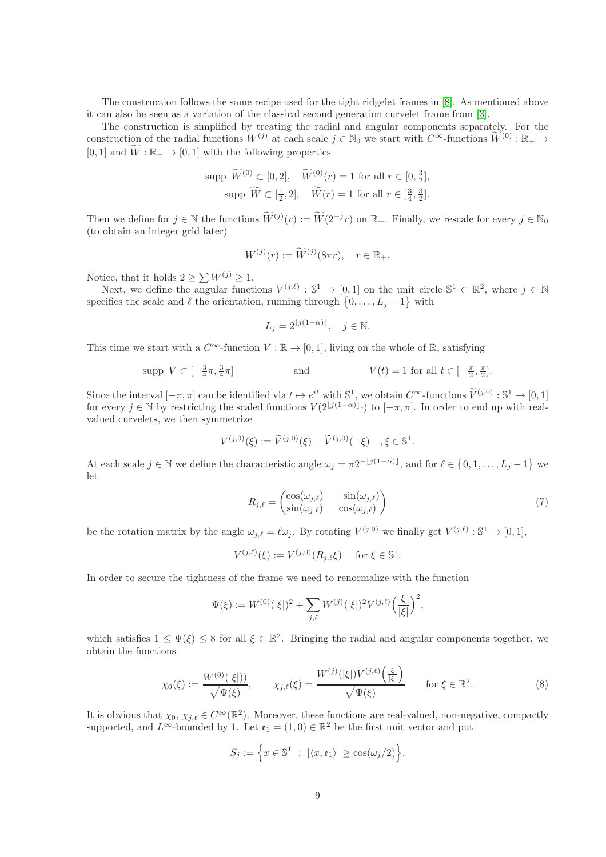The construction follows the same recipe used for the tight ridgelet frames in [\[8\]](#page-32-9). As mentioned above it can also be seen as a variation of the classical second generation curvelet frame from [\[3\]](#page-31-0).

The construction is simplified by treating the radial and angular components separately. For the construction of the radial functions  $W^{(j)}$  at each scale  $j \in \mathbb{N}_0$  we start with  $C^{\infty}$ -functions  $\widetilde{W}^{(0)}$  :  $\mathbb{R}_+$   $\rightarrow$  $[0, 1]$  and  $\widetilde{W}: \mathbb{R}_+ \to [0, 1]$  with the following properties

$$
\text{supp } \widetilde{W}^{(0)} \subset [0, 2], \quad \widetilde{W}^{(0)}(r) = 1 \text{ for all } r \in [0, \frac{3}{2}],
$$
\n
$$
\text{supp } \widetilde{W} \subset [\frac{1}{2}, 2], \quad \widetilde{W}(r) = 1 \text{ for all } r \in [\frac{3}{4}, \frac{3}{2}].
$$

Then we define for  $j \in \mathbb{N}$  the functions  $\widetilde{W}^{(j)}(r) := \widetilde{W}(2^{-j}r)$  on  $\mathbb{R}_+$ . Finally, we rescale for every  $j \in \mathbb{N}_0$ (to obtain an integer grid later)

$$
W^{(j)}(r) := \widetilde{W}^{(j)}(8\pi r), \quad r \in \mathbb{R}_+.
$$

Notice, that it holds  $2 \ge \sum W^{(j)} \ge 1$ .

Next, we define the angular functions  $V^{(j,\ell)} : \mathbb{S}^1 \to [0,1]$  on the unit circle  $\mathbb{S}^1 \subset \mathbb{R}^2$ , where  $j \in \mathbb{N}$ specifies the scale and  $\ell$  the orientation, running through  $\{0, \ldots, L_j - 1\}$  with

$$
L_j = 2^{\lfloor j(1-\alpha)\rfloor}, \quad j \in \mathbb{N}.
$$

This time we start with a  $C^{\infty}$ -function  $V : \mathbb{R} \to [0, 1]$ , living on the whole of  $\mathbb{R}$ , satisfying

$$
\text{supp } V \subset [-\frac{3}{4}\pi, \frac{3}{4}\pi] \qquad \text{and} \qquad V(t) = 1 \text{ for all } t \in [-\frac{\pi}{2}, \frac{\pi}{2}].
$$

Since the interval  $[-\pi, \pi]$  can be identified via  $t \mapsto e^{it}$  with  $\mathbb{S}^1$ , we obtain  $C^{\infty}$ -functions  $\widetilde{V}^{(j,0)} : \mathbb{S}^1 \to [0,1]$ for every  $j \in \mathbb{N}$  by restricting the scaled functions  $V(2^{\lfloor j(1-\alpha)\rfloor} \cdot)$  to  $[-\pi, \pi]$ . In order to end up with realvalued curvelets, we then symmetrize

$$
V^{(j,0)}(\xi) := \widetilde{V}^{(j,0)}(\xi) + \widetilde{V}^{(j,0)}(-\xi) \quad , \xi \in \mathbb{S}^1.
$$

At each scale  $j \in \mathbb{N}$  we define the characteristic angle  $\omega_j = \pi 2^{-\lfloor j(1-\alpha)\rfloor}$ , and for  $\ell \in \{0, 1, ..., L_j - 1\}$  we let

<span id="page-8-1"></span>
$$
R_{j,\ell} = \begin{pmatrix} \cos(\omega_{j,\ell}) & -\sin(\omega_{j,\ell}) \\ \sin(\omega_{j,\ell}) & \cos(\omega_{j,\ell}) \end{pmatrix}
$$
 (7)

be the rotation matrix by the angle  $\omega_{j,\ell} = \ell \omega_j$ . By rotating  $V^{(j,0)}$  we finally get  $V^{(j,\ell)} : \mathbb{S}^1 \to [0,1],$ 

$$
V^{(j,\ell)}(\xi) := V^{(j,0)}(R_{j,\ell}\xi) \quad \text{ for } \xi \in \mathbb{S}^1.
$$

In order to secure the tightness of the frame we need to renormalize with the function

$$
\Psi(\xi) := W^{(0)}(|\xi|)^2 + \sum_{j,\ell} W^{(j)}(|\xi|)^2 V^{(j,\ell)} \left(\frac{\xi}{|\xi|}\right)^2,
$$

which satisfies  $1 \leq \Psi(\xi) \leq 8$  for all  $\xi \in \mathbb{R}^2$ . Bringing the radial and angular components together, we obtain the functions

$$
\chi_0(\xi) := \frac{W^{(0)}(|\xi|)}{\sqrt{\Psi(\xi)}}, \qquad \chi_{j,\ell}(\xi) = \frac{W^{(j)}(|\xi|)V^{(j,\ell)}\left(\frac{\xi}{|\xi|}\right)}{\sqrt{\Psi(\xi)}} \qquad \text{for } \xi \in \mathbb{R}^2.
$$
 (8)

It is obvious that  $\chi_0, \chi_{j,\ell} \in C^\infty(\mathbb{R}^2)$ . Moreover, these functions are real-valued, non-negative, compactly supported, and  $L^{\infty}$ -bounded by 1. Let  $\mathfrak{e}_1 = (1,0) \in \mathbb{R}^2$  be the first unit vector and put

<span id="page-8-0"></span>
$$
S_j := \Big\{ x \in \mathbb{S}^1 \ : \ |\langle x, \mathfrak{e}_1 \rangle| \ge \cos(\omega_j/2) \Big\}.
$$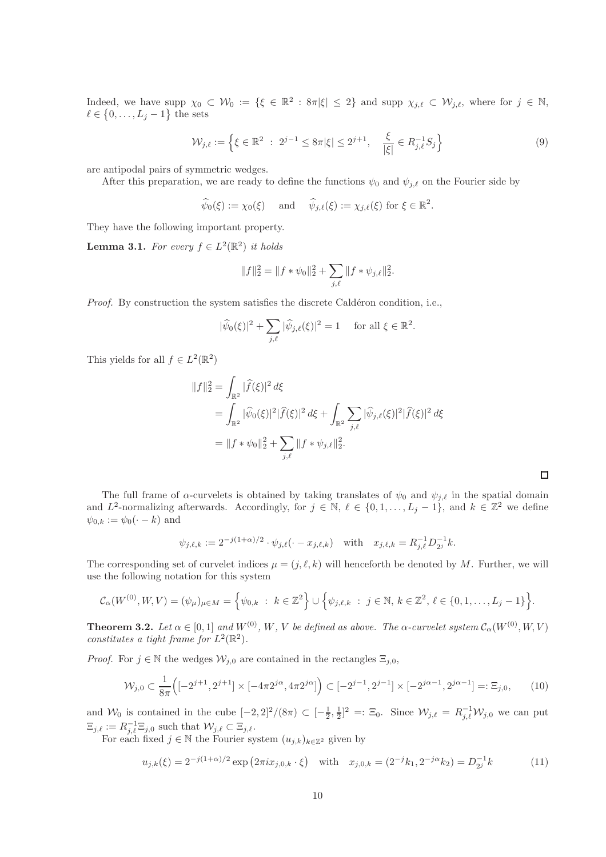Indeed, we have supp  $\chi_0 \subset \mathcal{W}_0 := \{ \xi \in \mathbb{R}^2 : 8\pi |\xi| \leq 2 \}$  and supp  $\chi_{j,\ell} \subset \mathcal{W}_{j,\ell}$ , where for  $j \in \mathbb{N}$ ,  $\ell \in \{0, \ldots, L_j - 1\}$  the sets

$$
\mathcal{W}_{j,\ell} := \left\{ \xi \in \mathbb{R}^2 \ : \ 2^{j-1} \le 8\pi |\xi| \le 2^{j+1}, \quad \frac{\xi}{|\xi|} \in R_{j,\ell}^{-1} S_j \right\} \tag{9}
$$

are antipodal pairs of symmetric wedges.

After this preparation, we are ready to define the functions  $\psi_0$  and  $\psi_{j,\ell}$  on the Fourier side by

$$
\widehat{\psi}_0(\xi) := \chi_0(\xi) \quad \text{and} \quad \widehat{\psi}_{j,\ell}(\xi) := \chi_{j,\ell}(\xi) \text{ for } \xi \in \mathbb{R}^2.
$$

They have the following important property.

<span id="page-9-0"></span>**Lemma 3.1.** For every  $f \in L^2(\mathbb{R}^2)$  it holds

<span id="page-9-1"></span>
$$
||f||_2^2 = ||f * \psi_0||_2^2 + \sum_{j,\ell} ||f * \psi_{j,\ell}||_2^2.
$$

*Proof.* By construction the system satisfies the discrete Caldéron condition, i.e.,

$$
|\widehat{\psi}_0(\xi)|^2 + \sum_{j,\ell} |\widehat{\psi}_{j,\ell}(\xi)|^2 = 1 \quad \text{ for all } \xi \in \mathbb{R}^2.
$$

This yields for all  $f \in L^2(\mathbb{R}^2)$ 

$$
||f||_2^2 = \int_{\mathbb{R}^2} |\widehat{f}(\xi)|^2 d\xi
$$
  
= 
$$
\int_{\mathbb{R}^2} |\widehat{\psi}_0(\xi)|^2 |\widehat{f}(\xi)|^2 d\xi + \int_{\mathbb{R}^2} \sum_{j,\ell} |\widehat{\psi}_{j,\ell}(\xi)|^2 |\widehat{f}(\xi)|^2 d\xi
$$
  
= 
$$
||f * \psi_0||_2^2 + \sum_{j,\ell} ||f * \psi_{j,\ell}||_2^2.
$$

The full frame of  $\alpha$ -curvelets is obtained by taking translates of  $\psi_0$  and  $\psi_{i,\ell}$  in the spatial domain and  $L^2$ -normalizing afterwards. Accordingly, for  $j \in \mathbb{N}$ ,  $\ell \in \{0, 1, ..., L_j - 1\}$ , and  $k \in \mathbb{Z}^2$  we define  $\psi_{0,k} := \psi_0(\cdot - k)$  and

<span id="page-9-2"></span> $\Box$ 

$$
\psi_{j,\ell,k} := 2^{-j(1+\alpha)/2} \cdot \psi_{j,\ell}(\cdot - x_{j,\ell,k})
$$
 with  $x_{j,\ell,k} = R_{j,\ell}^{-1} D_{2j}^{-1} k$ .

The corresponding set of curvelet indices  $\mu = (j, \ell, k)$  will henceforth be denoted by M. Further, we will use the following notation for this system

$$
\mathcal{C}_{\alpha}(W^{(0)}, W, V) = (\psi_{\mu})_{\mu \in M} = \left\{\psi_{0,k} : k \in \mathbb{Z}^2\right\} \cup \left\{\psi_{j,\ell,k} : j \in \mathbb{N}, k \in \mathbb{Z}^2, \ell \in \{0,1,\ldots,L_j-1\}\right\}.
$$

**Theorem 3.2.** Let  $\alpha \in [0,1]$  and  $W^{(0)}$ , W, V be defined as above. The  $\alpha$ -curvelet system  $\mathcal{C}_{\alpha}(W^{(0)}, W, V)$ constitutes a tight frame for  $L^2(\mathbb{R}^2)$ .

*Proof.* For  $j \in \mathbb{N}$  the wedges  $\mathcal{W}_{j,0}$  are contained in the rectangles  $\Xi_{j,0}$ ,

$$
\mathcal{W}_{j,0} \subset \frac{1}{8\pi} \left( [-2^{j+1}, 2^{j+1}] \times [-4\pi 2^{j\alpha}, 4\pi 2^{j\alpha}] \right) \subset [-2^{j-1}, 2^{j-1}] \times [-2^{j\alpha-1}, 2^{j\alpha-1}] =: \Xi_{j,0},\tag{10}
$$

and  $\mathcal{W}_0$  is contained in the cube  $[-2,2]^2/(8\pi) \subset [-\frac{1}{2},\frac{1}{2}]^2 =: \Xi_0$ . Since  $\mathcal{W}_{j,\ell} = R_{j,\ell}^{-1} \mathcal{W}_{j,0}$  we can put  $\Xi_{j,\ell} := R_{j,\ell}^{-1} \Xi_{j,0}$  such that  $\mathcal{W}_{j,\ell} \subset \Xi_{j,\ell}$ .

For each fixed  $j \in \mathbb{N}$  the Fourier system  $(u_{j,k})_{k\in\mathbb{Z}^2}$  given by

$$
u_{j,k}(\xi) = 2^{-j(1+\alpha)/2} \exp(2\pi i x_{j,0,k} \cdot \xi) \quad \text{with} \quad x_{j,0,k} = (2^{-j} k_1, 2^{-j\alpha} k_2) = D_{2^j}^{-1} k \tag{11}
$$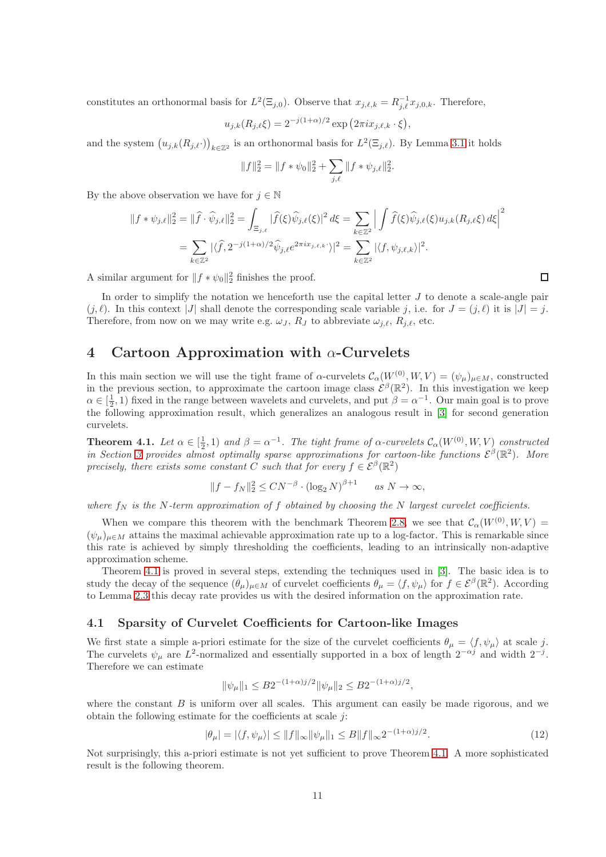constitutes an orthonormal basis for  $L^2(\Xi_{j,0})$ . Observe that  $x_{j,\ell,k} = R_{j,\ell}^{-1} x_{j,0,k}$ . Therefore,

$$
u_{j,k}(R_{j,\ell}\xi) = 2^{-j(1+\alpha)/2} \exp(2\pi i x_{j,\ell,k} \cdot \xi),
$$

and the system  $(u_{j,k}(R_{j,\ell})_{k\in\mathbb{Z}^2}$  is an orthonormal basis for  $L^2(\Xi_{j,\ell})$ . By Lemma [3.1](#page-9-0) it holds

$$
||f||_2^2 = ||f * \psi_0||_2^2 + \sum_{j,\ell} ||f * \psi_{j,\ell}||_2^2.
$$

By the above observation we have for  $j \in \mathbb{N}$ 

$$
||f * \psi_{j,\ell}||_2^2 = ||\hat{f} \cdot \widehat{\psi}_{j,\ell}||_2^2 = \int_{\Xi_{j,\ell}} |\widehat{f}(\xi)\widehat{\psi}_{j,\ell}(\xi)|^2 d\xi = \sum_{k \in \mathbb{Z}^2} \left| \int \widehat{f}(\xi)\widehat{\psi}_{j,\ell}(\xi)u_{j,k}(R_{j,\ell}\xi) d\xi \right|^2
$$
  
= 
$$
\sum_{k \in \mathbb{Z}^2} |\langle \widehat{f}, 2^{-j(1+\alpha)/2} \widehat{\psi}_{j,\ell} e^{2\pi i x_{j,\ell,k}} \rangle|^2 = \sum_{k \in \mathbb{Z}^2} |\langle f, \psi_{j,\ell,k} \rangle|^2.
$$

A similar argument for  $|| f * \psi_0 ||_2^2$  finishes the proof.

In order to simplify the notation we henceforth use the capital letter  $J$  to denote a scale-angle pair  $(j, \ell)$ . In this context |J| shall denote the corresponding scale variable j, i.e. for  $J = (j, \ell)$  it is  $|J| = j$ . Therefore, from now on we may write e.g.  $\omega_J$ ,  $R_J$  to abbreviate  $\omega_{i,\ell}$ ,  $R_{i,\ell}$ , etc.

# 4 Cartoon Approximation with  $\alpha$ -Curvelets

In this main section we will use the tight frame of  $\alpha$ -curvelets  $\mathcal{C}_{\alpha}(W^{(0)}, W, V) = (\psi_{\mu})_{\mu \in M}$ , constructed in the previous section, to approximate the cartoon image class  $\mathcal{E}^{\beta}(\mathbb{R}^2)$ . In this investigation we keep  $\alpha \in \left[\frac{1}{2}, 1\right)$  fixed in the range between wavelets and curvelets, and put  $\beta = \alpha^{-1}$ . Our main goal is to prove the following approximation result, which generalizes an analogous result in [\[3\]](#page-31-0) for second generation curvelets.

<span id="page-10-0"></span>**Theorem 4.1.** Let  $\alpha \in [\frac{1}{2}, 1)$  and  $\beta = \alpha^{-1}$ . The tight frame of  $\alpha$ -curvelets  $\mathcal{C}_{\alpha}(W^{(0)}, W, V)$  constructed in Section [3](#page-7-0) provides almost optimally sparse approximations for cartoon-like functions  $\mathcal{E}^{\beta}(\mathbb{R}^2)$ . More precisely, there exists some constant C such that for every  $f \in \mathcal{E}^{\beta}(\mathbb{R}^2)$ 

$$
||f - f_N||_2^2 \le C N^{-\beta} \cdot (\log_2 N)^{\beta + 1} \quad \text{as } N \to \infty,
$$

where  $f_N$  is the N-term approximation of f obtained by choosing the N largest curvelet coefficients.

When we compare this theorem with the benchmark Theorem [2.8,](#page-7-1) we see that  $\mathcal{C}_{\alpha}(W^{(0)}, W, V) =$  $(\psi_{\mu})_{\mu \in M}$  attains the maximal achievable approximation rate up to a log-factor. This is remarkable since this rate is achieved by simply thresholding the coefficients, leading to an intrinsically non-adaptive approximation scheme.

Theorem [4.1](#page-10-0) is proved in several steps, extending the techniques used in [\[3\]](#page-31-0). The basic idea is to study the decay of the sequence  $(\theta_{\mu})_{\mu \in M}$  of curvelet coefficients  $\theta_{\mu} = \langle f, \psi_{\mu} \rangle$  for  $f \in \mathcal{E}^{\beta}(\mathbb{R}^2)$ . According to Lemma [2.3](#page-5-2) this decay rate provides us with the desired information on the approximation rate.

#### 4.1 Sparsity of Curvelet Coefficients for Cartoon-like Images

We first state a simple a-priori estimate for the size of the curvelet coefficients  $\theta_{\mu} = \langle f, \psi_{\mu} \rangle$  at scale j. The curvelets  $\psi_{\mu}$  are  $L^2$ -normalized and essentially supported in a box of length  $2^{-\alpha j}$  and width  $2^{-j}$ . Therefore we can estimate

<span id="page-10-1"></span>
$$
\|\psi_{\mu}\|_1 \le B2^{-(1+\alpha)j/2} \|\psi_{\mu}\|_2 \le B2^{-(1+\alpha)j/2},
$$

where the constant  $B$  is uniform over all scales. This argument can easily be made rigorous, and we obtain the following estimate for the coefficients at scale  $j$ :

$$
|\theta_{\mu}| = |\langle f, \psi_{\mu} \rangle| \le ||f||_{\infty} \|\psi_{\mu}\|_{1} \le B\|f\|_{\infty} 2^{-(1+\alpha)j/2}.
$$
 (12)

Not surprisingly, this a-priori estimate is not yet sufficient to prove Theorem [4.1.](#page-10-0) A more sophisticated result is the following theorem.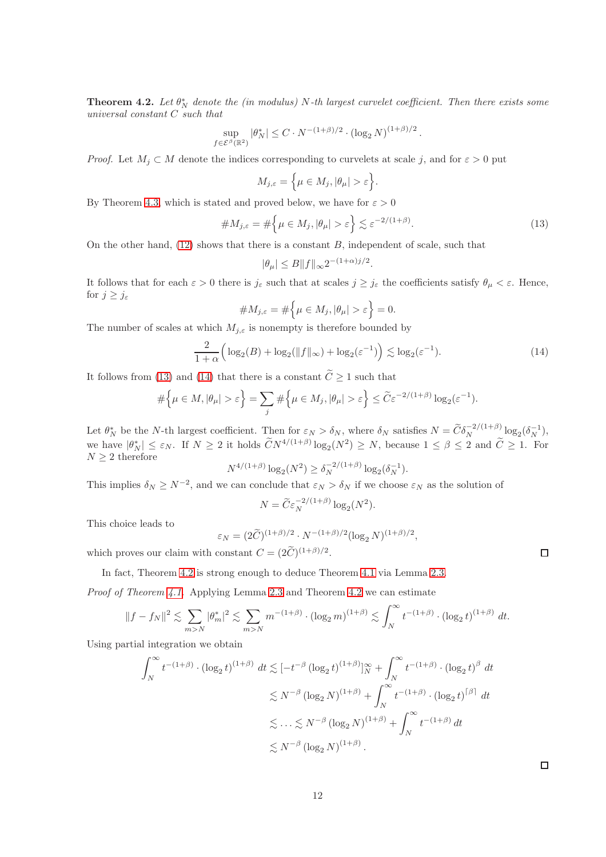<span id="page-11-2"></span>**Theorem 4.2.** Let  $\theta_N^*$  denote the (in modulus) N-th largest curvelet coefficient. Then there exists some universal constant C such that

$$
\sup_{f \in \mathcal{E}^{\beta}(\mathbb{R}^2)} |\theta^*_N| \le C \cdot N^{-(1+\beta)/2} \cdot (\log_2 N)^{(1+\beta)/2}.
$$

*Proof.* Let  $M_i \subset M$  denote the indices corresponding to curvelets at scale j, and for  $\varepsilon > 0$  put

$$
M_{j,\varepsilon} = \Big\{ \mu \in M_j, |\theta_\mu| > \varepsilon \Big\}.
$$

By Theorem [4.3,](#page-12-0) which is stated and proved below, we have for  $\varepsilon > 0$ 

$$
\#M_{j,\varepsilon} = \#\Big\{\mu \in M_j, |\theta_\mu| > \varepsilon\Big\} \lesssim \varepsilon^{-2/(1+\beta)}.
$$
 (13)

On the other hand,  $(12)$  shows that there is a constant B, independent of scale, such that

<span id="page-11-1"></span><span id="page-11-0"></span>
$$
|\theta_\mu|\leq B\|f\|_\infty 2^{-(1+\alpha)j/2}.
$$

It follows that for each  $\varepsilon > 0$  there is  $j_{\varepsilon}$  such that at scales  $j \geq j_{\varepsilon}$  the coefficients satisfy  $\theta_{\mu} < \varepsilon$ . Hence, for  $j \geq j_{\varepsilon}$ 

$$
\# M_{j,\varepsilon} = \#\Big\{\mu \in M_j, |\theta_\mu| > \varepsilon\Big\} = 0.
$$

The number of scales at which  $M_{i,\varepsilon}$  is nonempty is therefore bounded by

$$
\frac{2}{1+\alpha} \left( \log_2(B) + \log_2(\|f\|_{\infty}) + \log_2(\varepsilon^{-1}) \right) \lesssim \log_2(\varepsilon^{-1}).\tag{14}
$$

It follows from [\(13\)](#page-11-0) and [\(14\)](#page-11-1) that there is a constant  $\widetilde{C} \ge 1$  such that

$$
\#\Big\{\mu\in M, |\theta_{\mu}|>\varepsilon\Big\}=\sum_{j}\#\Big\{\mu\in M_{j}, |\theta_{\mu}|>\varepsilon\Big\}\leq \widetilde{C}\varepsilon^{-2/(1+\beta)}\log_{2}(\varepsilon^{-1}).
$$

Let  $\theta_N^*$  be the N-th largest coefficient. Then for  $\varepsilon_N > \delta_N$ , where  $\delta_N$  satisfies  $N = \tilde{C} \delta_N^{-2/(1+\beta)} \log_2(\delta_N^{-1}),$ we have  $|\theta_N^*| \leq \varepsilon_N$ . If  $N \geq 2$  it holds  $\widetilde{C}N^{4/(1+\beta)}\log_2(N^2) \geq N$ , because  $1 \leq \beta \leq 2$  and  $\widetilde{C} \geq 1$ . For  $N \geq 2$  therefore

$$
N^{4/(1+\beta)} \log_2(N^2) \ge \delta_N^{-2/(1+\beta)} \log_2(\delta_N^{-1}).
$$

This implies  $\delta_N \ge N^{-2}$ , and we can conclude that  $\varepsilon_N > \delta_N$  if we choose  $\varepsilon_N$  as the solution of

$$
N = \widetilde{C} \varepsilon_N^{-2/(1+\beta)} \log_2(N^2).
$$

This choice leads to

$$
\varepsilon_N = (2\widetilde{C})^{(1+\beta)/2} \cdot N^{-(1+\beta)/2} (\log_2 N)^{(1+\beta)/2},
$$

which proves our claim with constant  $C = (2\tilde{C})^{(1+\beta)/2}$ .

In fact, Theorem [4.2](#page-11-2) is strong enough to deduce Theorem [4.1](#page-10-0) via Lemma [2.3.](#page-5-2)

Proof of Theorem [4.1.](#page-10-0) Applying Lemma [2.3](#page-5-2) and Theorem [4.2](#page-11-2) we can estimate

$$
||f - f_N||^2 \lesssim \sum_{m > N} |\theta_m^*|^2 \lesssim \sum_{m > N} m^{-(1+\beta)} \cdot (\log_2 m)^{(1+\beta)} \lesssim \int_N^{\infty} t^{-(1+\beta)} \cdot (\log_2 t)^{(1+\beta)} dt.
$$

Using partial integration we obtain

$$
\int_{N}^{\infty} t^{-(1+\beta)} \cdot (\log_2 t)^{(1+\beta)} dt \lesssim [-t^{-\beta} (\log_2 t)^{(1+\beta)}]_{N}^{\infty} + \int_{N}^{\infty} t^{-(1+\beta)} \cdot (\log_2 t)^{\beta} dt
$$
  

$$
\lesssim N^{-\beta} (\log_2 N)^{(1+\beta)} + \int_{N}^{\infty} t^{-(1+\beta)} \cdot (\log_2 t)^{\beta} dt
$$
  

$$
\lesssim \dots \lesssim N^{-\beta} (\log_2 N)^{(1+\beta)} + \int_{N}^{\infty} t^{-(1+\beta)} dt
$$
  

$$
\lesssim N^{-\beta} (\log_2 N)^{(1+\beta)}.
$$

 $\Box$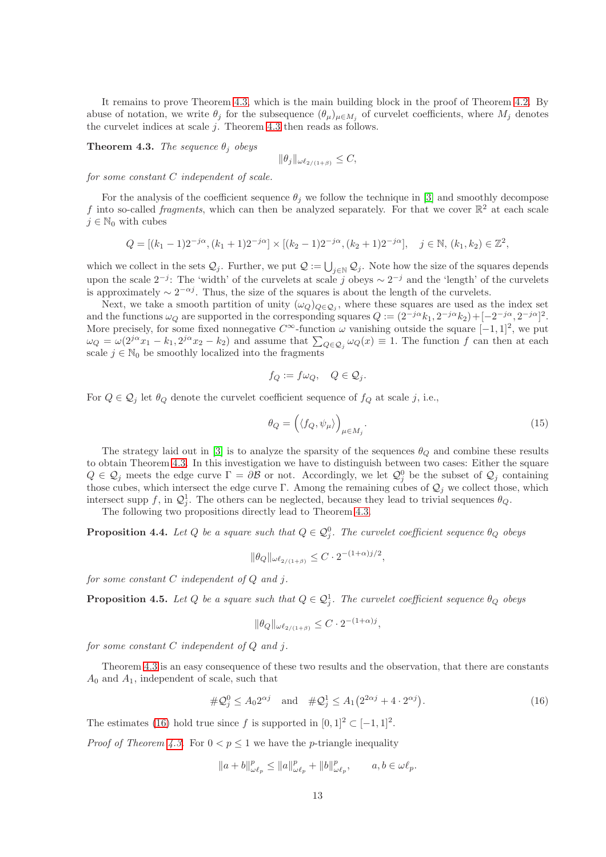It remains to prove Theorem [4.3,](#page-12-0) which is the main building block in the proof of Theorem [4.2.](#page-11-2) By abuse of notation, we write  $\theta_j$  for the subsequence  $(\theta_\mu)_{\mu \in M_j}$  of curvelet coefficients, where  $M_j$  denotes the curvelet indices at scale  $j$ . Theorem [4.3](#page-12-0) then reads as follows.

<span id="page-12-0"></span>**Theorem 4.3.** The sequence  $\theta_j$  obeys

$$
\|\theta_j\|_{\omega\ell_{2/(1+\beta)}} \leq C,
$$

for some constant C independent of scale.

For the analysis of the coefficient sequence  $\theta_j$  we follow the technique in [\[3\]](#page-31-0) and smoothly decompose f into so-called fragments, which can then be analyzed separately. For that we cover  $\mathbb{R}^2$  at each scale  $j \in \mathbb{N}_0$  with cubes

$$
Q = [(k_1 - 1)2^{-j\alpha}, (k_1 + 1)2^{-j\alpha}] \times [(k_2 - 1)2^{-j\alpha}, (k_2 + 1)2^{-j\alpha}], \quad j \in \mathbb{N}, (k_1, k_2) \in \mathbb{Z}^2,
$$

which we collect in the sets  $\mathcal{Q}_j$ . Further, we put  $\mathcal{Q} := \bigcup_{j\in\mathbb{N}} \mathcal{Q}_j$ . Note how the size of the squares depends upon the scale  $2^{-j}$ : The 'width' of the curvelets at scale j obeys  $\sim 2^{-j}$  and the 'length' of the curvelets is approximately  $\sim 2^{-\alpha j}$ . Thus, the size of the squares is about the length of the curvelets.

Next, we take a smooth partition of unity  $(\omega_Q)_{Q \in \mathcal{Q}_j}$ , where these squares are used as the index set and the functions  $\omega_Q$  are supported in the corresponding squares  $Q := (2^{-j\alpha}k_1, 2^{-j\alpha}k_2) + [-2^{-j\alpha}, 2^{-j\alpha}]^2$ . More precisely, for some fixed nonnegative  $C^{\infty}$ -function  $\omega$  vanishing outside the square  $[-1, 1]^2$ , we put  $\omega_Q = \omega(2^{j\alpha}x_1 - k_1, 2^{j\alpha}x_2 - k_2)$  and assume that  $\sum_{Q \in \mathcal{Q}_j} \omega_Q(x) \equiv 1$ . The function f can then at each scale  $j \in \mathbb{N}_0$  be smoothly localized into the fragments

$$
f_Q := f\omega_Q, \quad Q \in \mathcal{Q}_j.
$$

For  $Q \in \mathcal{Q}_j$  let  $\theta_Q$  denote the curvelet coefficient sequence of  $f_Q$  at scale j, i.e.,

<span id="page-12-4"></span>
$$
\theta_Q = \left( \langle f_Q, \psi_\mu \rangle \right)_{\mu \in M_j} . \tag{15}
$$

The strategy laid out in [\[3\]](#page-31-0) is to analyze the sparsity of the sequences  $\theta_Q$  and combine these results to obtain Theorem [4.3.](#page-12-0) In this investigation we have to distinguish between two cases: Either the square  $Q \in \mathcal{Q}_j$  meets the edge curve  $\Gamma = \partial \mathcal{B}$  or not. Accordingly, we let  $\mathcal{Q}_j^0$  be the subset of  $\mathcal{Q}_j$  containing those cubes, which intersect the edge curve Γ. Among the remaining cubes of  $\mathcal{Q}_j$  we collect those, which intersect supp f, in  $\mathcal{Q}_j^1$ . The others can be neglected, because they lead to trivial sequences  $\theta_Q$ .

The following two propositions directly lead to Theorem [4.3.](#page-12-0)

<span id="page-12-2"></span>**Proposition 4.4.** Let Q be a square such that  $Q \in \mathcal{Q}_j^0$ . The curvelet coefficient sequence  $\theta_Q$  obeys

$$
\|\theta_Q\|_{\omega\ell_{2/(1+\beta)}} \leq C \cdot 2^{-(1+\alpha)j/2},
$$

for some constant  $C$  independent of  $Q$  and  $j$ .

<span id="page-12-3"></span>**Proposition 4.5.** Let Q be a square such that  $Q \in \mathcal{Q}_j^1$ . The curvelet coefficient sequence  $\theta_Q$  obeys

<span id="page-12-1"></span>
$$
\|\theta_Q\|_{\omega\ell_{2/(1+\beta)}} \leq C \cdot 2^{-(1+\alpha)j},
$$

for some constant  $C$  independent of  $Q$  and  $j$ .

Theorem [4.3](#page-12-0) is an easy consequence of these two results and the observation, that there are constants  $A_0$  and  $A_1$ , independent of scale, such that

$$
\#\mathcal{Q}_j^0 \le A_0 2^{\alpha j} \quad \text{and} \quad \#\mathcal{Q}_j^1 \le A_1 \big( 2^{2\alpha j} + 4 \cdot 2^{\alpha j} \big). \tag{16}
$$

The estimates [\(16\)](#page-12-1) hold true since f is supported in  $[0,1]^2 \subset [-1,1]^2$ .

*Proof of Theorem [4.3.](#page-12-0)* For  $0 < p \le 1$  we have the *p*-triangle inequality

$$
||a+b||_{\omega \ell_p}^p \le ||a||_{\omega \ell_p}^p + ||b||_{\omega \ell_p}^p, \qquad a, b \in \omega \ell_p.
$$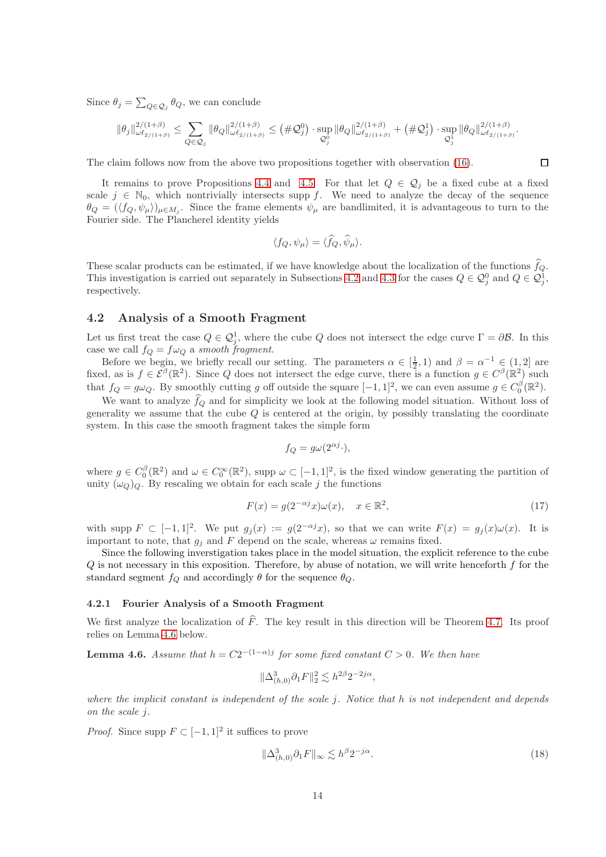Since  $\theta_j = \sum_{Q \in \mathcal{Q}_j} \theta_Q$ , we can conclude

$$
\|\theta_j\|_{\omega\ell_{2/(1+\beta)}}^{2/(1+\beta)} \leq \sum_{Q\in \mathcal{Q}_j}\|\theta_Q\|_{\omega\ell_{2/(1+\beta)}}^{2/(1+\beta)} \leq \left(\#\mathcal{Q}_j^0\right)\cdot \sup_{\mathcal{Q}_j^0}\|\theta_Q\|_{\omega\ell_{2/(1+\beta)}}^{2/(1+\beta)}+\left(\#\mathcal{Q}_j^1\right)\cdot \sup_{\mathcal{Q}_j^1}\|\theta_Q\|_{\omega\ell_{2/(1+\beta)}}^{2/(1+\beta)}.
$$

The claim follows now from the above two propositions together with observation [\(16\)](#page-12-1).

It remains to prove Propositions [4.4](#page-12-2) and [4.5.](#page-12-3) For that let  $Q \in \mathcal{Q}_i$  be a fixed cube at a fixed scale  $j \in \mathbb{N}_0$ , which nontrivially intersects supp f. We need to analyze the decay of the sequence  $\theta_Q = (\langle f_Q, \psi_\mu \rangle)_{\mu \in M_j}$ . Since the frame elements  $\psi_\mu$  are bandlimited, it is advantageous to turn to the Fourier side. The Plancherel identity yields

$$
\langle f_Q, \psi_\mu \rangle = \langle \widehat{f}_Q, \widehat{\psi}_\mu \rangle.
$$

These scalar products can be estimated, if we have knowledge about the localization of the functions  $\hat{f}_Q$ . This investigation is carried out separately in Subsections [4.2](#page-13-0) and [4.3](#page-17-0) for the cases  $Q \in \mathcal{Q}_j^0$  and  $Q \in \mathcal{Q}_j^1$ , respectively.

## <span id="page-13-0"></span>4.2 Analysis of a Smooth Fragment

Let us first treat the case  $Q \in \mathcal{Q}_j^1$ , where the cube Q does not intersect the edge curve  $\Gamma = \partial \mathcal{B}$ . In this case we call  $f_Q = f\omega_Q$  a smooth fragment.

Before we begin, we briefly recall our setting. The parameters  $\alpha \in [\frac{1}{2}, 1)$  and  $\beta = \alpha^{-1} \in (1, 2]$  are fixed, as is  $f \in \mathcal{E}^{\beta}(\mathbb{R}^2)$ . Since Q does not intersect the edge curve, there is a function  $g \in C^{\beta}(\mathbb{R}^2)$  such that  $f_Q = g\omega_Q$ . By smoothly cutting g off outside the square  $[-1, 1]^2$ , we can even assume  $g \in C_0^{\beta}(\mathbb{R}^2)$ .

We want to analyze  $\widehat{f}_Q$  and for simplicity we look at the following model situation. Without loss of generality we assume that the cube  $Q$  is centered at the origin, by possibly translating the coordinate system. In this case the smooth fragment takes the simple form

$$
f_Q = g\omega(2^{\alpha j} \cdot),
$$

where  $g \in C_0^{\beta}(\mathbb{R}^2)$  and  $\omega \in C_0^{\infty}(\mathbb{R}^2)$ , supp  $\omega \subset [-1,1]^2$ , is the fixed window generating the partition of unity  $(\omega_Q)_Q$ . By rescaling we obtain for each scale j the functions

$$
F(x) = g(2^{-\alpha j}x)\omega(x), \quad x \in \mathbb{R}^2,
$$
\n(17)

with supp  $F \subset [-1,1]^2$ . We put  $g_j(x) := g(2^{-\alpha j}x)$ , so that we can write  $F(x) = g_j(x)\omega(x)$ . It is important to note, that  $g_i$  and F depend on the scale, whereas  $\omega$  remains fixed.

Since the following inverstigation takes place in the model situation, the explicit reference to the cube  $Q$  is not necessary in this exposition. Therefore, by abuse of notation, we will write henceforth  $f$  for the standard segment  $f_Q$  and accordingly  $\theta$  for the sequence  $\theta_Q$ .

#### 4.2.1 Fourier Analysis of a Smooth Fragment

We first analyze the localization of  $\hat{F}$ . The key result in this direction will be Theorem [4.7.](#page-14-0) Its proof relies on Lemma [4.6](#page-13-1) below.

<span id="page-13-1"></span>**Lemma 4.6.** Assume that  $h = C2^{-(1-\alpha)j}$  for some fixed constant  $C > 0$ . We then have

$$
\|\Delta^3_{(h,0)}\partial_1 F\|_2^2 \lesssim h^{2\beta} 2^{-2j\alpha}
$$

where the implicit constant is independent of the scale j. Notice that h is not independent and depends on the scale j.

*Proof.* Since supp  $F \subset [-1,1]^2$  it suffices to prove

$$
\|\Delta^3_{(h,0)}\partial_1 F\|_{\infty} \lesssim h^{\beta} 2^{-j\alpha}.\tag{18}
$$

<span id="page-13-2"></span>,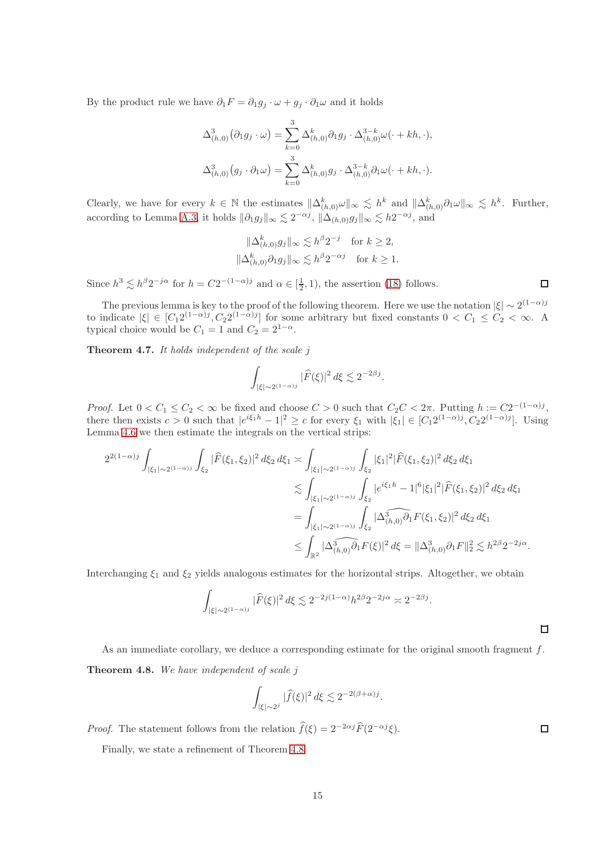By the product rule we have  $\partial_1 F = \partial_1 g_j \cdot \omega + g_j \cdot \partial_1 \omega$  and it holds

$$
\Delta_{(h,0)}^3(\partial_1 g_j \cdot \omega) = \sum_{k=0}^3 \Delta_{(h,0)}^k \partial_1 g_j \cdot \Delta_{(h,0)}^{3-k} \omega(\cdot + kh, \cdot),
$$
  

$$
\Delta_{(h,0)}^3(g_j \cdot \partial_1 \omega) = \sum_{k=0}^3 \Delta_{(h,0)}^k g_j \cdot \Delta_{(h,0)}^{3-k} \partial_1 \omega(\cdot + kh, \cdot).
$$

Clearly, we have for every  $k \in \mathbb{N}$  the estimates  $\|\Delta_{(h,0)}^k \omega\|_{\infty} \lesssim h^k$  and  $\|\Delta_{(h,0)}^k \partial_1 \omega\|_{\infty} \lesssim h^k$ . Further, according to Lemma [A.3,](#page-33-0) it holds  $\|\partial_1 g_j\|_{\infty} \lesssim 2^{-\alpha j}$ ,  $\|\Delta_{(h,0)} g_j\|_{\infty} \lesssim h2^{-\alpha j}$ , and

$$
\|\Delta_{(h,0)}^k g_j\|_{\infty} \lesssim h^{\beta} 2^{-j} \quad \text{for } k \ge 2,
$$
  

$$
\|\Delta_{(h,0)}^k \partial_1 g_j\|_{\infty} \lesssim h^{\beta} 2^{-\alpha j} \quad \text{for } k \ge 1.
$$

Since  $h^3 \lesssim h^{\beta} 2^{-j\alpha}$  for  $h = C2^{-(1-\alpha)j}$  and  $\alpha \in [\frac{1}{2}, 1)$ , the assertion [\(18\)](#page-13-2) follows.

The previous lemma is key to the proof of the following theorem. Here we use the notation  $|\xi| \sim 2^{(1-\alpha)j}$ to indicate  $|\xi| \in [C_1 2^{(1-\alpha)j}, C_2 2^{(1-\alpha)j}]$  for some arbitrary but fixed constants  $0 < C_1 \le C_2 < \infty$ . A typical choice would be  $C_1 = 1$  and  $C_2 = 2^{1-\alpha}$ .

<span id="page-14-0"></span>**Theorem 4.7.** It holds independent of the scale  $j$ 

$$
\int_{|\xi|\sim 2^{(1-\alpha)j}} |\widehat{F}(\xi)|^2\,d\xi\lesssim 2^{-2\beta j}.
$$

*Proof.* Let  $0 < C_1 \le C_2 < \infty$  be fixed and choose  $C > 0$  such that  $C_2 C < 2\pi$ . Putting  $h := C2^{-(1-\alpha)j}$ , there then exists  $c > 0$  such that  $|e^{i\xi_1 h} - 1|^2 \ge c$  for every  $\xi_1$  with  $|\xi_1| \in [C_1 2^{(1-\alpha)j}, C_2 2^{(1-\alpha)j}]$ . Using Lemma [4.6](#page-13-1) we then estimate the integrals on the vertical strips:

$$
2^{2(1-\alpha)j} \int_{|\xi_1| \sim 2^{(1-\alpha)j}} \int_{\xi_2} |\widehat{F}(\xi_1, \xi_2)|^2 d\xi_2 d\xi_1 \asymp \int_{|\xi_1| \sim 2^{(1-\alpha)j}} \int_{\xi_2} |\xi_1|^2 |\widehat{F}(\xi_1, \xi_2)|^2 d\xi_2 d\xi_1
$$
  

$$
\lesssim \int_{|\xi_1| \sim 2^{(1-\alpha)j}} \int_{\xi_2} |e^{i\xi_1 h} - 1|^6 |\xi_1|^2 |\widehat{F}(\xi_1, \xi_2)|^2 d\xi_2 d\xi_1
$$
  

$$
= \int_{|\xi_1| \sim 2^{(1-\alpha)j}} \int_{\xi_2} |\Delta^3_{(h,0)} \widehat{\partial}_1 F(\xi_1, \xi_2)|^2 d\xi_2 d\xi_1
$$
  

$$
\leq \int_{\mathbb{R}^2} |\widehat{\Delta^3_{(h,0)} \partial_1 F}(\xi)|^2 d\xi = ||\Delta^3_{(h,0)} \partial_1 F||_2^2 \lesssim h^{2\beta} 2^{-2j\alpha}.
$$

Interchanging  $\xi_1$  and  $\xi_2$  yields analogous estimates for the horizontal strips. Altogether, we obtain

$$
\int_{|\xi| \sim 2^{(1-\alpha)j}} |\widehat{F}(\xi)|^2 d\xi \lesssim 2^{-2j(1-\alpha)} h^{2\beta} 2^{-2j\alpha} \asymp 2^{-2\beta j}.
$$

<span id="page-14-1"></span>As an immediate corollary, we deduce a corresponding estimate for the original smooth fragment  $f$ . **Theorem 4.8.** We have independent of scale j

$$
\int_{|\xi|\sim 2^j} |\widehat{f}(\xi)|^2\,d\xi \lesssim 2^{-2(\beta+\alpha)j}.
$$

*Proof.* The statement follows from the relation  $\hat{f}(\xi) = 2^{-2\alpha j} \hat{F}(2^{-\alpha j} \xi)$ .

Finally, we state a refinement of Theorem [4.8.](#page-14-1)

 $\Box$ 

 $\Box$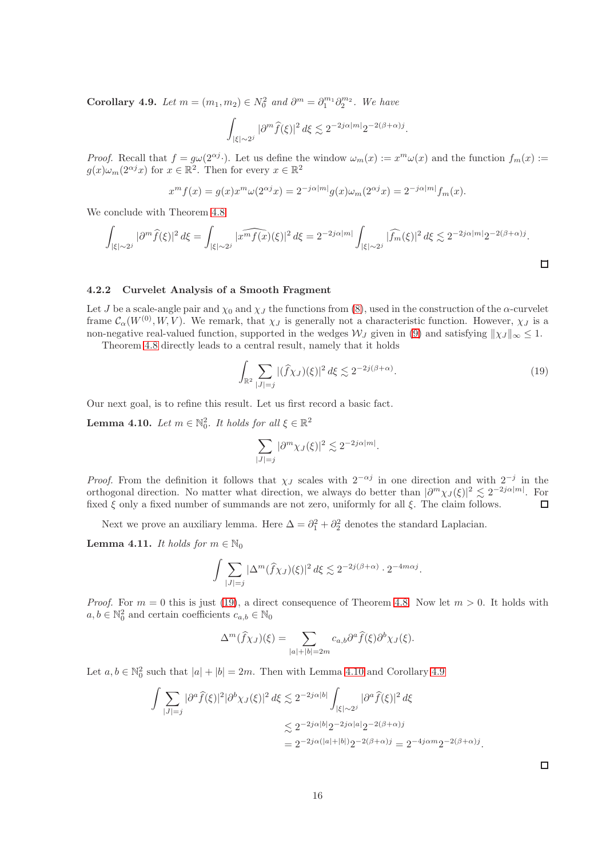<span id="page-15-2"></span>Corollary 4.9. Let  $m = (m_1, m_2) \in N_0^2$  and  $\partial^m = \partial_1^{m_1} \partial_2^{m_2}$ . We have

$$
\int_{|\xi|\sim 2^j} |\partial^m \widehat{f}(\xi)|^2\,d\xi \lesssim 2^{-2j\alpha|m|}2^{-2(\beta+\alpha)j}.
$$

*Proof.* Recall that  $f = g\omega(2^{\alpha j})$ . Let us define the window  $\omega_m(x) := x^m \omega(x)$  and the function  $f_m(x) :=$  $g(x)\omega_m(2^{\alpha j}x)$  for  $x \in \mathbb{R}^2$ . Then for every  $x \in \mathbb{R}^2$ 

$$
x^{m} f(x) = g(x) x^{m} \omega(2^{\alpha j} x) = 2^{-j\alpha |m|} g(x) \omega_{m}(2^{\alpha j} x) = 2^{-j\alpha |m|} f_{m}(x).
$$

We conclude with Theorem [4.8](#page-14-1)

$$
\int_{|\xi| \sim 2^j} |\partial^m \widehat{f}(\xi)|^2 d\xi = \int_{|\xi| \sim 2^j} |\widehat{x^m f(x)}(\xi)|^2 d\xi = 2^{-2j\alpha|m|} \int_{|\xi| \sim 2^j} |\widehat{f_m}(\xi)|^2 d\xi \lesssim 2^{-2j\alpha|m|} 2^{-2(\beta+\alpha)j}.
$$

#### 4.2.2 Curvelet Analysis of a Smooth Fragment

Let J be a scale-angle pair and  $\chi_0$  and  $\chi_J$  the functions from [\(8\)](#page-8-0), used in the construction of the  $\alpha$ -curvelet frame  $\mathcal{C}_{\alpha}(W^{(0)}, W, V)$ . We remark, that  $\chi_J$  is generally not a characteristic function. However,  $\chi_J$  is a non-negative real-valued function, supported in the wedges  $\mathcal{W}_J$  given in [\(9\)](#page-9-1) and satisfying  $\|\chi_J\|_{\infty} \leq 1$ .

Theorem [4.8](#page-14-1) directly leads to a central result, namely that it holds

$$
\int_{\mathbb{R}^2} \sum_{|J|=j} |(\widehat{f}\chi_J)(\xi)|^2 d\xi \lesssim 2^{-2j(\beta+\alpha)}.
$$
\n(19)

Our next goal, is to refine this result. Let us first record a basic fact.

 $\overline{\phantom{a}}$ 

<span id="page-15-1"></span>**Lemma 4.10.** Let  $m \in \mathbb{N}_0^2$ . It holds for all  $\xi \in \mathbb{R}^2$ 

<span id="page-15-0"></span>
$$
\sum_{|J|=j} |\partial^m \chi_J(\xi)|^2 \lesssim 2^{-2j\alpha|m|}.
$$

*Proof.* From the definition it follows that  $\chi_J$  scales with  $2^{-\alpha j}$  in one direction and with  $2^{-j}$  in the orthogonal direction. No matter what direction, we always do better than  $|\partial^m \chi_J(\xi)|^2 \lesssim 2^{-2j\alpha|m|}$ . For fixed  $\xi$  only a fixed number of summands are not zero, uniformly for all  $\xi$ . The claim follows.  $\Box$ 

Next we prove an auxiliary lemma. Here  $\Delta = \partial_1^2 + \partial_2^2$  denotes the standard Laplacian.

<span id="page-15-3"></span>**Lemma 4.11.** It holds for  $m \in \mathbb{N}_0$ 

$$
\int \sum_{|J|=j} |\Delta^m(\widehat{f}\chi_J)(\xi)|^2\,d\xi \lesssim 2^{-2j(\beta+\alpha)}\cdot 2^{-4m\alpha j}.
$$

*Proof.* For  $m = 0$  this is just [\(19\)](#page-15-0), a direct consequence of Theorem [4.8.](#page-14-1) Now let  $m > 0$ . It holds with  $a, b \in \mathbb{N}_0^2$  and certain coefficients  $c_{a,b} \in \mathbb{N}_0$ 

$$
\Delta^m(\widehat{f}\chi_J)(\xi) = \sum_{|a|+|b|=2m} c_{a,b} \partial^a \widehat{f}(\xi) \partial^b \chi_J(\xi).
$$

Let  $a, b \in \mathbb{N}_0^2$  such that  $|a| + |b| = 2m$ . Then with Lemma [4.10](#page-15-1) and Corollary [4.9](#page-15-2)

$$
\int \sum_{|J|=j} |\partial^a \hat{f}(\xi)|^2 |\partial^b \chi_J(\xi)|^2 d\xi \lesssim 2^{-2j\alpha|b|} \int_{|\xi|\sim 2^j} |\partial^a \hat{f}(\xi)|^2 d\xi
$$
  

$$
\lesssim 2^{-2j\alpha|b|} 2^{-2j\alpha|a|} 2^{-2(\beta+\alpha)j}
$$
  

$$
= 2^{-2j\alpha(|a|+|b|)} 2^{-2(\beta+\alpha)j} = 2^{-4j\alpha m} 2^{-2(\beta+\alpha)j}.
$$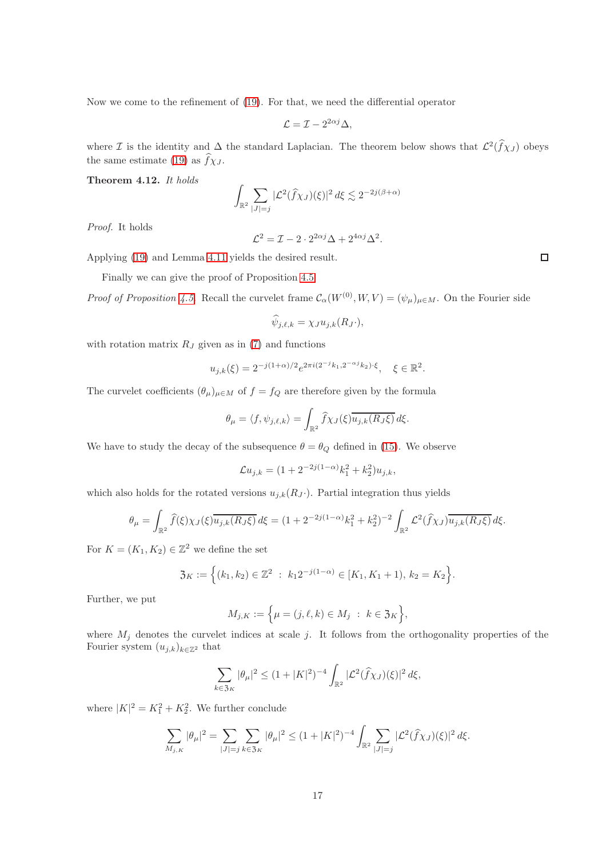Now we come to the refinement of [\(19\)](#page-15-0). For that, we need the differential operator

$$
\mathcal{L} = \mathcal{I} - 2^{2\alpha j} \Delta,
$$

where  $\mathcal I$  is the identity and  $\Delta$  the standard Laplacian. The theorem below shows that  $\mathcal L^2(\hat f \chi_J)$  obeys the same estimate [\(19\)](#page-15-0) as  $\hat{f}\chi_J$ .

<span id="page-16-0"></span>Theorem 4.12. It holds

$$
\int_{\mathbb{R}^2} \sum_{|J|=j} |\mathcal{L}^2(\widehat{f} \chi_J)(\xi)|^2 \, d\xi \lesssim 2^{-2j(\beta+\alpha)}
$$

Proof. It holds

$$
\mathcal{L}^2 = \mathcal{I} - 2 \cdot 2^{2\alpha j} \Delta + 2^{4\alpha j} \Delta^2.
$$

Applying [\(19\)](#page-15-0) and Lemma [4.11](#page-15-3) yields the desired result.

Finally we can give the proof of Proposition [4.5.](#page-12-3)

*Proof of Proposition [4.5.](#page-12-3)* Recall the curvelet frame  $\mathcal{C}_{\alpha}(W^{(0)}, W, V) = (\psi_{\mu})_{\mu \in M}$ . On the Fourier side

$$
\widehat{\psi}_{j,\ell,k} = \chi_J u_{j,k}(R_J \cdot),
$$

with rotation matrix  $R_J$  given as in [\(7\)](#page-8-1) and functions

$$
u_{j,k}(\xi) = 2^{-j(1+\alpha)/2} e^{2\pi i (2^{-j}k_1, 2^{-\alpha j}k_2) \cdot \xi}, \quad \xi \in \mathbb{R}^2.
$$

The curvelet coefficients  $(\theta_{\mu})_{\mu \in M}$  of  $f = f_Q$  are therefore given by the formula

$$
\theta_\mu = \langle f, \psi_{j,\ell,k} \rangle = \int_{\mathbb{R}^2} \widehat{f} \chi_J(\xi) \overline{u_{j,k}(R_J\xi)} \, d\xi.
$$

We have to study the decay of the subsequence  $\theta = \theta_Q$  defined in [\(15\)](#page-12-4). We observe

$$
\mathcal{L}u_{j,k} = (1 + 2^{-2j(1-\alpha)}k_1^2 + k_2^2)u_{j,k},
$$

which also holds for the rotated versions  $u_{j,k}(R_J)$ . Partial integration thus yields

$$
\theta_{\mu} = \int_{\mathbb{R}^2} \widehat{f}(\xi) \chi_J(\xi) \overline{u_{j,k}(R_J\xi)} d\xi = (1 + 2^{-2j(1-\alpha)}k_1^2 + k_2^2)^{-2} \int_{\mathbb{R}^2} \mathcal{L}^2(\widehat{f}\chi_J) \overline{u_{j,k}(R_J\xi)} d\xi.
$$

For  $K = (K_1, K_2) \in \mathbb{Z}^2$  we define the set

$$
\mathfrak{Z}_K := \Big\{ (k_1, k_2) \in \mathbb{Z}^2 \ : \ k_1 2^{-j(1-\alpha)} \in [K_1, K_1 + 1), \ k_2 = K_2 \Big\}.
$$

Further, we put

$$
M_{j,K} := \Big\{ \mu = (j,\ell,k) \in M_j \ : \ k \in \mathfrak{Z}_K \Big\},\
$$

where  $M_j$  denotes the curvelet indices at scale j. It follows from the orthogonality properties of the Fourier system  $(u_{j,k})_{k\in\mathbb{Z}^2}$  that

$$
\sum_{k \in \mathfrak{Z}_K} |\theta_\mu|^2 \le (1 + |K|^2)^{-4} \int_{\mathbb{R}^2} |\mathcal{L}^2(\widehat{f}\chi_J)(\xi)|^2 d\xi,
$$

where  $|K|^2 = K_1^2 + K_2^2$ . We further conclude

$$
\sum_{M_{j,K}} |\theta_{\mu}|^2 = \sum_{|J|=j} \sum_{k \in \mathfrak{Z}_K} |\theta_{\mu}|^2 \le (1+|K|^2)^{-4} \int_{\mathbb{R}^2} \sum_{|J|=j} |\mathcal{L}^2(\widehat{f}\chi_J)(\xi)|^2 d\xi.
$$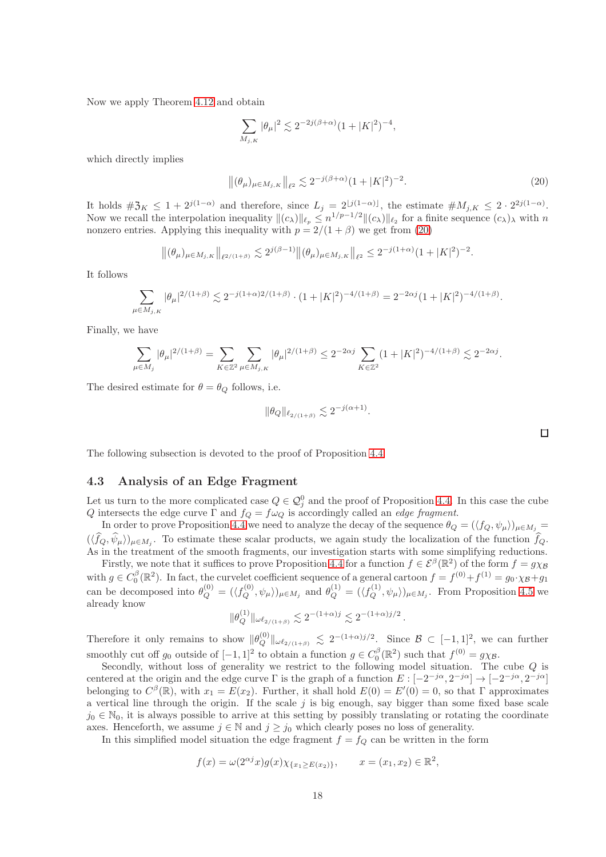Now we apply Theorem [4.12](#page-16-0) and obtain

$$
\sum_{M_{j,K}} |\theta_\mu|^2 \lesssim 2^{-2j(\beta+\alpha)}(1+|K|^2)^{-4},
$$

which directly implies

$$
\left\|(\theta_{\mu})_{\mu \in M_{j,K}}\right\|_{\ell^2} \lesssim 2^{-j(\beta+\alpha)}(1+|K|^2)^{-2}.\tag{20}
$$

It holds  $\#\mathfrak{Z}_K \leq 1+2^{j(1-\alpha)}$  and therefore, since  $L_j = 2^{\lfloor j(1-\alpha) \rfloor}$ , the estimate  $\#M_{j,K} \leq 2 \cdot 2^{2j(1-\alpha)}$ . Now we recall the interpolation inequality  $||(c_\lambda)||_{\ell_p} \leq n^{1/p-1/2} ||(c_\lambda)||_{\ell_p}$  for a finite sequence  $(c_\lambda)_{\lambda}$  with n nonzero entries. Applying this inequality with  $p = 2/(1 + \beta)$  we get from [\(20\)](#page-17-1)

$$
\left\|(\theta_\mu)_{\mu \in M_{j,K}}\right\|_{\ell^{2/(1+\beta)}} \lesssim 2^{j(\beta-1)} \left\|(\theta_\mu)_{\mu \in M_{j,K}}\right\|_{\ell^2} \leq 2^{-j(1+\alpha)} (1+|K|^2)^{-2}.
$$

It follows

$$
\sum_{\mu \in M_{j,K}} |\theta_{\mu}|^{2/(1+\beta)} \lesssim 2^{-j(1+\alpha)2/(1+\beta)} \cdot (1+|K|^2)^{-4/(1+\beta)} = 2^{-2\alpha j} (1+|K|^2)^{-4/(1+\beta)}.
$$

Finally, we have

$$
\sum_{\mu \in M_j} |\theta_\mu|^{2/(1+\beta)} = \sum_{K \in \mathbb{Z}^2} \sum_{\mu \in M_{j,K}} |\theta_\mu|^{2/(1+\beta)} \leq 2^{-2\alpha j} \sum_{K \in \mathbb{Z}^2} (1+|K|^2)^{-4/(1+\beta)} \lesssim 2^{-2\alpha j}.
$$

The desired estimate for  $\theta = \theta_Q$  follows, i.e.

$$
\|\theta_Q\|_{\ell_{2/(1+\beta)}} \lesssim 2^{-j(\alpha+1)}.
$$

<span id="page-17-1"></span> $\Box$ 

The following subsection is devoted to the proof of Proposition [4.4.](#page-12-2)

#### <span id="page-17-0"></span>4.3 Analysis of an Edge Fragment

Let us turn to the more complicated case  $Q \in \mathcal{Q}_j^0$  and the proof of Proposition [4.4.](#page-12-2) In this case the cube Q intersects the edge curve  $\Gamma$  and  $f_Q = f\omega_Q$  is accordingly called an *edge fragment*.

In order to prove Proposition [4.4](#page-12-2) we need to analyze the decay of the sequence  $\theta_Q = (\langle f_Q, \psi_\mu \rangle)_{\mu \in M_j} =$  $(\langle f_Q, \psi_\mu \rangle)_{\mu \in M_j}$ . To estimate these scalar products, we again study the localization of the function  $f_Q$ . As in the treatment of the smooth fragments, our investigation starts with some simplifying reductions.

Firstly, we note that it suffices to prove Proposition [4.4](#page-12-2) for a function  $f \in \mathcal{E}^{\beta}(\mathbb{R}^2)$  of the form  $f = g\chi_{\beta}$ with  $g \in C_0^{\beta}(\mathbb{R}^2)$ . In fact, the curvelet coefficient sequence of a general cartoon  $f = f^{(0)} + f^{(1)} = g_0 \cdot \chi_{\beta} + g_1$ can be decomposed into  $\theta_Q^{(0)} = (\langle f_Q^{(0)}, \psi_\mu \rangle)_{\mu \in M_j}$  and  $\theta_Q^{(1)} = (\langle f_Q^{(1)}, \psi_\mu \rangle)_{\mu \in M_j}$ . From Proposition [4.5](#page-12-3) we already know

$$
\|\theta^{(1)}_Q\|_{\omega\ell_{2/(1+\beta)}}\lesssim 2^{-(1+\alpha)j}\lesssim 2^{-(1+\alpha)j/2}\,.
$$

Therefore it only remains to show  $\|\theta_Q^{(0)}\|_{\omega\ell_{2/(1+\beta)}} \leq 2^{-(1+\alpha)/2}$ . Since  $\beta \subset [-1,1]^2$ , we can further smoothly cut off g<sub>0</sub> outside of  $[-1, 1]^2$  to obtain a function  $g \in C_0^{\beta}(\mathbb{R}^2)$  such that  $f^{(0)} = g\chi_{\beta}$ .

Secondly, without loss of generality we restrict to the following model situation. The cube Q is centered at the origin and the edge curve  $\Gamma$  is the graph of a function  $E: [-2^{-j\alpha}, 2^{-j\alpha}] \to [-2^{-j\alpha}, 2^{-j\alpha}]$ belonging to  $C^{\beta}(\mathbb{R})$ , with  $x_1 = E(x_2)$ . Further, it shall hold  $E(0) = E'(0) = 0$ , so that  $\Gamma$  approximates a vertical line through the origin. If the scale  $j$  is big enough, say bigger than some fixed base scale  $j_0 \in \mathbb{N}_0$ , it is always possible to arrive at this setting by possibly translating or rotating the coordinate axes. Henceforth, we assume  $j \in \mathbb{N}$  and  $j \geq j_0$  which clearly poses no loss of generality.

In this simplified model situation the edge fragment  $f = f_Q$  can be written in the form

$$
f(x) = \omega(2^{\alpha j}x)g(x)\chi_{\{x_1 \ge E(x_2)\}},
$$
  $x = (x_1, x_2) \in \mathbb{R}^2$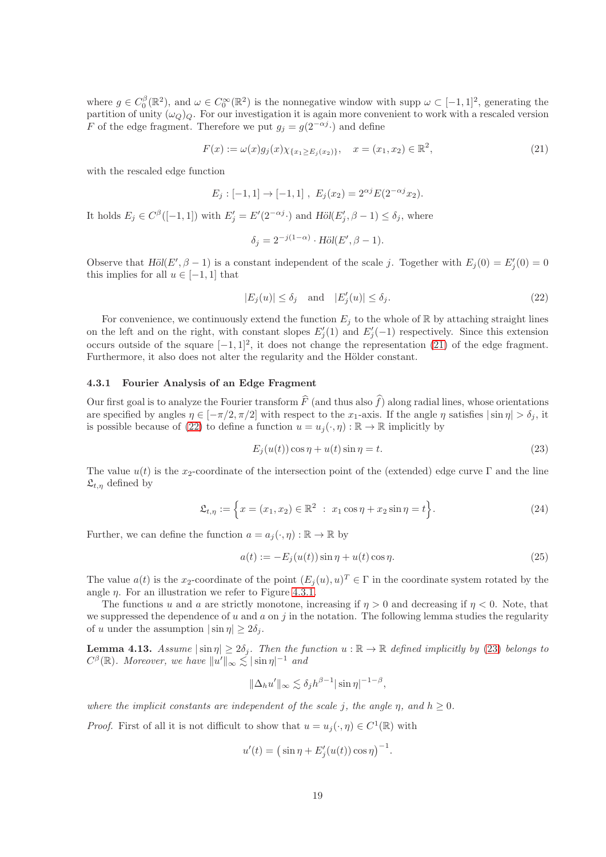where  $g \in C_0^{\beta}(\mathbb{R}^2)$ , and  $\omega \in C_0^{\infty}(\mathbb{R}^2)$  is the nonnegative window with supp  $\omega \subset [-1,1]^2$ , generating the partition of unity  $(\omega_Q)_Q$ . For our investigation it is again more convenient to work with a rescaled version F of the edge fragment. Therefore we put  $g_j = g(2^{-\alpha j} \cdot)$  and define

$$
F(x) := \omega(x)g_j(x)\chi_{\{x_1 \ge E_j(x_2)\}}, \quad x = (x_1, x_2) \in \mathbb{R}^2,
$$
\n(21)

with the rescaled edge function

$$
E_j: [-1,1] \to [-1,1], E_j(x_2) = 2^{\alpha j} E(2^{-\alpha j} x_2).
$$

It holds  $E_j \in C^{\beta}([-1,1])$  with  $E'_j = E'(2^{-\alpha j} \cdot)$  and  $H\ddot{o}l(E'_j, \beta - 1) \leq \delta_j$ , where

<span id="page-18-1"></span><span id="page-18-0"></span>
$$
\delta_j = 2^{-j(1-\alpha)} \cdot \text{H\"ol}(E', \beta - 1).
$$

Observe that  $H\ddot{o}l(E', \beta - 1)$  is a constant independent of the scale j. Together with  $E_j(0) = E'_j(0) = 0$ this implies for all  $u \in [-1, 1]$  that

$$
|E_j(u)| \le \delta_j \quad \text{and} \quad |E'_j(u)| \le \delta_j. \tag{22}
$$

For convenience, we continuously extend the function  $E_i$  to the whole of R by attaching straight lines on the left and on the right, with constant slopes  $E'_j(1)$  and  $E'_j(-1)$  respectively. Since this extension occurs outside of the square  $[-1, 1]^2$ , it does not change the representation [\(21\)](#page-18-0) of the edge fragment. Furthermore, it also does not alter the regularity and the Hölder constant.

#### 4.3.1 Fourier Analysis of an Edge Fragment

Our first goal is to analyze the Fourier transform  $\hat{F}$  (and thus also  $\hat{f}$ ) along radial lines, whose orientations are specified by angles  $\eta \in [-\pi/2, \pi/2]$  with respect to the  $x_1$ -axis. If the angle  $\eta$  satisfies  $|\sin \eta| > \delta_i$ , it is possible because of [\(22\)](#page-18-1) to define a function  $u = u_i(\cdot, \eta) : \mathbb{R} \to \mathbb{R}$  implicitly by

<span id="page-18-4"></span><span id="page-18-3"></span>
$$
E_j(u(t))\cos\eta + u(t)\sin\eta = t.\tag{23}
$$

The value  $u(t)$  is the x<sub>2</sub>-coordinate of the intersection point of the (extended) edge curve Γ and the line  $\mathfrak{L}_{t,\eta}$  defined by

$$
\mathfrak{L}_{t,\eta} := \left\{ x = (x_1, x_2) \in \mathbb{R}^2 \ : \ x_1 \cos \eta + x_2 \sin \eta = t \right\}.
$$
 (24)

Further, we can define the function  $a = a_j(\cdot, \eta) : \mathbb{R} \to \mathbb{R}$  by

<span id="page-18-2"></span>
$$
a(t) := -E_j(u(t))\sin\eta + u(t)\cos\eta.
$$
\n
$$
(25)
$$

The value  $a(t)$  is the x<sub>2</sub>-coordinate of the point  $(E_j(u), u)^T \in \Gamma$  in the coordinate system rotated by the angle  $\eta$ . For an illustration we refer to Figure [4.3.1.](#page-18-2)

The functions u and a are strictly monotone, increasing if  $\eta > 0$  and decreasing if  $\eta < 0$ . Note, that we suppressed the dependence of u and a on j in the notation. The following lemma studies the regularity of u under the assumption  $|\sin \eta| \geq 2\delta_i$ .

**Lemma 4.13.** Assume  $|\sin \eta| \ge 2\delta_j$ . Then the function  $u : \mathbb{R} \to \mathbb{R}$  defined implicitly by [\(23\)](#page-18-3) belongs to  $C^{\beta}(\mathbb{R})$ . Moreover, we have  $||u'||_{\infty} \lesssim |\sin \eta|^{-1}$  and

$$
\|\Delta_h u'\|_{\infty} \lesssim \delta_j h^{\beta - 1} |\sin \eta|^{-1 - \beta},
$$

where the implicit constants are independent of the scale j, the angle  $\eta$ , and  $h \geq 0$ .

*Proof.* First of all it is not difficult to show that  $u = u_j(\cdot, \eta) \in C^1(\mathbb{R})$  with

$$
u'(t) = (\sin \eta + E'_j(u(t)) \cos \eta)^{-1}.
$$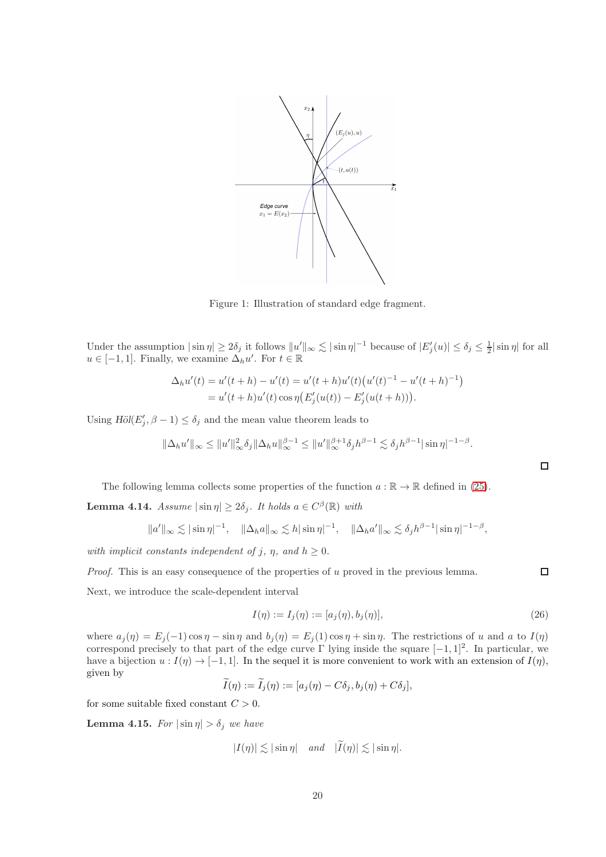

Figure 1: Illustration of standard edge fragment.

Under the assumption  $|\sin \eta| \ge 2\delta_j$  it follows  $||u'||_{\infty} \lesssim |\sin \eta|^{-1}$  because of  $|E'_j(u)| \le \delta_j \le \frac{1}{2} |\sin \eta|$  for all  $u \in [-1, 1]$ . Finally, we examine  $\Delta_h u'$ . For  $t \in \mathbb{R}$ 

$$
\Delta_h u'(t) = u'(t+h) - u'(t) = u'(t+h)u'(t)\left(u'(t)^{-1} - u'(t+h)^{-1}\right)
$$
  
= 
$$
u'(t+h)u'(t)\cos\eta\left(E'_j(u(t)) - E'_j(u(t+h))\right).
$$

Using  $H\ddot{o}l(E'_j, \beta - 1) \leq \delta_j$  and the mean value theorem leads to

$$
\|\Delta_h u'\|_{\infty} \leq \|u'\|_{\infty}^2 \delta_j \|\Delta_h u\|_{\infty}^{\beta-1} \leq \|u'\|_{\infty}^{\beta+1} \delta_j h^{\beta-1} \lesssim \delta_j h^{\beta-1} |\sin \eta|^{-1-\beta}.
$$

The following lemma collects some properties of the function 
$$
a : \mathbb{R} \to \mathbb{R}
$$
 defined in (25).

<span id="page-19-0"></span>**Lemma 4.14.** Assume  $|\sin \eta| \ge 2\delta_j$ . It holds  $a \in C^{\beta}(\mathbb{R})$  with

$$
||a'||_{\infty} \lesssim |\sin \eta|^{-1}, \quad ||\Delta_h a||_{\infty} \lesssim h |\sin \eta|^{-1}, \quad ||\Delta_h a'||_{\infty} \lesssim \delta_j h^{\beta - 1} |\sin \eta|^{-1 - \beta},
$$

with implicit constants independent of j,  $\eta$ , and  $h \geq 0$ .

*Proof.* This is an easy consequence of the properties of u proved in the previous lemma.

Next, we introduce the scale-dependent interval

$$
I(\eta) := I_j(\eta) := [a_j(\eta), b_j(\eta)], \qquad (26)
$$

where  $a_j(\eta) = E_j(-1) \cos \eta - \sin \eta$  and  $b_j(\eta) = E_j(1) \cos \eta + \sin \eta$ . The restrictions of u and a to  $I(\eta)$ correspond precisely to that part of the edge curve  $\Gamma$  lying inside the square  $[-1, 1]^2$ . In particular, we have a bijection  $u : I(\eta) \to [-1, 1]$ . In the sequel it is more convenient to work with an extension of  $I(\eta)$ , given by

$$
I(\eta) := I_j(\eta) := [a_j(\eta) - C\delta_j, b_j(\eta) + C\delta_j],
$$

for some suitable fixed constant  $C > 0$ .

<span id="page-19-1"></span>**Lemma 4.15.** For  $|\sin \eta| > \delta_j$  we have

$$
|I(\eta)| \lesssim |\sin \eta| \quad \text{and} \quad |I(\eta)| \lesssim |\sin \eta|.
$$

<span id="page-19-2"></span> $\Box$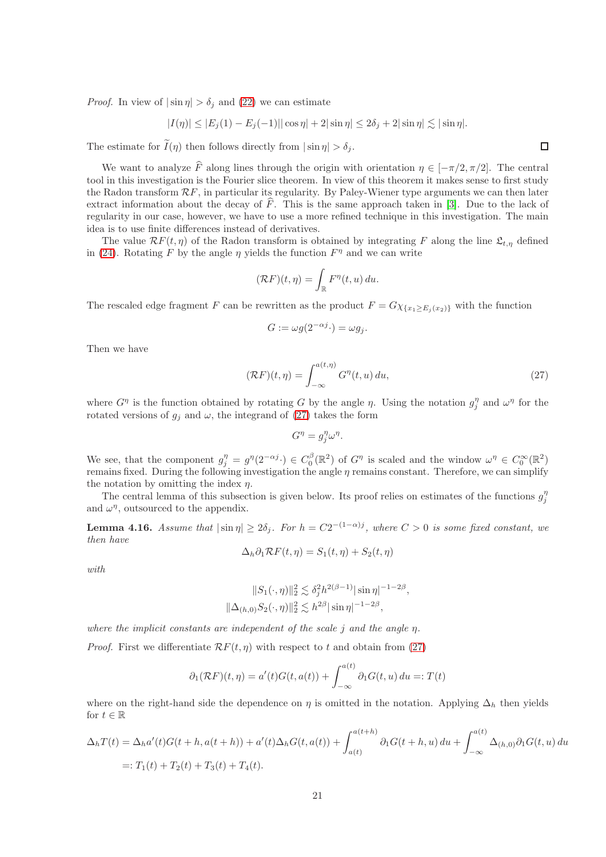*Proof.* In view of  $|\sin \eta| > \delta_i$  and [\(22\)](#page-18-1) we can estimate

$$
|I(\eta)| \le |E_j(1) - E_j(-1)||\cos \eta| + 2|\sin \eta| \le 2\delta_j + 2|\sin \eta| \lesssim |\sin \eta|.
$$

The estimate for  $\widetilde{I}(\eta)$  then follows directly from  $|\sin \eta| > \delta_i$ .

We want to analyze  $\widehat{F}$  along lines through the origin with orientation  $\eta \in [-\pi/2, \pi/2]$ . The central tool in this investigation is the Fourier slice theorem. In view of this theorem it makes sense to first study the Radon transform  $\mathcal{R}F$ , in particular its regularity. By Paley-Wiener type arguments we can then later extract information about the decay of  $\widehat{F}$ . This is the same approach taken in [\[3\]](#page-31-0). Due to the lack of regularity in our case, however, we have to use a more refined technique in this investigation. The main idea is to use finite differences instead of derivatives.

The value  $\mathcal{R}F(t,\eta)$  of the Radon transform is obtained by integrating F along the line  $\mathfrak{L}_{t,\eta}$  defined in [\(24\)](#page-18-4). Rotating F by the angle  $\eta$  yields the function  $F^{\eta}$  and we can write

$$
(\mathcal{R}F)(t,\eta)=\int_{\mathbb{R}}F^{\eta}(t,u)\,du.
$$

The rescaled edge fragment F can be rewritten as the product  $F = G \chi_{\{x_1 > E_i(x_2)\}}$  with the function

$$
G := \omega g(2^{-\alpha j} \cdot) = \omega g_j.
$$

Then we have

$$
(\mathcal{R}F)(t,\eta) = \int_{-\infty}^{a(t,\eta)} G^{\eta}(t,u) du,
$$
\n(27)

,

where  $G^{\eta}$  is the function obtained by rotating G by the angle  $\eta$ . Using the notation  $g_j^{\eta}$  and  $\omega^{\eta}$  for the rotated versions of  $g_j$  and  $\omega$ , the integrand of [\(27\)](#page-20-0) takes the form

<span id="page-20-0"></span>
$$
G^{\eta} = g_j^{\eta} \omega^{\eta}.
$$

We see, that the component  $g_j^{\eta} = g^{\eta}(2^{-\alpha j}) \in C_0^{\beta}(\mathbb{R}^2)$  of  $G^{\eta}$  is scaled and the window  $\omega^{\eta} \in C_0^{\infty}(\mathbb{R}^2)$ remains fixed. During the following investigation the angle  $\eta$  remains constant. Therefore, we can simplify the notation by omitting the index  $\eta$ .

The central lemma of this subsection is given below. Its proof relies on estimates of the functions  $g_j^{\eta}$ and  $\omega^{\eta}$ , outsourced to the appendix.

<span id="page-20-1"></span>**Lemma 4.16.** Assume that  $|\sin \eta| \ge 2\delta_j$ . For  $h = C2^{-(1-\alpha)j}$ , where  $C > 0$  is some fixed constant, we then have

$$
\Delta_h \partial_1 \mathcal{R} F(t, \eta) = S_1(t, \eta) + S_2(t, \eta)
$$

with

$$
||S_1(\cdot, \eta)||_2^2 \lesssim \delta_j^2 h^{2(\beta - 1)} |\sin \eta|^{-1 - 2\beta}
$$
  

$$
||\Delta_{(h,0)} S_2(\cdot, \eta)||_2^2 \lesssim h^{2\beta} |\sin \eta|^{-1 - 2\beta},
$$

where the implicit constants are independent of the scale  $j$  and the angle  $\eta$ .

*Proof.* First we differentiate  $\mathcal{R}F(t,\eta)$  with respect to t and obtain from [\(27\)](#page-20-0)

$$
\partial_1(\mathcal{R}F)(t,\eta) = a'(t)G(t,a(t)) + \int_{-\infty}^{a(t)} \partial_1 G(t,u) du =: T(t)
$$

where on the right-hand side the dependence on  $\eta$  is omitted in the notation. Applying  $\Delta_h$  then yields for  $t \in \mathbb{R}$ 

$$
\Delta_h T(t) = \Delta_h a'(t)G(t+h, a(t+h)) + a'(t)\Delta_h G(t, a(t)) + \int_{a(t)}^{a(t+h)} \partial_1 G(t+h, u) du + \int_{-\infty}^{a(t)} \Delta_{(h,0)} \partial_1 G(t, u) du
$$
  
=:  $T_1(t) + T_2(t) + T_3(t) + T_4(t)$ .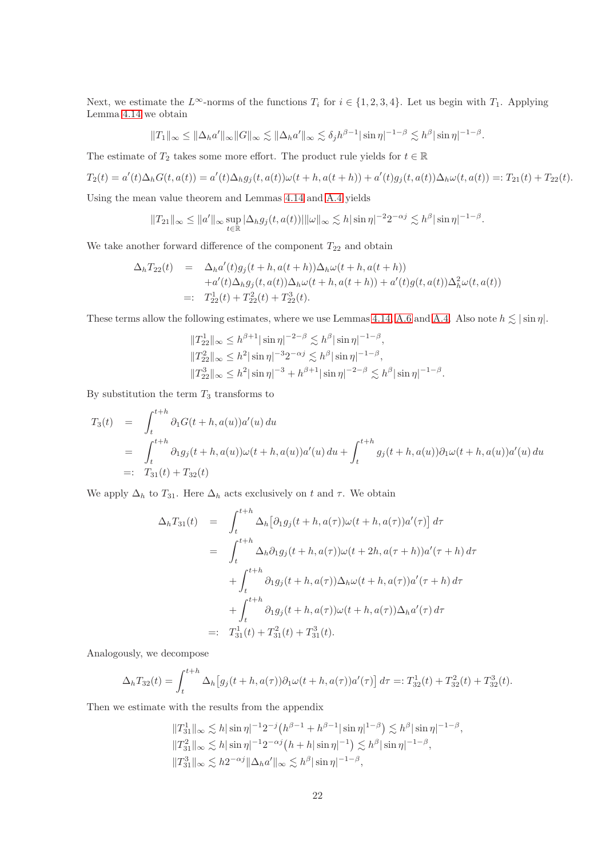Next, we estimate the  $L^{\infty}$ -norms of the functions  $T_i$  for  $i \in \{1, 2, 3, 4\}$ . Let us begin with  $T_1$ . Applying Lemma [4.14](#page-19-0) we obtain

$$
||T_1||_{\infty} \le ||\Delta_h a'||_{\infty} ||G||_{\infty} \lesssim ||\Delta_h a'||_{\infty} \lesssim \delta_j h^{\beta-1} |\sin \eta|^{-1-\beta} \lesssim h^{\beta} |\sin \eta|^{-1-\beta}.
$$

The estimate of  $T_2$  takes some more effort. The product rule yields for  $t \in \mathbb{R}$ 

$$
T_2(t) = a'(t)\Delta_h G(t, a(t)) = a'(t)\Delta_h g_j(t, a(t))\omega(t + h, a(t + h)) + a'(t)g_j(t, a(t))\Delta_h \omega(t, a(t)) =: T_{21}(t) + T_{22}(t).
$$

.

Using the mean value theorem and Lemmas [4.14](#page-19-0) and [A.4](#page-34-0) yields

$$
||T_{21}||_{\infty} \le ||a'||_{\infty} \sup_{t \in \mathbb{R}} |\Delta_{h} g_j(t, a(t))|| \, ||\omega||_{\infty} \lesssim h |\sin \eta|^{-2} 2^{-\alpha j} \lesssim h^{\beta} |\sin \eta|^{-1-\beta}
$$

We take another forward difference of the component  $T_{22}$  and obtain

$$
\Delta_h T_{22}(t) = \Delta_h a'(t) g_j(t+h, a(t+h)) \Delta_h \omega(t+h, a(t+h)) \n+ a'(t) \Delta_h g_j(t, a(t)) \Delta_h \omega(t+h, a(t+h)) + a'(t) g(t, a(t)) \Delta_h^2 \omega(t, a(t)) \n=: T_{22}^1(t) + T_{22}^2(t) + T_{22}^3(t).
$$

These terms allow the following estimates, where we use Lemmas [4.14,](#page-19-0) [A.6](#page-34-1) and [A.4.](#page-34-0) Also note  $h \lesssim |\sin \eta|$ .

$$
||T_{22}||_{\infty} \le h^{\beta+1} |\sin \eta|^{-2-\beta} \lesssim h^{\beta} |\sin \eta|^{-1-\beta},
$$
  
\n
$$
||T_{22}||_{\infty} \le h^2 |\sin \eta|^{-3} 2^{-\alpha j} \lesssim h^{\beta} |\sin \eta|^{-1-\beta},
$$
  
\n
$$
||T_{22}||_{\infty} \le h^2 |\sin \eta|^{-3} + h^{\beta+1} |\sin \eta|^{-2-\beta} \lesssim h^{\beta} |\sin \eta|^{-1-\beta}.
$$

By substitution the term  $T_3$  transforms to

$$
T_3(t) = \int_t^{t+h} \partial_1 G(t+h, a(u)) a'(u) du
$$
  
=  $\int_t^{t+h} \partial_1 g_j(t+h, a(u)) \omega(t+h, a(u)) a'(u) du + \int_t^{t+h} g_j(t+h, a(u)) \partial_1 \omega(t+h, a(u)) a'(u) du$   
=:  $T_{31}(t) + T_{32}(t)$ 

We apply  $\Delta_h$  to  $T_{31}$ . Here  $\Delta_h$  acts exclusively on t and  $\tau$ . We obtain

$$
\Delta_h T_{31}(t) = \int_t^{t+h} \Delta_h [\partial_1 g_j(t+h, a(\tau))\omega(t+h, a(\tau))a'(\tau)] d\tau \n= \int_t^{t+h} \Delta_h \partial_1 g_j(t+h, a(\tau))\omega(t+2h, a(\tau+h))a'(\tau+h) d\tau \n+ \int_t^{t+h} \partial_1 g_j(t+h, a(\tau))\Delta_h \omega(t+h, a(\tau))a'(\tau+h) d\tau \n+ \int_t^{t+h} \partial_1 g_j(t+h, a(\tau))\omega(t+h, a(\tau))\Delta_h a'(\tau) d\tau \n=:\quad T_{31}^1(t) + T_{31}^2(t) + T_{31}^3(t).
$$

Analogously, we decompose

$$
\Delta_h T_{32}(t) = \int_t^{t+h} \Delta_h [g_j(t+h, a(\tau))\partial_1 \omega(t+h, a(\tau))a'(\tau)] d\tau =: T_{32}^1(t) + T_{32}^2(t) + T_{32}^3(t).
$$

Then we estimate with the results from the appendix

$$
\begin{aligned} &\|T_{31}^1\|_{\infty} \lesssim h|\sin\eta|^{-1}2^{-j}\big(h^{\beta-1}+h^{\beta-1}|\sin\eta|^{1-\beta}\big) \lesssim h^{\beta}|\sin\eta|^{-1-\beta},\\ &\|T_{31}^2\|_{\infty} \lesssim h|\sin\eta|^{-1}2^{-\alpha j}\big(h+h|\sin\eta|^{-1}\big) \lesssim h^{\beta}|\sin\eta|^{-1-\beta},\\ &\|T_{31}^3\|_{\infty} \lesssim h2^{-\alpha j}\|\Delta_h a'\|_{\infty} \lesssim h^{\beta}|\sin\eta|^{-1-\beta}, \end{aligned}
$$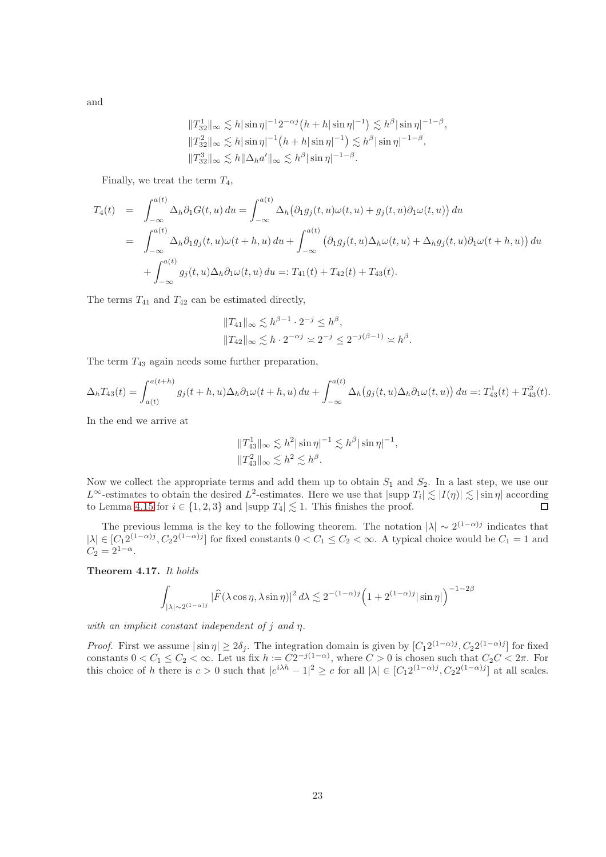and

$$
||T_{32}^{1}||_{\infty} \lesssim h |\sin \eta|^{-1} 2^{-\alpha j} (h + h |\sin \eta|^{-1}) \lesssim h^{\beta} |\sin \eta|^{-1-\beta},
$$
  

$$
||T_{32}^{2}||_{\infty} \lesssim h |\sin \eta|^{-1} (h + h |\sin \eta|^{-1}) \lesssim h^{\beta} |\sin \eta|^{-1-\beta},
$$
  

$$
||T_{32}^{3}||_{\infty} \lesssim h ||\Delta_{h} a'||_{\infty} \lesssim h^{\beta} |\sin \eta|^{-1-\beta}.
$$

Finally, we treat the term  $T_4$ ,

$$
T_4(t) = \int_{-\infty}^{a(t)} \Delta_h \partial_1 G(t, u) du = \int_{-\infty}^{a(t)} \Delta_h (\partial_1 g_j(t, u) \omega(t, u) + g_j(t, u) \partial_1 \omega(t, u)) du
$$
  
\n
$$
= \int_{-\infty}^{a(t)} \Delta_h \partial_1 g_j(t, u) \omega(t + h, u) du + \int_{-\infty}^{a(t)} (\partial_1 g_j(t, u) \Delta_h \omega(t, u) + \Delta_h g_j(t, u) \partial_1 \omega(t + h, u)) du
$$
  
\n
$$
+ \int_{-\infty}^{a(t)} g_j(t, u) \Delta_h \partial_1 \omega(t, u) du =: T_{41}(t) + T_{42}(t) + T_{43}(t).
$$

The terms  $T_{41}$  and  $T_{42}$  can be estimated directly,

$$
||T_{41}||_{\infty} \lesssim h^{\beta - 1} \cdot 2^{-j} \leq h^{\beta},
$$
  
\n $||T_{42}||_{\infty} \lesssim h \cdot 2^{-\alpha j} \asymp 2^{-j} \leq 2^{-j(\beta - 1)} \asymp h^{\beta}.$ 

The term  $T_{43}$  again needs some further preparation,

$$
\Delta_h T_{43}(t) = \int_{a(t)}^{a(t+h)} g_j(t+h, u) \Delta_h \partial_1 \omega(t+h, u) du + \int_{-\infty}^{a(t)} \Delta_h (g_j(t, u) \Delta_h \partial_1 \omega(t, u)) du =: T_{43}^1(t) + T_{43}^2(t).
$$

In the end we arrive at

$$
\begin{aligned} &\|T_{43}^1\|_\infty \lesssim h^2 |\sin\eta|^{-1} \lesssim h^{\beta} |\sin\eta|^{-1},\\ &\|T_{43}^2\|_\infty \lesssim h^2 \lesssim h^{\beta}. \end{aligned}
$$

Now we collect the appropriate terms and add them up to obtain  $S_1$  and  $S_2$ . In a last step, we use our  $L^{\infty}$ -estimates to obtain the desired  $L^2$ -estimates. Here we use that  $|\text{supp } T_i| \lesssim |I(\eta)| \lesssim |\sin \eta|$  according to Lemma [4.15](#page-19-1) for  $i \in \{1,2,3\}$  and  $|\text{supp } T_4| \lesssim 1$ . This finishes the proof.

The previous lemma is the key to the following theorem. The notation  $|\lambda| \sim 2^{(1-\alpha)j}$  indicates that  $|\lambda| \in [C_1 2^{(1-\alpha)j}, C_2 2^{(1-\alpha)j}]$  for fixed constants  $0 < C_1 \le C_2 < \infty$ . A typical choice would be  $C_1 = 1$  and  $C_2 = 2^{1-\alpha}.$ 

<span id="page-22-0"></span>Theorem 4.17. It holds

$$
\int_{|\lambda| \sim 2^{(1-\alpha)j}} |\widehat{F}(\lambda \cos \eta, \lambda \sin \eta)|^2 d\lambda \lesssim 2^{-(1-\alpha)j} \Big( 1 + 2^{(1-\alpha)j} |\sin \eta| \Big)^{-1-2\beta}
$$

with an implicit constant independent of  $j$  and  $\eta$ .

*Proof.* First we assume  $|\sin \eta| \ge 2\delta_j$ . The integration domain is given by  $[C_1 2^{(1-\alpha)j}, C_2 2^{(1-\alpha)j}]$  for fixed constants  $0 < C_1 \leq C_2 < \infty$ . Let us fix  $h := C2^{-j(1-\alpha)}$ , where  $C > 0$  is chosen such that  $C_2 C < 2\pi$ . For this choice of h there is  $c > 0$  such that  $|e^{i\lambda h} - 1|^2 \ge c$  for all  $|\lambda| \in [C_1 2^{(1-\alpha)j}, C_2 2^{(1-\alpha)j}]$  at all scales.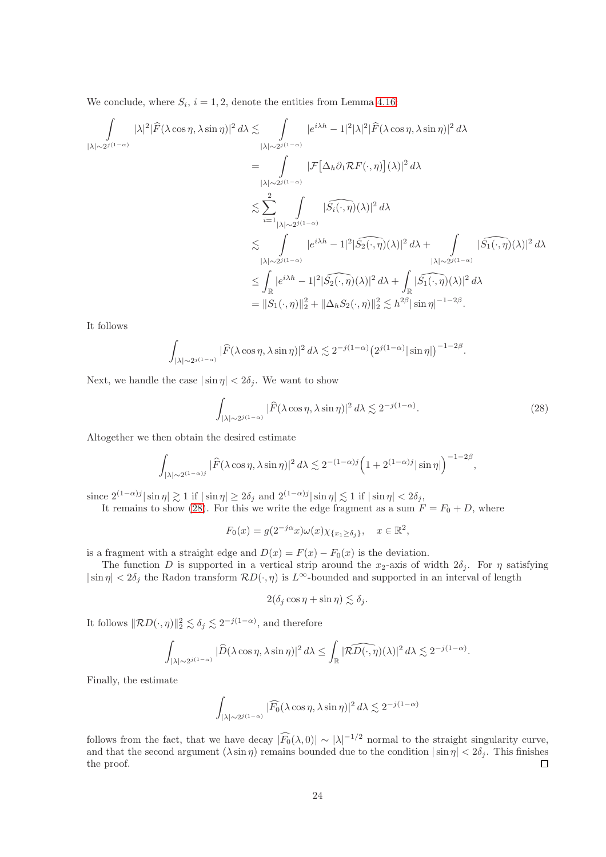We conclude, where  $S_i$ ,  $i = 1, 2$ , denote the entities from Lemma [4.16:](#page-20-1)

$$
\int_{|\lambda|\sim 2^{j(1-\alpha)}} |\lambda|^2 |\widehat{F}(\lambda \cos \eta, \lambda \sin \eta)|^2 d\lambda \leq \int_{|\lambda|\sim 2^{j(1-\alpha)}} |e^{i\lambda h} - 1|^2 |\lambda|^2 |\widehat{F}(\lambda \cos \eta, \lambda \sin \eta)|^2 d\lambda
$$
  
\n
$$
= \int_{|\lambda|\sim 2^{j(1-\alpha)}} |\mathcal{F}[\Delta_h \partial_1 \mathcal{R} F(\cdot, \eta)](\lambda)|^2 d\lambda
$$
  
\n
$$
\lesssim \sum_{i=1}^2 \int_{|\lambda|\sim 2^{j(1-\alpha)}} |\widehat{S_i(\cdot, \eta)}(\lambda)|^2 d\lambda
$$
  
\n
$$
\lesssim \int_{|\lambda|\sim 2^{j(1-\alpha)}} |e^{i\lambda h} - 1|^2 |\widehat{S_2(\cdot, \eta)}(\lambda)|^2 d\lambda + \int_{|\lambda|\sim 2^{j(1-\alpha)}} |\widehat{S_1(\cdot, \eta)}(\lambda)|^2 d\lambda
$$
  
\n
$$
\leq \int_{\mathbb{R}} |e^{i\lambda h} - 1|^2 |\widehat{S_2(\cdot, \eta)}(\lambda)|^2 d\lambda + \int_{\mathbb{R}} |\widehat{S_1(\cdot, \eta)}(\lambda)|^2 d\lambda
$$
  
\n
$$
= ||S_1(\cdot, \eta)||_2^2 + ||\Delta_h S_2(\cdot, \eta)||_2^2 \lesssim h^{2\beta} |\sin \eta|^{-1-2\beta}.
$$

It follows

$$
\int_{|\lambda| \sim 2^{j(1-\alpha)}} |\widehat{F}(\lambda \cos \eta, \lambda \sin \eta)|^2 d\lambda \lesssim 2^{-j(1-\alpha)} (2^{j(1-\alpha)} |\sin \eta|)^{-1-2\beta}
$$

Next, we handle the case  $|\sin \eta| < 2\delta_j$ . We want to show

$$
\int_{|\lambda| \sim 2^{j(1-\alpha)}} |\widehat{F}(\lambda \cos \eta, \lambda \sin \eta)|^2 d\lambda \lesssim 2^{-j(1-\alpha)}.
$$
 (28)

<span id="page-23-0"></span>.

Altogether we then obtain the desired estimate

$$
\int_{|\lambda| \sim 2^{(1-\alpha)j}} |\widehat{F}(\lambda \cos \eta, \lambda \sin \eta)|^2 d\lambda \lesssim 2^{-(1-\alpha)j} \Big(1 + 2^{(1-\alpha)j} |\sin \eta|\Big)^{-1-2\beta},
$$

since  $2^{(1-\alpha)j} |\sin \eta| \gtrsim 1$  if  $|\sin \eta| \ge 2\delta_j$  and  $2^{(1-\alpha)j} |\sin \eta| \lesssim 1$  if  $|\sin \eta| < 2\delta_j$ ,

It remains to show [\(28\)](#page-23-0). For this we write the edge fragment as a sum  $F = F_0 + D$ , where

$$
F_0(x) = g(2^{-j\alpha}x)\omega(x)\chi_{\{x_1 \ge \delta_j\}}, \quad x \in \mathbb{R}^2,
$$

is a fragment with a straight edge and  $D(x) = F(x) - F_0(x)$  is the deviation.

The function D is supported in a vertical strip around the  $x_2$ -axis of width  $2\delta_j$ . For  $\eta$  satisfying  $|\sin \eta| < 2\delta_j$  the Radon transform  $RD(\cdot, \eta)$  is  $L^{\infty}$ -bounded and supported in an interval of length

$$
2(\delta_j \cos \eta + \sin \eta) \lesssim \delta_j.
$$

It follows  $||\mathcal{R}D(\cdot, \eta)||_2^2 \lesssim \delta_j \lesssim 2^{-j(1-\alpha)}$ , and therefore

$$
\int_{|\lambda|\sim 2^{j(1-\alpha)}} |\widehat{D}(\lambda \cos \eta,\lambda \sin \eta)|^2\,d\lambda\leq \int_{\mathbb{R}} |\widehat{\mathcal{RD}(\cdot,\eta)}(\lambda)|^2\,d\lambda\lesssim 2^{-j(1-\alpha)}.
$$

Finally, the estimate

$$
\int_{|\lambda|\sim 2^{j(1-\alpha)}} |\widehat{F_0}(\lambda \cos\eta,\lambda \sin\eta)|^2\,d\lambda \lesssim 2^{-j(1-\alpha)}
$$

follows from the fact, that we have decay  $|F_0(\lambda, 0)| \sim |\lambda|^{-1/2}$  normal to the straight singularity curve, and that the second argument  $(\lambda \sin \eta)$  remains bounded due to the condition  $|\sin \eta| < 2\delta_j$ . This finishes the proof. the proof.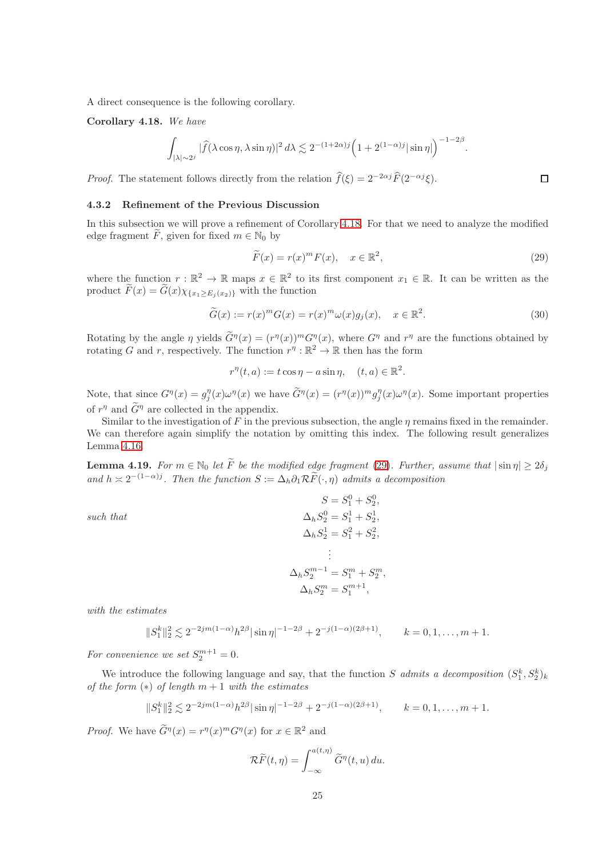A direct consequence is the following corollary.

<span id="page-24-0"></span>Corollary 4.18. We have

$$
\int_{|\lambda| \sim 2^j} |\widehat{f}(\lambda \cos \eta, \lambda \sin \eta)|^2 d\lambda \lesssim 2^{-(1+2\alpha)j} \Big(1 + 2^{(1-\alpha)j} |\sin \eta|\Big)^{-1-2\beta}
$$

*Proof.* The statement follows directly from the relation  $\hat{f}(\xi) = 2^{-2\alpha j} \hat{F}(2^{-\alpha j} \xi)$ .

#### 4.3.2 Refinement of the Previous Discussion

In this subsection we will prove a refinement of Corollary [4.18.](#page-24-0) For that we need to analyze the modified edge fragment F, given for fixed  $m \in \mathbb{N}_0$  by

$$
\widetilde{F}(x) = r(x)^m F(x), \quad x \in \mathbb{R}^2,
$$
\n(29)

.

<span id="page-24-1"></span> $\Box$ 

where the function  $r : \mathbb{R}^2 \to \mathbb{R}$  maps  $x \in \mathbb{R}^2$  to its first component  $x_1 \in \mathbb{R}$ . It can be written as the product  $\widetilde{F}(x) = \widetilde{G}(x)\chi_{\{x_1 > E_i(x_2)\}}$  with the function

$$
\widetilde{G}(x) := r(x)^m G(x) = r(x)^m \omega(x) g_j(x), \quad x \in \mathbb{R}^2.
$$
\n(30)

Rotating by the angle  $\eta$  yields  $G^{\eta}(x) = (r^{\eta}(x))^m G^{\eta}(x)$ , where  $G^{\eta}$  and  $r^{\eta}$  are the functions obtained by rotating G and r, respectively. The function  $r^{\eta}: \mathbb{R}^2 \to \mathbb{R}$  then has the form

 $r^{\eta}(t, a) := t \cos \eta - a \sin \eta, \quad (t, a) \in \mathbb{R}^2.$ 

Note, that since  $G^{\eta}(x) = g_j^{\eta}(x)\omega^{\eta}(x)$  we have  $\tilde{G}^{\eta}(x) = (r^{\eta}(x))^m g_j^{\eta}(x)\omega^{\eta}(x)$ . Some important properties of  $r^{\eta}$  and  $\tilde{G}^{\eta}$  are collected in the appendix.

Similar to the investigation of F in the previous subsection, the angle  $\eta$  remains fixed in the remainder. We can therefore again simplify the notation by omitting this index. The following result generalizes Lemma [4.16.](#page-20-1)

<span id="page-24-2"></span>**Lemma 4.19.** For  $m \in \mathbb{N}_0$  let  $\widetilde{F}$  be the modified edge fragment [\(29\)](#page-24-1). Further, assume that  $|\sin \eta| \geq 2\delta_j$ and  $h \approx 2^{-(1-\alpha)j}$ . Then the function  $S := \Delta_h \partial_1 \mathcal{R} \tilde{F}(\cdot, \eta)$  admits a decomposition

such that

$$
S = S_1^0 + S_2^0,
$$
  
\n
$$
\Delta_h S_2^0 = S_1^1 + S_2^1,
$$
  
\n
$$
\Delta_h S_2^1 = S_1^2 + S_2^2,
$$
  
\n:  
\n:  
\n
$$
\Delta_h S_2^{m-1} = S_1^m + S_2^m,
$$
  
\n
$$
\Delta_h S_2^m = S_1^{m+1},
$$

with the estimates

$$
||S_1^k||_2^2 \lesssim 2^{-2jm(1-\alpha)}h^{2\beta}|\sin\eta|^{-1-2\beta} + 2^{-j(1-\alpha)(2\beta+1)}, \qquad k = 0, 1, \dots, m+1.
$$

For convenience we set  $S_2^{m+1} = 0$ .

We introduce the following language and say, that the function S admits a decomposition  $(S_1^k, S_2^k)_k$ of the form  $(*)$  of length  $m + 1$  with the estimates

$$
||S_1^k||_2^2 \lesssim 2^{-2jm(1-\alpha)}h^{2\beta}|\sin\eta|^{-1-2\beta} + 2^{-j(1-\alpha)(2\beta+1)}, \qquad k = 0, 1, \dots, m+1.
$$

*Proof.* We have  $\widetilde{G}^{\eta}(x) = r^{\eta}(x)^m G^{\eta}(x)$  for  $x \in \mathbb{R}^2$  and

$$
\mathcal{R}\widetilde{F}(t,\eta) = \int_{-\infty}^{a(t,\eta)} \widetilde{G}^{\eta}(t,u) du.
$$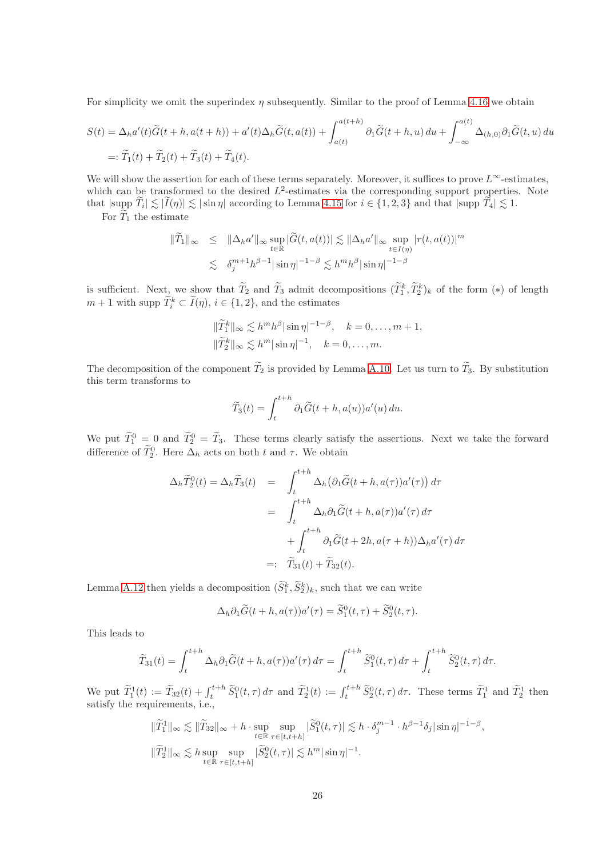For simplicity we omit the superindex  $\eta$  subsequently. Similar to the proof of Lemma [4.16](#page-20-1) we obtain

$$
S(t) = \Delta_h a'(t)\tilde{G}(t+h, a(t+h)) + a'(t)\Delta_h \tilde{G}(t, a(t)) + \int_{a(t)}^{a(t+h)} \partial_1 \tilde{G}(t+h, u) du + \int_{-\infty}^{a(t)} \Delta_{(h,0)} \partial_1 \tilde{G}(t, u) du
$$
  
=:  $\tilde{T}_1(t) + \tilde{T}_2(t) + \tilde{T}_3(t) + \tilde{T}_4(t)$ .

We will show the assertion for each of these terms separately. Moreover, it suffices to prove  $L^{\infty}$ -estimates, which can be transformed to the desired  $L^2$ -estimates via the corresponding support properties. Note that  $|\text{supp } T_i| \lesssim |I(\eta)| \lesssim |\sin \eta|$  according to Lemma [4.15](#page-19-1) for  $i \in \{1, 2, 3\}$  and that  $|\text{supp } T_4| \lesssim 1$ .

For  $T_1$  the estimate

$$
\|\widetilde{T}_1\|_{\infty} \leq \|\Delta_h a'\|_{\infty} \sup_{t \in \mathbb{R}} |\widetilde{G}(t, a(t))| \lesssim \|\Delta_h a'\|_{\infty} \sup_{t \in I(\eta)} |r(t, a(t))|^m
$$
  

$$
\lesssim \delta_j^{m+1} h^{\beta-1} |\sin \eta|^{-1-\beta} \lesssim h^m h^{\beta} |\sin \eta|^{-1-\beta}
$$

is sufficient. Next, we show that  $T_2$  and  $T_3$  admit decompositions  $(T_1^k, T_2^k)_k$  of the form  $(*)$  of length  $m + 1$  with supp  $\tilde{T}_i^k \subset \tilde{I}(\eta), i \in \{1, 2\}$ , and the estimates

$$
\|\widetilde{T}_1^k\|_{\infty} \lesssim h^m h^{\beta} |\sin \eta|^{-1-\beta}, \quad k = 0, \dots, m+1,
$$
  

$$
\|\widetilde{T}_2^k\|_{\infty} \lesssim h^m |\sin \eta|^{-1}, \quad k = 0, \dots, m.
$$

The decomposition of the component  $\widetilde{T}_2$  is provided by Lemma [A.10.](#page-36-0) Let us turn to  $\widetilde{T}_3$ . By substitution this term transforms to

$$
\widetilde{T}_3(t) = \int_t^{t+h} \partial_1 \widetilde{G}(t+h, a(u)) a'(u) \, du.
$$

We put  $\tilde{T}_1^0 = 0$  and  $\tilde{T}_2^0 = \tilde{T}_3$ . These terms clearly satisfy the assertions. Next we take the forward difference of  $T_2^0$ . Here  $\Delta_h$  acts on both t and  $\tau$ . We obtain

$$
\Delta_h \widetilde{T}_2^0(t) = \Delta_h \widetilde{T}_3(t) = \int_t^{t+h} \Delta_h (\partial_1 \widetilde{G}(t+h, a(\tau))a'(\tau)) d\tau
$$
  

$$
= \int_t^{t+h} \Delta_h \partial_1 \widetilde{G}(t+h, a(\tau))a'(\tau) d\tau
$$
  

$$
+ \int_t^{t+h} \partial_1 \widetilde{G}(t+2h, a(\tau+h)) \Delta_h a'(\tau) d\tau
$$
  

$$
=: \widetilde{T}_{31}(t) + \widetilde{T}_{32}(t).
$$

Lemma [A.12](#page-40-0) then yields a decomposition  $(S_1^k, S_2^k)_k$ , such that we can write

$$
\Delta_h \partial_1 \widetilde{G}(t + h, a(\tau))a'(\tau) = \widetilde{S}_1^0(t, \tau) + \widetilde{S}_2^0(t, \tau).
$$

This leads to

$$
\widetilde{T}_{31}(t) = \int_{t}^{t+h} \Delta_h \partial_1 \widetilde{G}(t+h, a(\tau)) a'(\tau) d\tau = \int_{t}^{t+h} \widetilde{S}_1^0(t, \tau) d\tau + \int_{t}^{t+h} \widetilde{S}_2^0(t, \tau) d\tau.
$$

We put  $\widetilde{T}_1^1(t) := \widetilde{T}_{32}(t) + \int_t^{t+h} \widetilde{S}_1^0(t,\tau) d\tau$  and  $\widetilde{T}_2^1(t) := \int_t^{t+h} \widetilde{S}_2^0(t,\tau) d\tau$ . These terms  $\widetilde{T}_1^1$  and  $\widetilde{T}_2^1$  then satisfy the requirements, i.e.,

$$
\begin{aligned} \|\widetilde{T}_1^1\|_\infty &\lesssim \|\widetilde{T}_{32}\|_\infty + h \cdot \sup_{t\in\mathbb{R}} \sup_{\tau\in[t,t+h]} |\widetilde{S}_1^0(t,\tau)| \lesssim h \cdot \delta_j^{m-1} \cdot h^{\beta-1} \delta_j |\sin \eta|^{-1-\beta}, \\ \|\widetilde{T}_2^1\|_\infty &\lesssim h \sup_{t\in\mathbb{R}} \sup_{\tau\in[t,t+h]} |\widetilde{S}_2^0(t,\tau)| \lesssim h^m |\sin \eta|^{-1}. \end{aligned}
$$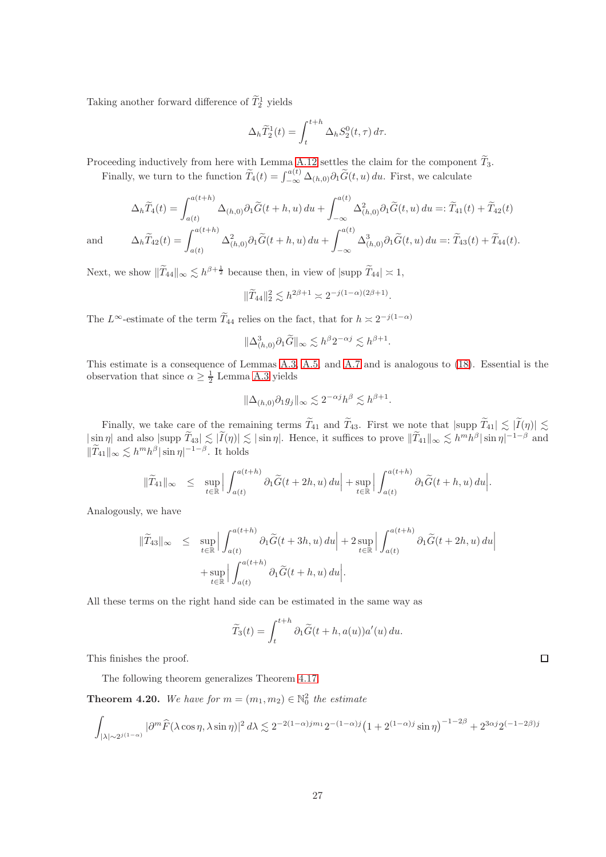Taking another forward difference of  $\tilde{T}_2^1$  yields

$$
\Delta_h \widetilde{T}_2^1(t) = \int_t^{t+h} \Delta_h S_2^0(t,\tau) d\tau.
$$

Proceeding inductively from here with Lemma [A.12](#page-40-0) settles the claim for the component  $\widetilde{T}_3$ .

Finally, we turn to the function  $\widetilde{T}_4(t) = \int_{-\infty}^{a(t)} \Delta_{(h,0)} \partial_1 \widetilde{G}(t, u) du$ . First, we calculate

$$
\Delta_h \widetilde{T}_4(t) = \int_{a(t)}^{a(t+h)} \Delta_{(h,0)} \partial_1 \widetilde{G}(t+h, u) du + \int_{-\infty}^{a(t)} \Delta_{(h,0)}^2 \partial_1 \widetilde{G}(t, u) du =: \widetilde{T}_{41}(t) + \widetilde{T}_{42}(t)
$$
  
and 
$$
\Delta_h \widetilde{T}_{42}(t) = \int_{a(t)}^{a(t+h)} \Delta_{(h,0)}^2 \partial_1 \widetilde{G}(t+h, u) du + \int_{-\infty}^{a(t)} \Delta_{(h,0)}^3 \partial_1 \widetilde{G}(t, u) du =: \widetilde{T}_{43}(t) + \widetilde{T}_{44}(t).
$$

Next, we show  $\|\widetilde{T}_{44}\|_{\infty} \lesssim h^{\beta + \frac{1}{2}}$  because then, in view of  $|\text{supp }\widetilde{T}_{44}| \asymp 1$ ,

$$
\|\widetilde{T}_{44}\|_2^2 \lesssim h^{2\beta+1} \asymp 2^{-j(1-\alpha)(2\beta+1)}.
$$

The  $L^{\infty}$ -estimate of the term  $\tilde{T}_{44}$  relies on the fact, that for  $h \approx 2^{-j(1-\alpha)}$ 

$$
\|\Delta^3_{(h,0)}\partial_1\widetilde{G}\|_\infty \lesssim h^{\beta}2^{-\alpha j} \lesssim h^{\beta+1}
$$

.

This estimate is a consequence of Lemmas [A.3,](#page-33-0) [A.5,](#page-34-2) and [A.7](#page-35-0) and is analogous to [\(18\)](#page-13-2). Essential is the observation that since  $\alpha \geq \frac{1}{2}$  Lemma [A.3](#page-33-0) yields

$$
\|\Delta_{(h,0)}\partial_1 g_j\|_{\infty} \lesssim 2^{-\alpha j} h^{\beta} \lesssim h^{\beta+1}.
$$

Finally, we take care of the remaining terms  $T_{41}$  and  $T_{43}$ . First we note that  $|\text{supp }T_{41}| \lesssim |I(\eta)| \lesssim$  $|\sin \eta|$  and also  $|\text{supp } T_{43}| \lesssim |\tilde{I}(\eta)| \lesssim |\sin \eta|$ . Hence, it suffices to prove  $\|\tilde{T}_{41}\|_{\infty} \lesssim h^{m}h^{\beta}|\sin \eta|^{-1-\beta}$  and  $||T_{41}||_{\infty} \lesssim h^{m}h^{\beta}|\sin \eta|^{-1-\beta}$ . It holds

$$
\|\widetilde{T}_{41}\|_{\infty} \leq \sup_{t \in \mathbb{R}} \Big| \int_{a(t)}^{a(t+h)} \partial_1 \widetilde{G}(t+2h,u) \, du \Big| + \sup_{t \in \mathbb{R}} \Big| \int_{a(t)}^{a(t+h)} \partial_1 \widetilde{G}(t+h,u) \, du \Big|.
$$

Analogously, we have

$$
\begin{aligned}\n\|\widetilde{T}_{43}\|_{\infty} &\leq \sup_{t\in\mathbb{R}} \left| \int_{a(t)}^{a(t+h)} \partial_1 \widetilde{G}(t+3h,u) \, du \right| + 2 \sup_{t\in\mathbb{R}} \left| \int_{a(t)}^{a(t+h)} \partial_1 \widetilde{G}(t+2h,u) \, du \right| \\
&\quad + \sup_{t\in\mathbb{R}} \left| \int_{a(t)}^{a(t+h)} \partial_1 \widetilde{G}(t+h,u) \, du \right|\n\end{aligned}
$$

All these terms on the right hand side can be estimated in the same way as

$$
\widetilde{T}_3(t) = \int_t^{t+h} \partial_1 \widetilde{G}(t+h, a(u)) a'(u) \, du.
$$

This finishes the proof.

The following theorem generalizes Theorem [4.17.](#page-22-0)

**Theorem 4.20.** We have for  $m = (m_1, m_2) \in \mathbb{N}_0^2$  the estimate

$$
\int_{|\lambda|\sim 2^{j(1-\alpha)}} |\partial^m \widehat{F}(\lambda \cos\eta,\lambda \sin\eta)|^2\,d\lambda \lesssim 2^{-2(1-\alpha)jm_1}2^{-(1-\alpha)j}\left(1+2^{(1-\alpha)j}\sin\eta\right)^{-1-2\beta}+2^{3\alpha j}2^{(-1-2\beta)j}
$$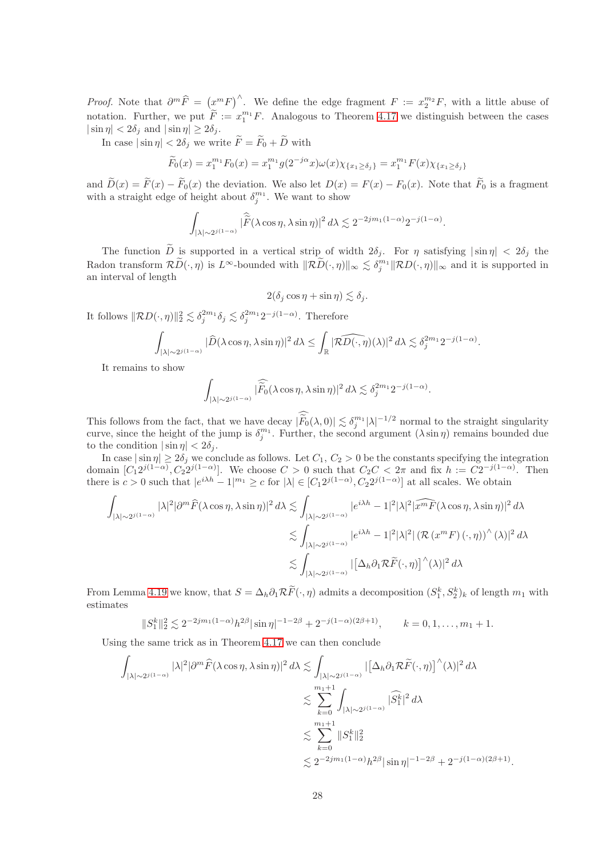*Proof.* Note that  $\partial^m \widehat{F} = (x^m F)^{\wedge}$ . We define the edge fragment  $F := x_2^{m_2} F$ , with a little abuse of notation. Further, we put  $\widetilde{F} := x_1^{m_1} F$ . Analogous to Theorem [4.17](#page-22-0) we distinguish between the cases  $|\sin \eta| < 2\delta_i$  and  $|\sin \eta| \ge 2\delta_i$ .

In case  $|\sin \eta| < 2\delta_j$  we write  $\widetilde{F} = \widetilde{F}_0 + \widetilde{D}$  with

$$
\widetilde{F}_0(x) = x_1^{m_1} F_0(x) = x_1^{m_1} g(2^{-j\alpha} x) \omega(x) \chi_{\{x_1 \ge \delta_j\}} = x_1^{m_1} F(x) \chi_{\{x_1 \ge \delta_j\}}
$$

and  $D(x) = F(x) - F_0(x)$  the deviation. We also let  $D(x) = F(x) - F_0(x)$ . Note that  $F_0$  is a fragment with a straight edge of height about  $\delta_j^{m_1}$ . We want to show

$$
\int_{|\lambda| \sim 2^{j(1-\alpha)}} |\widehat{\widetilde{F}}(\lambda \cos \eta, \lambda \sin \eta)|^2 d\lambda \lesssim 2^{-2jm_1(1-\alpha)} 2^{-j(1-\alpha)}.
$$

The function  $\tilde{D}$  is supported in a vertical strip of width  $2\delta_i$ . For  $\eta$  satisfying  $|\sin \eta| < 2\delta_i$  the Radon transform  $\mathcal{R}\widetilde{D}(\cdot,\eta)$  is  $L^{\infty}$ -bounded with  $\|\mathcal{R}\widetilde{D}(\cdot,\eta)\|_{\infty} \lesssim \delta_j^{m_1} \|\mathcal{R}D(\cdot,\eta)\|_{\infty}$  and it is supported in an interval of length

$$
2(\delta_j \cos \eta + \sin \eta) \lesssim \delta_j.
$$

It follows  $\|\mathcal{R}D(\cdot, \eta)\|_2^2 \lesssim \delta_j^{2m_1}\delta_j \lesssim \delta_j^{2m_1}2^{-j(1-\alpha)}$ . Therefore

$$
\int_{|\lambda|\sim 2^{j(1-\alpha)}} |\widehat D(\lambda \cos\eta,\lambda \sin\eta)|^2\,d\lambda\leq \int_{\mathbb R} |\widehat{\mathcal{RD}(\cdot,\eta)}(\lambda)|^2\,d\lambda\lesssim \delta_j^{2m_1} 2^{-j(1-\alpha)}.
$$

It remains to show

$$
\int_{|\lambda|\sim 2^{j(1-\alpha)}} |\widehat{\tilde{F}_0}(\lambda \cos\eta,\lambda \sin\eta)|^2\,d\lambda \lesssim \delta_j^{2m_1} 2^{-j(1-\alpha)}.
$$

This follows from the fact, that we have decay  $|\widetilde{F}_0(\lambda, 0)| \lesssim \delta_j^{m_1} |\lambda|^{-1/2}$  normal to the straight singularity curve, since the height of the jump is  $\delta_j^{m_1}$ . Further, the second argument  $(\lambda \sin \eta)$  remains bounded due to the condition  $|\sin \eta| < 2\delta_i$ .

In case  $|\sin \eta| \ge 2\delta_j$  we conclude as follows. Let  $C_1$ ,  $C_2 > 0$  be the constants specifying the integration domain  $[C_1 2^{j(1-\alpha)}, C_2 2^{j(1-\alpha)}]$ . We choose  $C > 0$  such that  $C_2 C < 2\pi$  and fix  $h := C 2^{-j(1-\alpha)}$ . Then there is  $c > 0$  such that  $|e^{i\lambda h} - 1|^{m_1} \ge c$  for  $|\lambda| \in [C_1 2^{j(1-\alpha)}, C_2 2^{j(1-\alpha)}]$  at all scales. We obtain

$$
\begin{split} \int_{|\lambda| \sim 2^{j(1-\alpha)}} |\lambda|^2 |\partial^m \widehat{F}(\lambda \cos \eta, \lambda \sin \eta)|^2 \, d\lambda &\lesssim \int_{|\lambda| \sim 2^{j(1-\alpha)}} |e^{i\lambda h} - 1|^2 |\lambda|^2 |\widehat{x^m F}(\lambda \cos \eta, \lambda \sin \eta)|^2 \, d\lambda \\ &\lesssim \int_{|\lambda| \sim 2^{j(1-\alpha)}} |e^{i\lambda h} - 1|^2 |\lambda|^2 |\left(\mathcal{R} \left(x^m F\right)(\cdot, \eta)\right)^\wedge (\lambda)|^2 \, d\lambda \\ &\lesssim \int_{|\lambda| \sim 2^{j(1-\alpha)}} |\left[\Delta_h \partial_1 \mathcal{R} \widetilde{F}(\cdot, \eta)\right]^\wedge (\lambda)|^2 \, d\lambda \end{split}
$$

From Lemma [4.19](#page-24-2) we know, that  $S = \Delta_h \partial_1 \mathcal{R} F(\cdot, \eta)$  admits a decomposition  $(S_1^k, S_2^k)_k$  of length  $m_1$  with estimates

$$
||S_1^k||_2^2 \lesssim 2^{-2jm_1(1-\alpha)}h^{2\beta}|\sin\eta|^{-1-2\beta} + 2^{-j(1-\alpha)(2\beta+1)}, \qquad k = 0, 1, \dots, m_1 + 1.
$$

Using the same trick as in Theorem [4.17](#page-22-0) we can then conclude

$$
\int_{|\lambda| \sim 2^{j(1-\alpha)}} |\lambda|^2 |\partial^m \widehat{F}(\lambda \cos \eta, \lambda \sin \eta)|^2 d\lambda \lesssim \int_{|\lambda| \sim 2^{j(1-\alpha)}} |[\Delta_h \partial_1 \mathcal{R} \widetilde{F}(\cdot, \eta)]^\wedge(\lambda)|^2 d\lambda
$$
  

$$
\lesssim \sum_{k=0}^{m_1+1} \int_{|\lambda| \sim 2^{j(1-\alpha)}} |\widehat{S}_1^k|^2 d\lambda
$$
  

$$
\lesssim \sum_{k=0}^{m_1+1} \|S_1^k\|_2^2
$$
  

$$
\lesssim 2^{-2jm_1(1-\alpha)} h^{2\beta} |\sin \eta|^{-1-2\beta} + 2^{-j(1-\alpha)(2\beta+1)}.
$$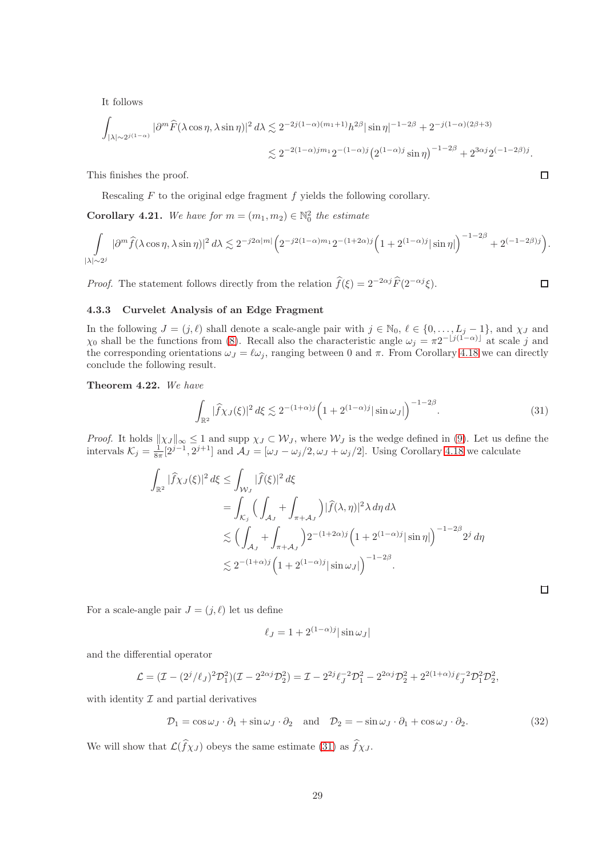It follows

$$
\int_{|\lambda| \sim 2^{j(1-\alpha)}} |\partial^m \widehat{F}(\lambda \cos \eta, \lambda \sin \eta)|^2 d\lambda \lesssim 2^{-2j(1-\alpha)(m_1+1)} h^{2\beta} |\sin \eta|^{-1-2\beta} + 2^{-j(1-\alpha)(2\beta+3)} \leq 2^{-2(1-\alpha)jm_1} 2^{-(1-\alpha)j} (2^{(1-\alpha)j} \sin \eta)^{-1-2\beta} + 2^{3\alpha j} 2^{(-1-2\beta)j}.
$$

This finishes the proof.

Rescaling  $F$  to the original edge fragment  $f$  yields the following corollary.

<span id="page-28-2"></span>**Corollary 4.21.** We have for  $m = (m_1, m_2) \in \mathbb{N}_0^2$  the estimate

$$
\int\limits_{|\lambda|\sim 2^j}|\partial^m \widehat{f}(\lambda \cos\eta,\lambda \sin\eta)|^2\,d\lambda \lesssim 2^{-j2\alpha|m|}\Big(2^{-j2(1-\alpha)m_1}2^{-(1+2\alpha)j}\Big(1+2^{(1-\alpha)j}|\sin\eta|\Big)^{-1-2\beta}+2^{(-1-2\beta)j}\Big).
$$

*Proof.* The statement follows directly from the relation  $\hat{f}(\xi) = 2^{-2\alpha j} \hat{F}(2^{-\alpha j} \xi)$ .

## 4.3.3 Curvelet Analysis of an Edge Fragment

In the following  $J = (j, \ell)$  shall denote a scale-angle pair with  $j \in \mathbb{N}_0$ ,  $\ell \in \{0, \ldots, L_j - 1\}$ , and  $\chi_J$  and  $\chi_0$  shall be the functions from [\(8\)](#page-8-0). Recall also the characteristic angle  $\omega_j = \pi 2^{-\lfloor j(1-\alpha)\rfloor}$  at scale j and the corresponding orientations  $\omega_J = \ell \omega_j$ , ranging between 0 and  $\pi$ . From Corollary [4.18](#page-24-0) we can directly conclude the following result.

<span id="page-28-3"></span>Theorem 4.22. We have

$$
\int_{\mathbb{R}^2} |\widehat{f}\chi_J(\xi)|^2 d\xi \lesssim 2^{-(1+\alpha)j} \left(1 + 2^{(1-\alpha)j} |\sin \omega_J|\right)^{-1-2\beta}.
$$
\n(31)

*Proof.* It holds  $\|\chi_J\|_{\infty} \leq 1$  and supp  $\chi_J \subset \mathcal{W}_J$ , where  $\mathcal{W}_J$  is the wedge defined in [\(9\)](#page-9-1). Let us define the intervals  $\mathcal{K}_j = \frac{1}{8\pi} [2^{j-1}, 2^{j+1}]$  and  $\mathcal{A}_J = [\omega_J - \omega_j/2, \omega_J + \omega_j/2]$ . Using Corollary [4.18](#page-24-0) we calculate

$$
\int_{\mathbb{R}^2} |\widehat{f}\chi_J(\xi)|^2 d\xi \le \int_{\mathcal{W}_J} |\widehat{f}(\xi)|^2 d\xi
$$
  
= 
$$
\int_{\mathcal{K}_j} \Big( \int_{\mathcal{A}_J} + \int_{\pi+\mathcal{A}_J} \Big) |\widehat{f}(\lambda,\eta)|^2 \lambda d\eta d\lambda
$$
  

$$
\lesssim \Big( \int_{\mathcal{A}_J} + \int_{\pi+\mathcal{A}_J} \Big) 2^{-(1+2\alpha)j} \Big( 1 + 2^{(1-\alpha)j} |\sin \eta| \Big)^{-1-2\beta} 2^j d\eta
$$
  

$$
\lesssim 2^{-(1+\alpha)j} \Big( 1 + 2^{(1-\alpha)j} |\sin \omega_J| \Big)^{-1-2\beta}.
$$

For a scale-angle pair  $J = (j, \ell)$  let us define

<span id="page-28-1"></span>
$$
\ell_J = 1 + 2^{(1-\alpha)j} |\sin \omega_J|
$$

and the differential operator

$$
\mathcal{L} = (\mathcal{I} - (2^{j}/\ell_{J})^{2} \mathcal{D}_{1}^{2}) (\mathcal{I} - 2^{2\alpha_{J}} \mathcal{D}_{2}^{2}) = \mathcal{I} - 2^{2j} \ell_{J}^{-2} \mathcal{D}_{1}^{2} - 2^{2\alpha_{J}} \mathcal{D}_{2}^{2} + 2^{2(1+\alpha)j} \ell_{J}^{-2} \mathcal{D}_{1}^{2} \mathcal{D}_{2}^{2},
$$

with identity  $\mathcal I$  and partial derivatives

$$
\mathcal{D}_1 = \cos \omega_J \cdot \partial_1 + \sin \omega_J \cdot \partial_2 \quad \text{and} \quad \mathcal{D}_2 = -\sin \omega_J \cdot \partial_1 + \cos \omega_J \cdot \partial_2. \tag{32}
$$

We will show that  $\mathcal{L}(\widehat{f}\chi_J)$  obeys the same estimate [\(31\)](#page-28-0) as  $\widehat{f}\chi_J$ .

 $\Box$ 

<span id="page-28-0"></span> $\Box$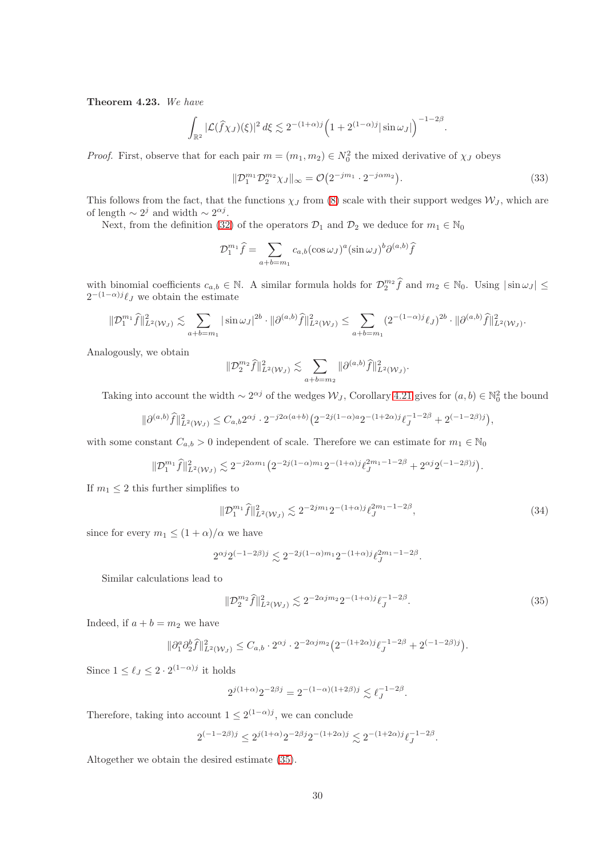<span id="page-29-1"></span>Theorem 4.23. We have

$$
\int_{\mathbb{R}^2} |\mathcal{L}(\widehat{f}\chi_J)(\xi)|^2 d\xi \lesssim 2^{-(1+\alpha)j} \Big(1+2^{(1-\alpha)j}|\sin \omega_J|\Big)^{-1-2\beta}.
$$

*Proof.* First, observe that for each pair  $m = (m_1, m_2) \in N_0^2$  the mixed derivative of  $\chi_J$  obeys

<span id="page-29-3"></span>
$$
\|\mathcal{D}_1^{m_1}\mathcal{D}_2^{m_2}\chi_J\|_{\infty} = \mathcal{O}\big(2^{-jm_1} \cdot 2^{-j\alpha m_2}\big). \tag{33}
$$

This follows from the fact, that the functions  $\chi_J$  from [\(8\)](#page-8-0) scale with their support wedges  $\mathcal{W}_J$ , which are of length  $\sim 2^j$  and width  $\sim 2^{\alpha j}$ .

Next, from the definition [\(32\)](#page-28-1) of the operators  $\mathcal{D}_1$  and  $\mathcal{D}_2$  we deduce for  $m_1 \in \mathbb{N}_0$ 

$$
\mathcal{D}_1^{m_1} \widehat{f} = \sum_{a+b=m_1} c_{a,b} (\cos \omega_J)^a (\sin \omega_J)^b \partial^{(a,b)} \widehat{f}
$$

with binomial coefficients  $c_{a,b} \in \mathbb{N}$ . A similar formula holds for  $\mathcal{D}_2^{m_2} \hat{f}$  and  $m_2 \in \mathbb{N}_0$ . Using  $|\sin \omega_J| \leq$  $2^{-(1-\alpha)j}\ell_j$  we obtain the estimate

$$
\|\mathcal{D}_1^{m_1}\widehat{f}\|^2_{L^2(\mathcal{W}_J)} \lesssim \sum_{a+b=m_1} |\sin \omega_J|^{2b} \cdot \|\partial^{(a,b)}\widehat{f}\|^2_{L^2(\mathcal{W}_J)} \le \sum_{a+b=m_1} (2^{-(1-\alpha)j} \ell_J)^{2b} \cdot \|\partial^{(a,b)}\widehat{f}\|^2_{L^2(\mathcal{W}_J)}.
$$

Analogously, we obtain

$$
\|\mathcal{D}_2^{m_2}\widehat{f}\|_{L^2(\mathcal{W}_J)}^2 \lesssim \sum_{a+b=m_2} \|\partial^{(a,b)}\widehat{f}\|_{L^2(\mathcal{W}_J)}^2.
$$

Taking into account the width  $\sim 2^{\alpha j}$  of the wedges  $\mathcal{W}_J$ , Corollary [4.21](#page-28-2) gives for  $(a, b) \in \mathbb{N}_0^2$  the bound

$$
\|\partial^{(a,b)}\widehat{f}\|^2_{L^2(\mathcal{W}_J)} \leq C_{a,b}2^{\alpha j}\cdot 2^{-j2\alpha(a+b)}\big(2^{-2j(1-\alpha)a}2^{-(1+2\alpha)j}\ell_J^{-1-2\beta} + 2^{(-1-2\beta)j}\big),
$$

with some constant  $C_{a,b} > 0$  independent of scale. Therefore we can estimate for  $m_1 \in \mathbb{N}_0$ 

$$
\| \mathcal{D}^{m_1}_{1} \widehat{f} \|^2_{L^2(\mathcal{W}_J)} \lesssim 2^{-j2\alpha m_1} \big( 2^{-2j(1-\alpha)m_1} 2^{-(1+\alpha)j} \ell^{2m_1-1-2\beta}_J + 2^{\alpha j} 2^{(-1-2\beta)j} \big).
$$

If  $m_1 \leq 2$  this further simplifies to

<span id="page-29-2"></span>
$$
\|\mathcal{D}_1^{m_1}\widehat{f}\|_{L^2(\mathcal{W}_J)}^2 \lesssim 2^{-2jm_1} 2^{-(1+\alpha)j} \ell_J^{2m_1-1-2\beta},\tag{34}
$$

since for every  $m_1 \leq (1 + \alpha)/\alpha$  we have

$$
2^{\alpha j} 2^{(-1-2\beta)j} \lesssim 2^{-2j(1-\alpha)m_1} 2^{-(1+\alpha)j} \ell_j^{2m_1-1-2\beta}.
$$

Similar calculations lead to

<span id="page-29-0"></span>
$$
\|\mathcal{D}_2^{m_2}\widehat{f}\|_{L^2(\mathcal{W}_J)}^2 \lesssim 2^{-2\alpha j m_2} 2^{-(1+\alpha)j} \ell_J^{-1-2\beta}.
$$
\n(35)

Indeed, if  $a + b = m_2$  we have

$$
\|\partial_1^a \partial_2^b \widehat{f}\|_{L^2(\mathcal{W}_J)}^2 \leq C_{a,b} \cdot 2^{\alpha j} \cdot 2^{-2\alpha j m_2} \big( 2^{-(1+2\alpha)j} \ell_J^{-1-2\beta} + 2^{(-1-2\beta)j} \big).
$$

Since  $1 \leq \ell_j \leq 2 \cdot 2^{(1-\alpha)j}$  it holds

$$
2^{j(1+\alpha)} 2^{-2\beta j} = 2^{-(1-\alpha)(1+2\beta)j} \lesssim \ell_J^{-1-2\beta}.
$$

Therefore, taking into account  $1 \leq 2^{(1-\alpha)j}$ , we can conclude

$$
2^{(-1-2\beta)j}\leq 2^{j(1+\alpha)}2^{-2\beta j}2^{-(1+2\alpha)j}\lesssim 2^{-(1+2\alpha)j}\ell_J^{-1-2\beta}.
$$

Altogether we obtain the desired estimate [\(35\)](#page-29-0).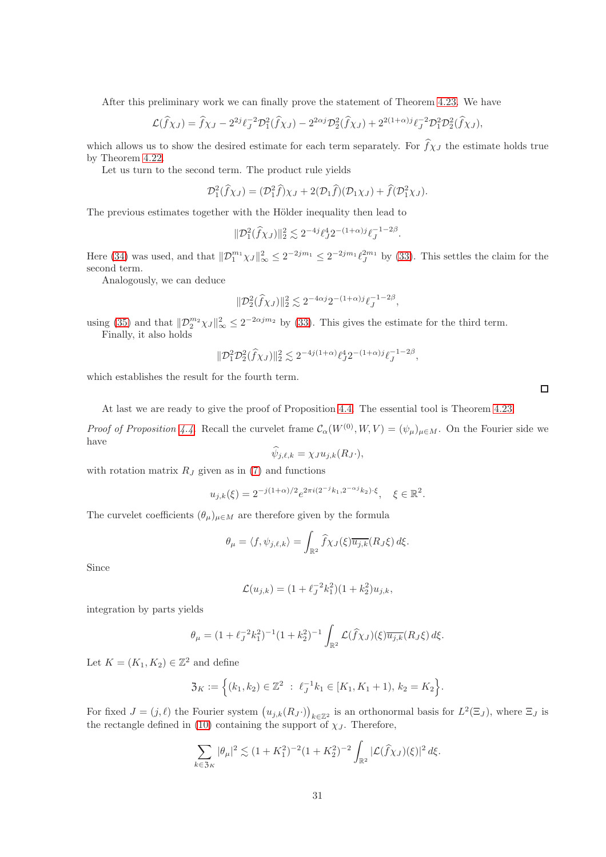After this preliminary work we can finally prove the statement of Theorem [4.23.](#page-29-1) We have

$$
\mathcal{L}(\hat{f}\chi_J) = \hat{f}\chi_J - 2^{2j}\ell_J^{-2}\mathcal{D}_1^2(\hat{f}\chi_J) - 2^{2\alpha j}\mathcal{D}_2^2(\hat{f}\chi_J) + 2^{2(1+\alpha)j}\ell_J^{-2}\mathcal{D}_1^2\mathcal{D}_2^2(\hat{f}\chi_J),
$$

which allows us to show the desired estimate for each term separately. For  $\hat{f}\chi_J$  the estimate holds true by Theorem [4.22.](#page-28-3)

Let us turn to the second term. The product rule yields

$$
\mathcal{D}_1^2(\widehat{f}\chi_J) = (\mathcal{D}_1^2\widehat{f})\chi_J + 2(\mathcal{D}_1\widehat{f})(\mathcal{D}_1\chi_J) + \widehat{f}(\mathcal{D}_1^2\chi_J).
$$

The previous estimates together with the Hölder inequality then lead to

$$
\|\mathcal{D}_1^2(\widehat{f}\chi_J)\|_2^2 \lesssim 2^{-4j}\ell_J^4 2^{-(1+\alpha)j}\ell_J^{-1-2\beta}.
$$

Here [\(34\)](#page-29-2) was used, and that  $||\mathcal{D}_1^{m_1}\chi_J||_{\infty}^2 \leq 2^{-2jm_1} \leq 2^{-2jm_1} \ell_J^{2m_1}$  by [\(33\)](#page-29-3). This settles the claim for the second term.

Analogously, we can deduce

$$
\| \mathcal{D}_2^2 (\widehat{f} \chi_J) \|_2^2 \lesssim 2^{-4\alpha j} 2^{-(1+\alpha)j} \ell_J^{-1-2\beta},
$$

using [\(35\)](#page-29-0) and that  $\|\mathcal{D}_2^{m_2}\chi_J\|_{\infty}^2 \leq 2^{-2\alpha j m_2}$  by [\(33\)](#page-29-3). This gives the estimate for the third term. Finally, it also holds

$$
\|\mathcal{D}_1^2\mathcal{D}_2^2(\hat{f}\chi_J)\|_2^2 \lesssim 2^{-4j(1+\alpha)}\ell_J^4 2^{-(1+\alpha)j}\ell_J^{-1-2\beta},
$$

which establishes the result for the fourth term.

At last we are ready to give the proof of Proposition [4.4.](#page-12-2) The essential tool is Theorem [4.23.](#page-29-1)

*Proof of Proposition [4.4.](#page-12-2)* Recall the curvelet frame  $\mathcal{C}_{\alpha}(W^{(0)}, W, V) = (\psi_{\mu})_{\mu \in M}$ . On the Fourier side we have

$$
\widehat{\psi}_{j,\ell,k} = \chi_J u_{j,k}(R_J \cdot),
$$

with rotation matrix  $R_J$  given as in [\(7\)](#page-8-1) and functions

$$
u_{j,k}(\xi) = 2^{-j(1+\alpha)/2} e^{2\pi i (2^{-j}k_1, 2^{-\alpha j}k_2) \cdot \xi}, \quad \xi \in \mathbb{R}^2.
$$

The curvelet coefficients  $(\theta_{\mu})_{\mu \in M}$  are therefore given by the formula

$$
\theta_{\mu} = \langle f, \psi_{j,\ell,k} \rangle = \int_{\mathbb{R}^2} \widehat{f} \chi_J(\xi) \overline{u_{j,k}}(R_J \xi) d\xi.
$$

Since

$$
\mathcal{L}(u_{j,k}) = (1 + \ell_j^{-2} k_1^2)(1 + k_2^2)u_{j,k},
$$

integration by parts yields

$$
\theta_{\mu} = (1 + \ell_J^{-2} k_1^2)^{-1} (1 + k_2^2)^{-1} \int_{\mathbb{R}^2} \mathcal{L}(\hat{f} \chi_J)(\xi) \overline{u_{j,k}}(R_J \xi) d\xi.
$$

Let  $K = (K_1, K_2) \in \mathbb{Z}^2$  and define

$$
\mathfrak{Z}_K := \Big\{ (k_1, k_2) \in \mathbb{Z}^2 \ : \ \ell_J^{-1} k_1 \in [K_1, K_1 + 1), \ k_2 = K_2 \Big\}.
$$

For fixed  $J = (j, \ell)$  the Fourier system  $(u_{j,k}(R_J \cdot))_{k \in \mathbb{Z}^2}$  is an orthonormal basis for  $L^2(\Xi_J)$ , where  $\Xi_J$  is the rectangle defined in [\(10\)](#page-9-2) containing the support of  $\chi_J$ . Therefore,

$$
\sum_{k \in 3_K} |\theta_\mu|^2 \lesssim (1 + K_1^2)^{-2} (1 + K_2^2)^{-2} \int_{\mathbb{R}^2} |\mathcal{L}(\widehat{f}\chi_J)(\xi)|^2 d\xi.
$$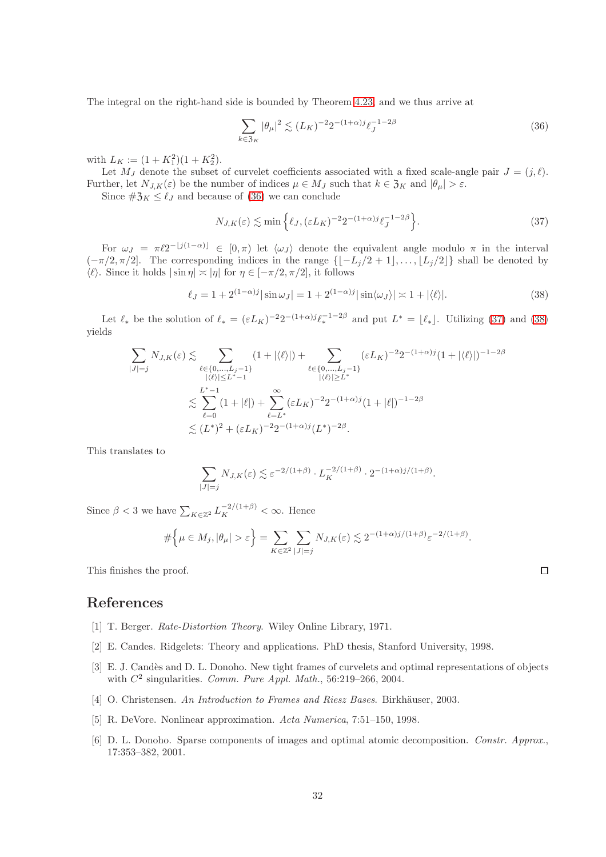The integral on the right-hand side is bounded by Theorem [4.23,](#page-29-1) and we thus arrive at

<span id="page-31-7"></span><span id="page-31-6"></span>
$$
\sum_{k \in \mathfrak{Z}_K} |\theta_\mu|^2 \lesssim (L_K)^{-2} 2^{-(1+\alpha)j} \ell_J^{-1-2\beta} \tag{36}
$$

with  $L_K := (1 + K_1^2)(1 + K_2^2)$ .

Let  $M_J$  denote the subset of curvelet coefficients associated with a fixed scale-angle pair  $J = (j, \ell)$ . Further, let  $N_{J,K}(\varepsilon)$  be the number of indices  $\mu \in M_J$  such that  $k \in \mathfrak{Z}_K$  and  $|\theta_\mu| > \varepsilon$ .

Since  $\#\mathfrak{Z}_K \leq \ell_J$  and because of [\(36\)](#page-31-6) we can conclude

<span id="page-31-8"></span>
$$
N_{J,K}(\varepsilon) \lesssim \min\left\{\ell_J, (\varepsilon L_K)^{-2} 2^{-(1+\alpha)j} \ell_J^{-1-2\beta}\right\}.
$$
\n(37)

For  $\omega_J = \pi \ell 2^{-\lfloor j(1-\alpha)\rfloor} \in [0, \pi)$  let  $\langle \omega_J \rangle$  denote the equivalent angle modulo  $\pi$  in the interval  $(-\pi/2, \pi/2]$ . The corresponding indices in the range  $\{[-L_j/2 + 1], \ldots, [L_j/2]\}$  shall be denoted by  $\langle \ell \rangle$ . Since it holds  $|\sin \eta| \asymp |\eta|$  for  $\eta \in [-\pi/2, \pi/2]$ , it follows

$$
\ell_J = 1 + 2^{(1-\alpha)j} |\sin \omega_J| = 1 + 2^{(1-\alpha)j} |\sin \langle \omega_J \rangle| \approx 1 + |\langle \ell \rangle|.
$$
 (38)

Let  $\ell_*$  be the solution of  $\ell_* = (\varepsilon L_K)^{-2} 2^{-(1+\alpha)j} \ell_*^{-1-2\beta}$  and put  $L^* = \lfloor \ell_* \rfloor$ . Utilizing [\(37\)](#page-31-7) and [\(38\)](#page-31-8) yields

$$
\sum_{|J|=j} N_{J,K}(\varepsilon) \lesssim \sum_{\substack{\ell \in \{0,\dots,L_j-1\} \\ |\langle \ell \rangle| \le L^*-1}} (1+|\langle \ell \rangle|) + \sum_{\substack{\ell \in \{0,\dots,L_j-1\} \\ |\langle \ell \rangle| \ge L^*}} (\varepsilon L_K)^{-2} 2^{-(1+\alpha)j} (1+|\langle \ell \rangle|)^{-1-2\beta}
$$
  

$$
\lesssim \sum_{\ell=0}^{L^*-1} (1+|\ell|) + \sum_{\ell=L^*}^{\infty} (\varepsilon L_K)^{-2} 2^{-(1+\alpha)j} (1+|\ell|)^{-1-2\beta}
$$
  

$$
\lesssim (L^*)^2 + (\varepsilon L_K)^{-2} 2^{-(1+\alpha)j} (L^*)^{-2\beta}.
$$

This translates to

$$
\sum_{|J|=j} N_{J,K}(\varepsilon) \lesssim \varepsilon^{-2/(1+\beta)} \cdot L_K^{-2/(1+\beta)} \cdot 2^{-(1+\alpha)j/(1+\beta)}.
$$

Since  $\beta < 3$  we have  $\sum_{K \in \mathbb{Z}^2} L_K^{-2/(1+\beta)} < \infty$ . Hence

$$
\#\Big\{\mu\in M_j, |\theta_\mu|>\varepsilon\Big\}=\sum_{K\in\mathbb{Z}^2}\sum_{|J|=j}N_{J,K}(\varepsilon)\lesssim 2^{-(1+\alpha)j/(1+\beta)}\varepsilon^{-2/(1+\beta)}.
$$

This finishes the proof.

# <span id="page-31-3"></span>References

- <span id="page-31-1"></span>[1] T. Berger. Rate-Distortion Theory. Wiley Online Library, 1971.
- <span id="page-31-0"></span>[2] E. Candes. Ridgelets: Theory and applications. PhD thesis, Stanford University, 1998.
- [3] E. J. Candès and D. L. Donoho. New tight frames of curvelets and optimal representations of objects with  $C^2$  singularities. Comm. Pure Appl. Math., 56:219-266, 2004.
- <span id="page-31-5"></span><span id="page-31-4"></span>[4] O. Christensen. An Introduction to Frames and Riesz Bases. Birkhäuser, 2003.
- <span id="page-31-2"></span>[5] R. DeVore. Nonlinear approximation. Acta Numerica, 7:51–150, 1998.
- [6] D. L. Donoho. Sparse components of images and optimal atomic decomposition. Constr. Approx., 17:353–382, 2001.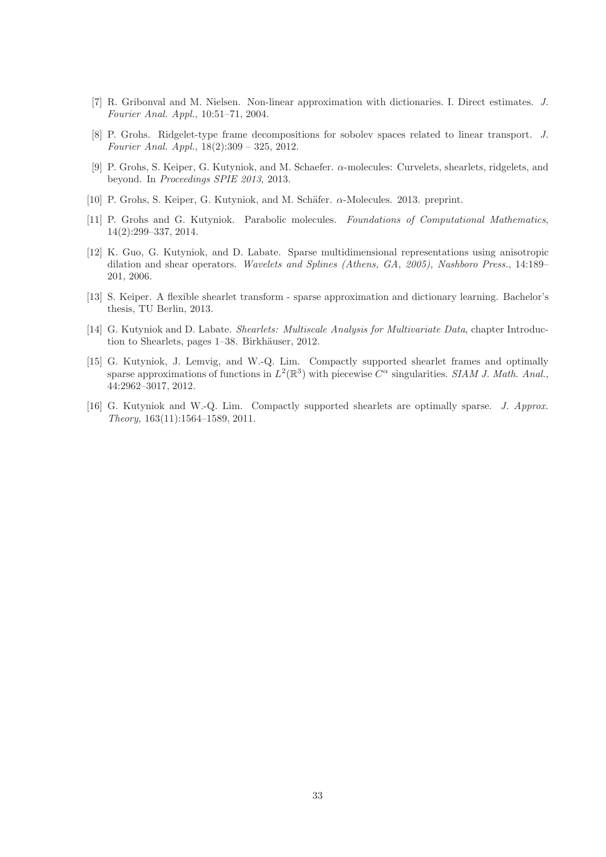- <span id="page-32-9"></span><span id="page-32-6"></span>[7] R. Gribonval and M. Nielsen. Non-linear approximation with dictionaries. I. Direct estimates. J. Fourier Anal. Appl., 10:51–71, 2004.
- <span id="page-32-4"></span>[8] P. Grohs. Ridgelet-type frame decompositions for sobolev spaces related to linear transport. J. Fourier Anal. Appl., 18(2):309 – 325, 2012.
- [9] P. Grohs, S. Keiper, G. Kutyniok, and M. Schaefer. α-molecules: Curvelets, shearlets, ridgelets, and beyond. In Proceedings SPIE 2013, 2013.
- <span id="page-32-5"></span><span id="page-32-2"></span>[10] P. Grohs, S. Keiper, G. Kutyniok, and M. Schäfer.  $\alpha$ -Molecules. 2013. preprint.
- [11] P. Grohs and G. Kutyniok. Parabolic molecules. Foundations of Computational Mathematics, 14(2):299–337, 2014.
- <span id="page-32-0"></span>[12] K. Guo, G. Kutyniok, and D. Labate. Sparse multidimensional representations using anisotropic dilation and shear operators. Wavelets and Splines (Athens, GA, 2005), Nashboro Press., 14:189– 201, 2006.
- <span id="page-32-8"></span>[13] S. Keiper. A flexible shearlet transform - sparse approximation and dictionary learning. Bachelor's thesis, TU Berlin, 2013.
- <span id="page-32-1"></span>[14] G. Kutyniok and D. Labate. Shearlets: Multiscale Analysis for Multivariate Data, chapter Introduction to Shearlets, pages 1–38. Birkhäuser, 2012.
- <span id="page-32-3"></span>[15] G. Kutyniok, J. Lemvig, and W.-Q. Lim. Compactly supported shearlet frames and optimally sparse approximations of functions in  $L^2(\mathbb{R}^3)$  with piecewise  $C^{\alpha}$  singularities. SIAM J. Math. Anal., 44:2962–3017, 2012.
- <span id="page-32-7"></span>[16] G. Kutyniok and W.-Q. Lim. Compactly supported shearlets are optimally sparse. J. Approx. Theory, 163(11):1564–1589, 2011.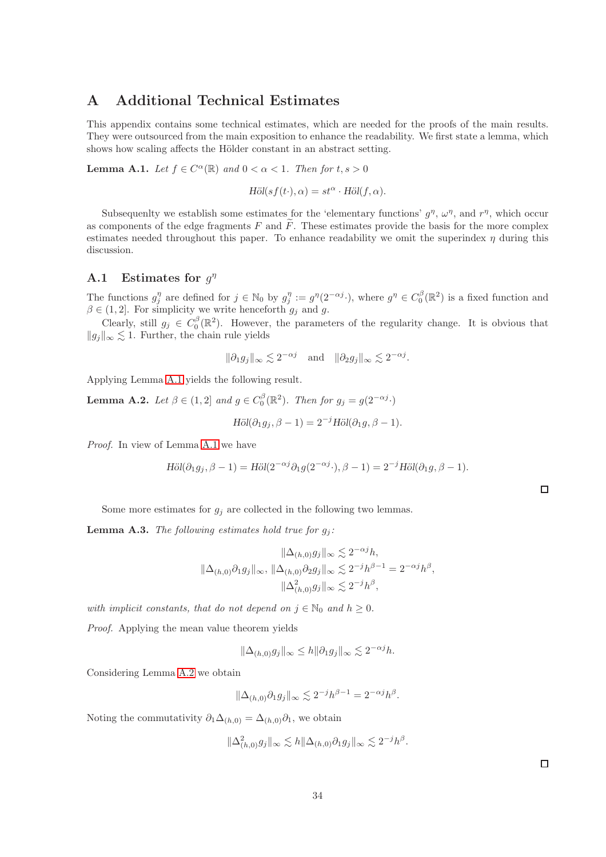# A Additional Technical Estimates

This appendix contains some technical estimates, which are needed for the proofs of the main results. They were outsourced from the main exposition to enhance the readability. We first state a lemma, which shows how scaling affects the Hölder constant in an abstract setting.

<span id="page-33-1"></span>**Lemma A.1.** Let  $f \in C^{\alpha}(\mathbb{R})$  and  $0 < \alpha < 1$ . Then for  $t, s > 0$ 

$$
\text{H\"ol}(sf(t\cdot),\alpha)=st^{\alpha}\cdot \text{H\"ol}(f,\alpha).
$$

Subsequently we establish some estimates for the 'elementary functions'  $g^{\eta}$ ,  $\omega^{\eta}$ , and  $r^{\eta}$ , which occur as components of the edge fragments  $F$  and  $F$ . These estimates provide the basis for the more complex estimates needed throughout this paper. To enhance readability we omit the superindex  $\eta$  during this discussion.

## **A.1** Estimates for  $g^{\eta}$

The functions  $g_j^{\eta}$  are defined for  $j \in \mathbb{N}_0$  by  $g_j^{\eta} := g^{\eta}(2^{-\alpha j})$ , where  $g^{\eta} \in C_0^{\beta}(\mathbb{R}^2)$  is a fixed function and  $\beta \in (1, 2]$ . For simplicity we write henceforth  $g_j$  and g.

Clearly, still  $g_j \in C_0^{\beta}(\mathbb{R}^2)$ . However, the parameters of the regularity change. It is obvious that  $||g_j||_{\infty}$   $\lesssim$  1. Further, the chain rule yields

$$
\|\partial_1 g_j\|_{\infty} \lesssim 2^{-\alpha j}
$$
 and  $\|\partial_2 g_j\|_{\infty} \lesssim 2^{-\alpha j}$ .

Applying Lemma [A.1](#page-33-1) yields the following result.

<span id="page-33-2"></span>**Lemma A.2.** Let  $\beta \in (1,2]$  and  $g \in C_0^{\beta}(\mathbb{R}^2)$ . Then for  $g_j = g(2^{-\alpha j})$ .

$$
\text{H\"ol}(\partial_1 g_j, \beta - 1) = 2^{-j} \text{H\"ol}(\partial_1 g, \beta - 1).
$$

Proof. In view of Lemma [A.1](#page-33-1) we have

$$
H\ddot{o}l(\partial_1 g_j, \beta - 1) = H\ddot{o}l(2^{-\alpha j}\partial_1 g(2^{-\alpha j}\cdot), \beta - 1) = 2^{-j}H\ddot{o}l(\partial_1 g, \beta - 1).
$$

| Some more estimates for $g_i$ are collected in the following two lemmas. |  |  |  |  |  |  |  |  |  |
|--------------------------------------------------------------------------|--|--|--|--|--|--|--|--|--|
|--------------------------------------------------------------------------|--|--|--|--|--|--|--|--|--|

<span id="page-33-0"></span>**Lemma A.3.** The following estimates hold true for  $g_i$ :

$$
\|\Delta_{(h,0)}g_j\|_{\infty} \lesssim 2^{-\alpha j}h,
$$
  

$$
\|\Delta_{(h,0)}\partial_1 g_j\|_{\infty}, \|\Delta_{(h,0)}\partial_2 g_j\|_{\infty} \lesssim 2^{-j}h^{\beta-1} = 2^{-\alpha j}h^{\beta},
$$
  

$$
\|\Delta_{(h,0)}^2 g_j\|_{\infty} \lesssim 2^{-j}h^{\beta},
$$

with implicit constants, that do not depend on  $j \in \mathbb{N}_0$  and  $h \geq 0$ .

Proof. Applying the mean value theorem yields

$$
\|\Delta_{(h,0)}g_j\|_{\infty} \le h \|\partial_1 g_j\|_{\infty} \lesssim 2^{-\alpha j}h.
$$

Considering Lemma [A.2](#page-33-2) we obtain

$$
\|\Delta_{(h,0)}\partial_1 g_j\|_{\infty} \lesssim 2^{-j}h^{\beta-1} = 2^{-\alpha j}h^{\beta}.
$$

Noting the commutativity  $\partial_1 \Delta_{(h,0)} = \Delta_{(h,0)} \partial_1$ , we obtain

$$
\|\Delta^2_{(h,0)}g_j\|_{\infty} \lesssim h \|\Delta_{(h,0)}\partial_1 g_j\|_{\infty} \lesssim 2^{-j}h^{\beta}.
$$

 $\Box$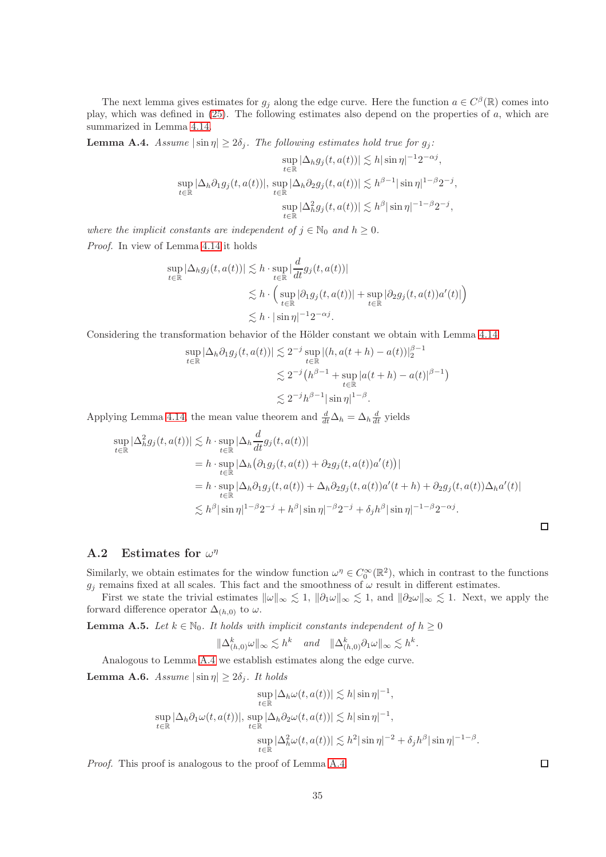The next lemma gives estimates for  $g_j$  along the edge curve. Here the function  $a \in C^{\beta}(\mathbb{R})$  comes into play, which was defined in [\(25\)](#page-18-2). The following estimates also depend on the properties of a, which are summarized in Lemma [4.14.](#page-19-0)

<span id="page-34-0"></span>**Lemma A.4.** Assume  $|\sin \eta| \ge 2\delta_j$ . The following estimates hold true for  $g_j$ :

$$
\sup_{t \in \mathbb{R}} |\Delta_h g_j(t, a(t))| \lesssim h |\sin \eta|^{-1} 2^{-\alpha j},
$$
  
\n
$$
\sup_{t \in \mathbb{R}} |\Delta_h \partial_1 g_j(t, a(t))|, \sup_{t \in \mathbb{R}} |\Delta_h \partial_2 g_j(t, a(t))| \lesssim h^{\beta - 1} |\sin \eta|^{1 - \beta} 2^{-j},
$$
  
\n
$$
\sup_{t \in \mathbb{R}} |\Delta_h^2 g_j(t, a(t))| \lesssim h^{\beta} |\sin \eta|^{-1 - \beta} 2^{-j},
$$

where the implicit constants are independent of  $j \in \mathbb{N}_0$  and  $h \geq 0$ . Proof. In view of Lemma [4.14](#page-19-0) it holds

$$
\sup_{t \in \mathbb{R}} |\Delta_h g_j(t, a(t))| \lesssim h \cdot \sup_{t \in \mathbb{R}} \left| \frac{d}{dt} g_j(t, a(t)) \right|
$$
  

$$
\lesssim h \cdot \left( \sup_{t \in \mathbb{R}} |\partial_1 g_j(t, a(t))| + \sup_{t \in \mathbb{R}} |\partial_2 g_j(t, a(t))a'(t)| \right)
$$
  

$$
\lesssim h \cdot |\sin \eta|^{-1} 2^{-\alpha j}.
$$

Considering the transformation behavior of the Hölder constant we obtain with Lemma [4.14](#page-19-0)

$$
\sup_{t \in \mathbb{R}} |\Delta_h \partial_1 g_j(t, a(t))| \lesssim 2^{-j} \sup_{t \in \mathbb{R}} |(h, a(t+h) - a(t))|_2^{\beta - 1}
$$
  

$$
\lesssim 2^{-j} (h^{\beta - 1} + \sup_{t \in \mathbb{R}} |a(t+h) - a(t)|^{\beta - 1})
$$
  

$$
\lesssim 2^{-j} h^{\beta - 1} |\sin \eta|^{1 - \beta}.
$$

Applying Lemma [4.14,](#page-19-0) the mean value theorem and  $\frac{d}{dt}\Delta_h = \Delta_h \frac{d}{dt}$  yields

$$
\sup_{t \in \mathbb{R}} |\Delta_h^2 g_j(t, a(t))| \lesssim h \cdot \sup_{t \in \mathbb{R}} |\Delta_h \frac{d}{dt} g_j(t, a(t))|
$$
  
=  $h \cdot \sup_{t \in \mathbb{R}} |\Delta_h (\partial_1 g_j(t, a(t)) + \partial_2 g_j(t, a(t))a'(t))|$   
=  $h \cdot \sup_{t \in \mathbb{R}} |\Delta_h \partial_1 g_j(t, a(t)) + \Delta_h \partial_2 g_j(t, a(t))a'(t + h) + \partial_2 g_j(t, a(t))\Delta_h a'(t)|$   
 $\lesssim h^{\beta} |\sin \eta|^{1-\beta} 2^{-j} + h^{\beta} |\sin \eta|^{-\beta} 2^{-j} + \delta_j h^{\beta} |\sin \eta|^{-1-\beta} 2^{-\alpha j}.$ 

## A.2 Estimates for  $\omega^{\eta}$

Similarly, we obtain estimates for the window function  $\omega^{\eta} \in C_0^{\infty}(\mathbb{R}^2)$ , which in contrast to the functions  $g_i$  remains fixed at all scales. This fact and the smoothness of  $\omega$  result in different estimates.

First we state the trivial estimates  $\|\omega\|_{\infty} \lesssim 1$ ,  $\|\partial_1\omega\|_{\infty} \lesssim 1$ , and  $\|\partial_2\omega\|_{\infty} \lesssim 1$ . Next, we apply the forward difference operator  $\Delta_{(h,0)}$  to  $\omega$ .

<span id="page-34-2"></span>**Lemma A.5.** Let  $k \in \mathbb{N}_0$ . It holds with implicit constants independent of  $h \geq 0$ 

$$
\|\Delta_{(h,0)}^k\omega\|_{\infty} \lesssim h^k \quad \text{and} \quad \|\Delta_{(h,0)}^k\partial_1\omega\|_{\infty} \lesssim h^k.
$$

Analogous to Lemma [A.4](#page-34-0) we establish estimates along the edge curve.

<span id="page-34-1"></span>**Lemma A.6.** Assume  $|\sin \eta| \ge 2\delta_j$ . It holds

$$
\sup_{t \in \mathbb{R}} |\Delta_h \omega(t, a(t))| \lesssim h |\sin \eta|^{-1},
$$
  
\n
$$
\sup_{t \in \mathbb{R}} |\Delta_h \partial_1 \omega(t, a(t))|, \sup_{t \in \mathbb{R}} |\Delta_h \partial_2 \omega(t, a(t))| \lesssim h |\sin \eta|^{-1},
$$
  
\n
$$
\sup_{t \in \mathbb{R}} |\Delta_h^2 \omega(t, a(t))| \lesssim h^2 |\sin \eta|^{-2} + \delta_j h^{\beta} |\sin \eta|^{-1-\beta}.
$$

Proof. This proof is analogous to the proof of Lemma [A.4.](#page-34-0)

 $\Box$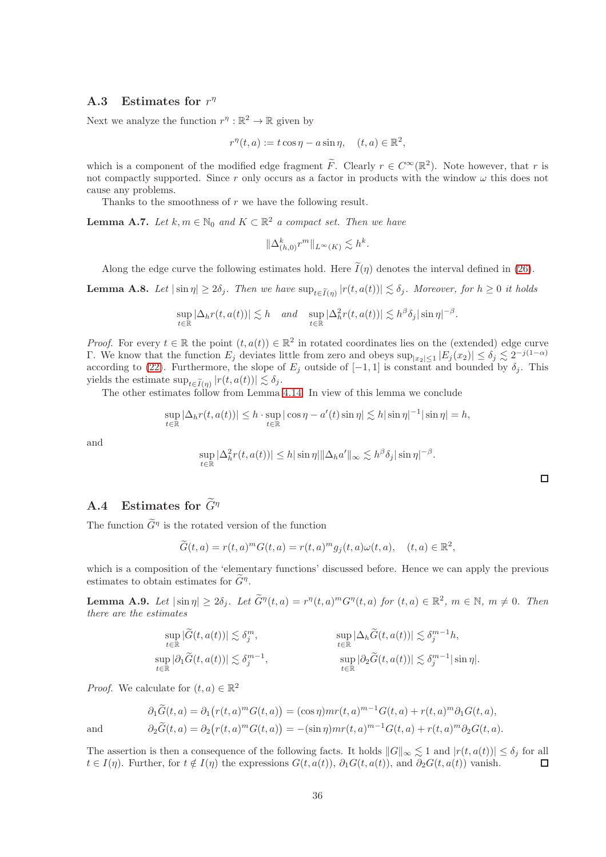## A.3 Estimates for  $r^{\eta}$

Next we analyze the function  $r^{\eta}: \mathbb{R}^2 \to \mathbb{R}$  given by

$$
r^{\eta}(t, a) := t \cos \eta - a \sin \eta, \quad (t, a) \in \mathbb{R}^2,
$$

which is a component of the modified edge fragment  $\tilde{F}$ . Clearly  $r \in C^{\infty}(\mathbb{R}^2)$ . Note however, that r is not compactly supported. Since r only occurs as a factor in products with the window  $\omega$  this does not cause any problems.

Thanks to the smoothness of r we have the following result.

<span id="page-35-0"></span>**Lemma A.7.** Let  $k, m \in \mathbb{N}_0$  and  $K \subset \mathbb{R}^2$  a compact set. Then we have

$$
\|\Delta_{(h,0)}^k r^m\|_{L^\infty(K)} \lesssim h^k.
$$

Along the edge curve the following estimates hold. Here  $\tilde{I}(\eta)$  denotes the interval defined in [\(26\)](#page-19-2).

<span id="page-35-1"></span>**Lemma A.8.** Let  $|\sin \eta| \ge 2\delta_j$ . Then we have  $\sup_{t \in \widetilde{I}(\eta)} |r(t, a(t))| \lesssim \delta_j$ . Moreover, for  $h \ge 0$  it holds

$$
\sup_{t\in\mathbb{R}}|\Delta_h r(t,a(t))|\lesssim h \quad \text{and} \quad \sup_{t\in\mathbb{R}}|\Delta_h^2 r(t,a(t))|\lesssim h^{\beta}\delta_j|\sin\eta|^{-\beta}.
$$

*Proof.* For every  $t \in \mathbb{R}$  the point  $(t, a(t)) \in \mathbb{R}^2$  in rotated coordinates lies on the (extended) edge curve Γ. We know that the function  $E_j$  deviates little from zero and obeys  $\sup_{|x_2|\leq 1}|E_j(x_2)| \leq \delta_j \lesssim 2^{-j(1-\alpha)}$ according to [\(22\)](#page-18-1). Furthermore, the slope of  $E_j$  outside of  $[-1, 1]$  is constant and bounded by  $\delta_j$ . This yields the estimate  $\sup_{t \in \widetilde{I}(\eta)} |r(t, a(t))| \lesssim \delta_j$ .

The other estimates follow from Lemma [4.14.](#page-19-0) In view of this lemma we conclude

$$
\sup_{t\in\mathbb{R}}|\Delta_h r(t,a(t))| \leq h\cdot \sup_{t\in\mathbb{R}}|\cos\eta - a'(t)\sin\eta| \lesssim h|\sin\eta|^{-1}|\sin\eta| = h,
$$

and

$$
\sup_{t\in\mathbb{R}}|\Delta_h^2 r(t,a(t))|\leq h|\sin\eta|\|\Delta_h a'\|_{\infty}\lesssim h^{\beta}\delta_j|\sin\eta|^{-\beta}.
$$

 $\Box$ 

# **A.4** Estimates for  $\widetilde{G}^{\eta}$

The function  $\tilde{G}^{\eta}$  is the rotated version of the function

$$
\widetilde{G}(t,a) = r(t,a)^m G(t,a) = r(t,a)^m g_j(t,a) \omega(t,a), \quad (t,a) \in \mathbb{R}^2,
$$

which is a composition of the 'elementary functions' discussed before. Hence we can apply the previous estimates to obtain estimates for  $\tilde{G}^{\eta}$ .

<span id="page-35-2"></span>**Lemma A.9.** Let  $|\sin \eta| \ge 2\delta_j$ . Let  $\widetilde{G}^{\eta}(t, a) = r^{\eta}(t, a)^m G^{\eta}(t, a)$  for  $(t, a) \in \mathbb{R}^2$ ,  $m \in \mathbb{N}$ ,  $m \ne 0$ . Then there are the estimates

$$
\sup_{t \in \mathbb{R}} |\widetilde{G}(t, a(t))| \lesssim \delta_j^m, \qquad \sup_{t \in \mathbb{R}} |\Delta_h \widetilde{G}(t, a(t))| \lesssim \delta_j^{m-1} h,
$$
  
\n
$$
\sup_{t \in \mathbb{R}} |\partial_1 \widetilde{G}(t, a(t))| \lesssim \delta_j^{m-1}, \qquad \sup_{t \in \mathbb{R}} |\partial_2 \widetilde{G}(t, a(t))| \lesssim \delta_j^{m-1} |\sin \eta|.
$$

*Proof.* We calculate for  $(t, a) \in \mathbb{R}^2$ 

$$
\partial_1 \widetilde{G}(t, a) = \partial_1 \left( r(t, a)^m G(t, a) \right) = (\cos \eta) mr(t, a)^{m-1} G(t, a) + r(t, a)^m \partial_1 G(t, a),
$$
  
and  

$$
\partial_2 \widetilde{G}(t, a) = \partial_2 \left( r(t, a)^m G(t, a) \right) = -(\sin \eta) mr(t, a)^{m-1} G(t, a) + r(t, a)^m \partial_2 G(t, a).
$$

The assertion is then a consequence of the following facts. It holds  $||G||_{\infty} \lesssim 1$  and  $|r(t, a(t))| \leq \delta_j$  for all  $t \in I(\eta)$ . Further, for  $t \notin I(\eta)$  the expressions  $G(t, a(t))$ ,  $\partial_1 G(t, a(t))$ , and  $\partial_2 G(t, a(t))$  vanish.  $t \in I(\eta)$ . Further, for  $t \notin I(\eta)$  the expressions  $G(t, a(t))$ ,  $\partial_1 G(t, a(t))$ , and  $\partial_2 G(t, a(t))$  vanish.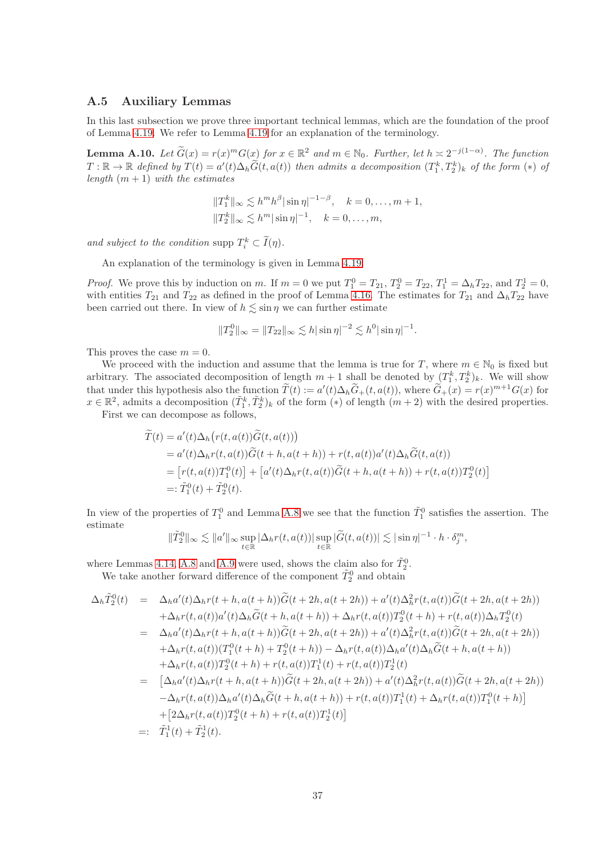## A.5 Auxiliary Lemmas

In this last subsection we prove three important technical lemmas, which are the foundation of the proof of Lemma [4.19.](#page-24-2) We refer to Lemma [4.19](#page-24-2) for an explanation of the terminology.

<span id="page-36-0"></span>**Lemma A.10.** Let  $\widetilde{G}(x) = r(x)^m G(x)$  for  $x \in \mathbb{R}^2$  and  $m \in \mathbb{N}_0$ . Further, let  $h \approx 2^{-j(1-\alpha)}$ . The function  $T: \mathbb{R} \to \mathbb{R}$  defined by  $T(t) = a'(t)\Delta_h \widetilde{G}(t, a(t))$  then admits a decomposition  $(T_1^k, T_2^k)_k$  of the form  $(*)$  of length  $(m + 1)$  with the estimates

$$
||T_1^k||_{\infty} \lesssim h^m h^{\beta} |\sin \eta|^{-1-\beta}, \quad k = 0, ..., m+1,
$$
  

$$
||T_2^k||_{\infty} \lesssim h^m |\sin \eta|^{-1}, \quad k = 0, ..., m,
$$

and subject to the condition supp  $T_i^k \subset \overline{I}(\eta)$ .

An explanation of the terminology is given in Lemma [4.19.](#page-24-2)

*Proof.* We prove this by induction on m. If  $m = 0$  we put  $T_1^0 = T_{21}$ ,  $T_2^0 = T_{22}$ ,  $T_1^1 = \Delta_h T_{22}$ , and  $T_2^1 = 0$ , with entities  $T_{21}$  and  $T_{22}$  as defined in the proof of Lemma [4.16.](#page-20-1) The estimates for  $T_{21}$  and  $\Delta_h T_{22}$  have been carried out there. In view of  $h \leq \sin \eta$  we can further estimate

$$
||T_2^0||_{\infty} = ||T_{22}||_{\infty} \lesssim h|\sin \eta|^{-2} \lesssim h^0|\sin \eta|^{-1}.
$$

This proves the case  $m = 0$ .

We proceed with the induction and assume that the lemma is true for T, where  $m \in \mathbb{N}_0$  is fixed but arbitrary. The associated decomposition of length  $m+1$  shall be denoted by  $(T_1^k, T_2^k)_k$ . We will show that under this hypothesis also the function  $T(t) := a'(t)\Delta_h G_+(t, a(t))$ , where  $G_+(x) = r(x)^{m+1}G(x)$  for  $x \in \mathbb{R}^2$ , admits a decomposition  $(\tilde{T}_1^k, \tilde{T}_2^k)_k$  of the form  $(*)$  of length  $(m+2)$  with the desired properties.

First we can decompose as follows,

$$
\widetilde{T}(t) = a'(t)\Delta_h\big(r(t,a(t))\widetilde{G}(t,a(t))\big)
$$
\n
$$
= a'(t)\Delta_h r(t,a(t))\widetilde{G}(t+h,a(t+h)) + r(t,a(t))a'(t)\Delta_h\widetilde{G}(t,a(t))
$$
\n
$$
= [r(t,a(t))T_1^0(t)] + [a'(t)\Delta_h r(t,a(t))\widetilde{G}(t+h,a(t+h)) + r(t,a(t))T_2^0(t)]
$$
\n
$$
=:\widetilde{T}_1^0(t) + \widetilde{T}_2^0(t).
$$

In view of the properties of  $T_1^0$  and Lemma [A.8](#page-35-1) we see that the function  $\tilde{T}_1^0$  satisfies the assertion. The estimate

$$
\|\tilde{T}_2^0\|_{\infty} \lesssim \|a'\|_{\infty} \sup_{t \in \mathbb{R}} |\Delta_h r(t, a(t))| \sup_{t \in \mathbb{R}} |\tilde{G}(t, a(t))| \lesssim |\sin \eta|^{-1} \cdot h \cdot \delta_j^m,
$$

where Lemmas [4.14,](#page-19-0) [A.8](#page-35-1) and [A.9](#page-35-2) were used, shows the claim also for  $\tilde{T}_2^0$ .

We take another forward difference of the component  $\tilde{T}_2^0$  and obtain

$$
\Delta_{h}\tilde{T}_{2}^{0}(t) = \Delta_{h}a'(t)\Delta_{h}r(t+h,a(t+h))\tilde{G}(t+2h,a(t+2h)) + a'(t)\Delta_{h}^{2}r(t,a(t))\tilde{G}(t+2h,a(t+2h)) \n+ \Delta_{h}r(t,a(t))a'(t)\Delta_{h}\tilde{G}(t+h,a(t+h)) + \Delta_{h}r(t,a(t))T_{2}^{0}(t+h) + r(t,a(t))\Delta_{h}T_{2}^{0}(t) \n= \Delta_{h}a'(t)\Delta_{h}r(t+h,a(t+h))\tilde{G}(t+2h,a(t+2h)) + a'(t)\Delta_{h}^{2}r(t,a(t))\tilde{G}(t+2h,a(t+2h)) \n+ \Delta_{h}r(t,a(t))(T_{1}^{0}(t+h)+T_{2}^{0}(t+h)) - \Delta_{h}r(t,a(t))\Delta_{h}a'(t)\Delta_{h}\tilde{G}(t+h,a(t+h)) \n+ \Delta_{h}r(t,a(t))T_{2}^{0}(t+h) + r(t,a(t))T_{1}^{1}(t) + r(t,a(t))T_{2}^{1}(t) \n= [\Delta_{h}a'(t)\Delta_{h}r(t+h,a(t+h))\tilde{G}(t+2h,a(t+2h)) + a'(t)\Delta_{h}^{2}r(t,a(t))\tilde{G}(t+2h,a(t+2h)) \n- \Delta_{h}r(t,a(t))\Delta_{h}a'(t)\Delta_{h}\tilde{G}(t+h,a(t+h)) + r(t,a(t))T_{1}^{1}(t) + \Delta_{h}r(t,a(t))T_{1}^{0}(t+h)] \n+ [\Delta_{h}r(t,a(t))T_{2}^{0}(t+h) + r(t,a(t))T_{2}^{1}(t)] \n=:\tilde{T}_{1}^{1}(t) + \tilde{T}_{2}^{1}(t).
$$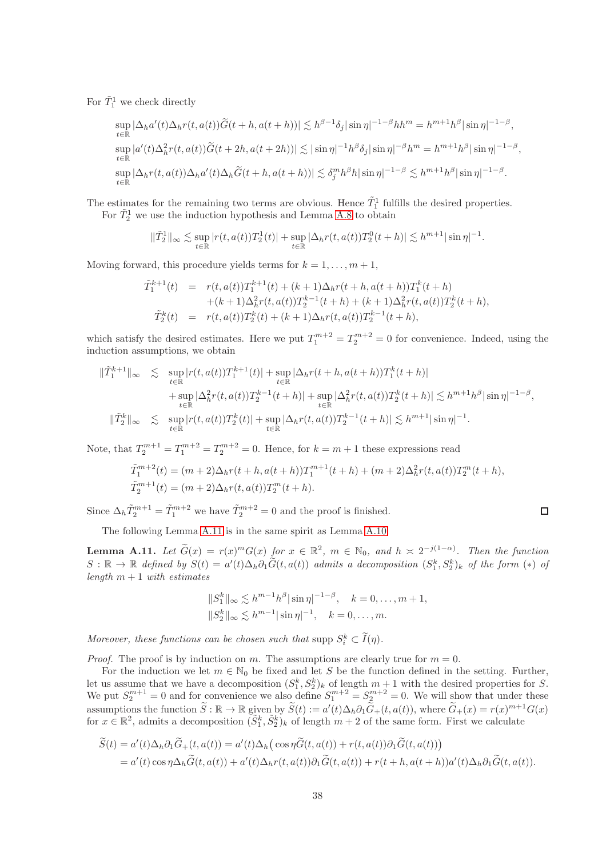For  $\tilde{T}_1^1$  we check directly

$$
\sup_{t \in \mathbb{R}} |\Delta_h a'(t)\Delta_h r(t, a(t))\widetilde{G}(t+h, a(t+h))| \lesssim h^{\beta - 1}\delta_j |\sin \eta|^{-1 - \beta} hh^m = h^{m+1}h^{\beta} |\sin \eta|^{-1 - \beta},
$$
  
\n
$$
\sup_{t \in \mathbb{R}} |a'(t)\Delta_h^2 r(t, a(t))\widetilde{G}(t+2h, a(t+2h))| \lesssim |\sin \eta|^{-1}h^{\beta}\delta_j |\sin \eta|^{-\beta}h^m = h^{m+1}h^{\beta} |\sin \eta|^{-1 - \beta},
$$
  
\n
$$
\sup_{t \in \mathbb{R}} |\Delta_h r(t, a(t))\Delta_h a'(t)\Delta_h \widetilde{G}(t+h, a(t+h))| \lesssim \delta_j^m h^{\beta} h |\sin \eta|^{-1 - \beta} \lesssim h^{m+1}h^{\beta} |\sin \eta|^{-1 - \beta}.
$$

The estimates for the remaining two terms are obvious. Hence  $\tilde{T}_1^1$  fulfills the desired properties.

For  $\tilde{T}_2^1$  we use the induction hypothesis and Lemma [A.8](#page-35-1) to obtain

$$
\|\tilde{T}_2^1\|_{\infty} \lesssim \sup_{t \in \mathbb{R}} |r(t, a(t))T_2^1(t)| + \sup_{t \in \mathbb{R}} |\Delta_h r(t, a(t))T_2^0(t+h)| \lesssim h^{m+1} |\sin \eta|^{-1}.
$$

Moving forward, this procedure yields terms for  $k = 1, \ldots, m + 1$ ,

$$
\tilde{T}_1^{k+1}(t) = r(t, a(t))T_1^{k+1}(t) + (k+1)\Delta_h r(t+h, a(t+h))T_1^k(t+h) \n+ (k+1)\Delta_h^2 r(t, a(t))T_2^{k-1}(t+h) + (k+1)\Delta_h^2 r(t, a(t))T_2^k(t+h), \n\tilde{T}_2^k(t) = r(t, a(t))T_2^k(t) + (k+1)\Delta_h r(t, a(t))T_2^{k-1}(t+h),
$$

which satisfy the desired estimates. Here we put  $T_1^{m+2} = T_2^{m+2} = 0$  for convenience. Indeed, using the induction assumptions, we obtain

$$
\begin{split} \|\tilde{T}_{1}^{k+1}\|_{\infty} &\lesssim \sup_{t\in\mathbb{R}}|r(t,a(t))T_{1}^{k+1}(t)|+\sup_{t\in\mathbb{R}}|\Delta_{h}r(t+h,a(t+h))T_{1}^{k}(t+h)|\\ &+\sup_{t\in\mathbb{R}}|\Delta_{h}^{2}r(t,a(t))T_{2}^{k-1}(t+h)|+\sup_{t\in\mathbb{R}}|\Delta_{h}^{2}r(t,a(t))T_{2}^{k}(t+h)|\lesssim h^{m+1}h^{\beta}|\sin\eta|^{-1-\beta},\\ \|\tilde{T}_{2}^{k}\|_{\infty} &\lesssim \sup_{t\in\mathbb{R}}|r(t,a(t))T_{2}^{k}(t)|+\sup_{t\in\mathbb{R}}|\Delta_{h}r(t,a(t))T_{2}^{k-1}(t+h)|\lesssim h^{m+1}|\sin\eta|^{-1}.\end{split}
$$

Note, that  $T_2^{m+1} = T_1^{m+2} = T_2^{m+2} = 0$ . Hence, for  $k = m + 1$  these expressions read

$$
\tilde{T}_1^{m+2}(t) = (m+2)\Delta_h r(t+h, a(t+h))T_1^{m+1}(t+h) + (m+2)\Delta_h^2 r(t, a(t))T_2^m(t+h),
$$
  
\n
$$
\tilde{T}_2^{m+1}(t) = (m+2)\Delta_h r(t, a(t))T_2^m(t+h).
$$

Since  $\Delta_h \tilde{T}_2^{m+1} = \tilde{T}_1^{m+2}$  we have  $\tilde{T}_2^{m+2} = 0$  and the proof is finished.

The following Lemma [A.11](#page-37-0) is in the same spirit as Lemma [A.10.](#page-36-0)

<span id="page-37-0"></span>**Lemma A.11.** Let  $\widetilde{G}(x) = r(x)^m G(x)$  for  $x \in \mathbb{R}^2$ ,  $m \in \mathbb{N}_0$ , and  $h \approx 2^{-j(1-\alpha)}$ . Then the function  $S: \mathbb{R} \to \mathbb{R}$  defined by  $S(t) = a'(t) \Delta_h \partial_1 \widetilde{G}(t, a(t))$  admits a decomposition  $(S_1^k, S_2^k)_k$  of the form  $(*)$  of length  $m + 1$  with estimates

$$
||S_1^k||_{\infty} \lesssim h^{m-1}h^{\beta}|\sin \eta|^{-1-\beta}, \quad k = 0, \dots, m+1,
$$
  

$$
||S_2^k||_{\infty} \lesssim h^{m-1}|\sin \eta|^{-1}, \quad k = 0, \dots, m.
$$

Moreover, these functions can be chosen such that supp  $S_i^k \subset I(\eta)$ .

*Proof.* The proof is by induction on m. The assumptions are clearly true for  $m = 0$ .

For the induction we let  $m \in \mathbb{N}_0$  be fixed and let S be the function defined in the setting. Further, let us assume that we have a decomposition  $(S_1^k, S_2^k)_k$  of length  $m + 1$  with the desired properties for S. We put  $S_2^{m+1} = 0$  and for convenience we also define  $S_1^{m+2} = S_2^{m+2} = 0$ . We will show that under these assumptions the function  $\widetilde{S} : \mathbb{R} \to \mathbb{R}$  given by  $\widetilde{S}(t) := a'(t)\Delta_h\partial_1\widetilde{G}_+(t,a(t))$ , where  $\widetilde{G}_+(x) = r(x)^{m+1}G(x)$ for  $x \in \mathbb{R}^2$ , admits a decomposition  $(\tilde{S}_1^k, \tilde{S}_2^k)_k$  of length  $m+2$  of the same form. First we calculate

$$
\widetilde{S}(t) = a'(t)\Delta_h \partial_1 \widetilde{G}_+(t, a(t)) = a'(t)\Delta_h (\cos \eta \widetilde{G}(t, a(t)) + r(t, a(t))\partial_1 \widetilde{G}(t, a(t)))
$$
  
= a'(t) cos  $\eta \Delta_h \widetilde{G}(t, a(t)) + a'(t)\Delta_h r(t, a(t))\partial_1 \widetilde{G}(t, a(t)) + r(t + h, a(t + h))a'(t)\Delta_h \partial_1 \widetilde{G}(t, a(t)).$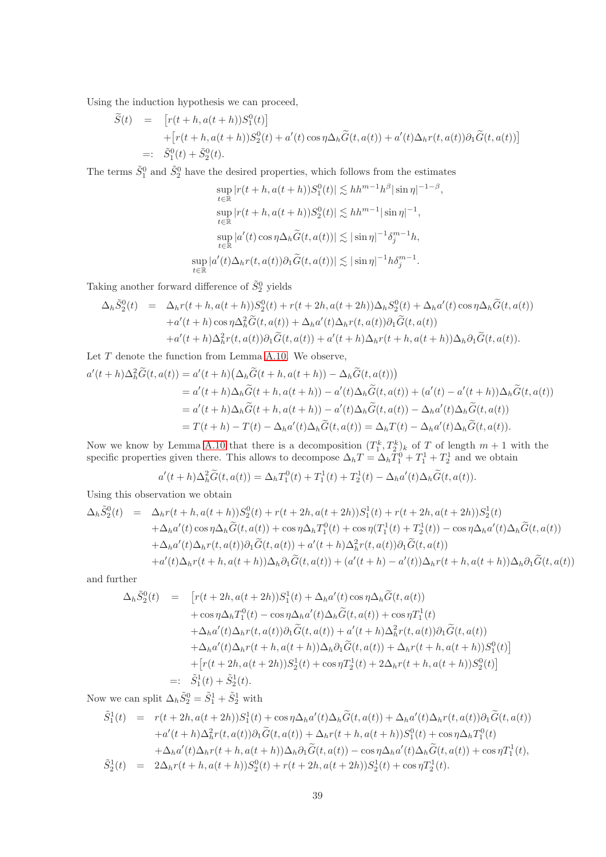Using the induction hypothesis we can proceed,

$$
\widetilde{S}(t) = [r(t+h, a(t+h))S_1^0(t)]
$$
  
+ 
$$
[r(t+h, a(t+h))S_2^0(t) + a'(t)\cos\eta\Delta_h\widetilde{G}(t, a(t)) + a'(t)\Delta_h r(t, a(t))\partial_1\widetilde{G}(t, a(t))]
$$
  
=: 
$$
\widetilde{S}_1^0(t) + \widetilde{S}_2^0(t).
$$

The terms  $\tilde{S}_1^0$  and  $\tilde{S}_2^0$  have the desired properties, which follows from the estimates

$$
\sup_{t \in \mathbb{R}} |r(t+h, a(t+h))S_1^0(t)| \lesssim h h^{m-1} h^{\beta} |\sin \eta|^{-1-\beta},
$$
  
\n
$$
\sup_{t \in \mathbb{R}} |r(t+h, a(t+h))S_2^0(t)| \lesssim h h^{m-1} |\sin \eta|^{-1},
$$
  
\n
$$
\sup_{t \in \mathbb{R}} |a'(t) \cos \eta \Delta_h \widetilde{G}(t, a(t))| \lesssim |\sin \eta|^{-1} \delta_j^{m-1} h,
$$
  
\n
$$
\sup_{t \in \mathbb{R}} |a'(t) \Delta_h r(t, a(t))\partial_1 \widetilde{G}(t, a(t))| \lesssim |\sin \eta|^{-1} h \delta_j^{m-1}.
$$

Taking another forward difference of  $\tilde{S}_2^0$  yields

$$
\Delta_h \tilde{S}_2^0(t) = \Delta_h r(t+h, a(t+h)) S_2^0(t) + r(t+2h, a(t+2h)) \Delta_h S_2^0(t) + \Delta_h a'(t) \cos \eta \Delta_h \tilde{G}(t, a(t)) \n+ a'(t+h) \cos \eta \Delta_h^2 \tilde{G}(t, a(t)) + \Delta_h a'(t) \Delta_h r(t, a(t)) \partial_1 \tilde{G}(t, a(t)) \n+ a'(t+h) \Delta_h^2 r(t, a(t)) \partial_1 \tilde{G}(t, a(t)) + a'(t+h) \Delta_h r(t+h, a(t+h)) \Delta_h \partial_1 \tilde{G}(t, a(t)).
$$

Let  ${\cal T}$  denote the function from Lemma [A.10.](#page-36-0) We observe,

$$
a'(t+h)\Delta_h^2 \widetilde{G}(t,a(t)) = a'(t+h)(\Delta_h \widetilde{G}(t+h,a(t+h)) - \Delta_h \widetilde{G}(t,a(t)))
$$
  
\n
$$
= a'(t+h)\Delta_h \widetilde{G}(t+h,a(t+h)) - a'(t)\Delta_h \widetilde{G}(t,a(t)) + (a'(t) - a'(t+h))\Delta_h \widetilde{G}(t,a(t))
$$
  
\n
$$
= a'(t+h)\Delta_h \widetilde{G}(t+h,a(t+h)) - a'(t)\Delta_h \widetilde{G}(t,a(t)) - \Delta_h a'(t)\Delta_h \widetilde{G}(t,a(t))
$$
  
\n
$$
= T(t+h) - T(t) - \Delta_h a'(t)\Delta_h \widetilde{G}(t,a(t)) = \Delta_h T(t) - \Delta_h a'(t)\Delta_h \widetilde{G}(t,a(t)).
$$

Now we know by Lemma [A.10](#page-36-0) that there is a decomposition  $(T_1^k, T_2^k)_k$  of T of length  $m + 1$  with the specific properties given there. This allows to decompose  $\Delta_h T = \Delta_h T_1^0 + T_1^1 + T_2^1$  and we obtain

$$
a'(t+h)\Delta_h^2 \tilde{G}(t, a(t)) = \Delta_h T_1^0(t) + T_1^1(t) + T_2^1(t) - \Delta_h a'(t)\Delta_h \tilde{G}(t, a(t)).
$$

Using this observation we obtain

$$
\Delta_h \tilde{S}_2^0(t) = \Delta_h r(t+h, a(t+h)) S_2^0(t) + r(t+2h, a(t+2h)) S_1^1(t) + r(t+2h, a(t+2h)) S_2^1(t)
$$
  
\n
$$
+ \Delta_h a'(t) \cos \eta \Delta_h \tilde{G}(t, a(t)) + \cos \eta \Delta_h T_1^0(t) + \cos \eta (T_1^1(t) + T_2^1(t)) - \cos \eta \Delta_h a'(t) \Delta_h \tilde{G}(t, a(t))
$$
  
\n
$$
+ \Delta_h a'(t) \Delta_h r(t, a(t)) \partial_1 \tilde{G}(t, a(t)) + a'(t+h) \Delta_h^2 r(t, a(t)) \partial_1 \tilde{G}(t, a(t))
$$
  
\n
$$
+ a'(t) \Delta_h r(t+h, a(t+h)) \Delta_h \partial_1 \tilde{G}(t, a(t)) + (a'(t+h) - a'(t)) \Delta_h r(t+h, a(t+h)) \Delta_h \partial_1 \tilde{G}(t, a(t))
$$

and further

$$
\Delta_h \tilde{S}_2^0(t) = [r(t+2h, a(t+2h))S_1^1(t) + \Delta_h a'(t) \cos \eta \Delta_h \tilde{G}(t, a(t)) \n+ \cos \eta \Delta_h T_1^0(t) - \cos \eta \Delta_h a'(t) \Delta_h \tilde{G}(t, a(t)) + \cos \eta T_1^1(t) \n+ \Delta_h a'(t) \Delta_h r(t, a(t)) \partial_1 \tilde{G}(t, a(t)) + a'(t+h) \Delta_h^2 r(t, a(t)) \partial_1 \tilde{G}(t, a(t)) \n+ \Delta_h a'(t) \Delta_h r(t+h, a(t+h)) \Delta_h \partial_1 \tilde{G}(t, a(t)) + \Delta_h r(t+h, a(t+h))S_1^0(t) \n+ [r(t+2h, a(t+2h))S_2^1(t) + \cos \eta T_2^1(t) + 2\Delta_h r(t+h, a(t+h))S_2^0(t)] \n=:\tilde{S}_1^1(t) + \tilde{S}_2^1(t).
$$

Now we can split  $\Delta_h \tilde{S}_2^0 = \tilde{S}_1^1 + \tilde{S}_2^1$  with

$$
\tilde{S}_1^1(t) = r(t+2h, a(t+2h))S_1^1(t) + \cos\eta \Delta_h a'(t)\Delta_h \tilde{G}(t, a(t)) + \Delta_h a'(t)\Delta_h r(t, a(t))\partial_1 \tilde{G}(t, a(t)) \n+ a'(t+h)\Delta_h^2 r(t, a(t))\partial_1 \tilde{G}(t, a(t)) + \Delta_h r(t+h, a(t+h))S_1^0(t) + \cos\eta \Delta_h T_1^0(t) \n+ \Delta_h a'(t)\Delta_h r(t+h, a(t+h))\Delta_h \partial_1 \tilde{G}(t, a(t)) - \cos\eta \Delta_h a'(t)\Delta_h \tilde{G}(t, a(t)) + \cos\eta T_1^1(t), \n\tilde{S}_2^1(t) = 2\Delta_h r(t+h, a(t+h))S_2^0(t) + r(t+2h, a(t+2h))S_2^1(t) + \cos\eta T_2^1(t).
$$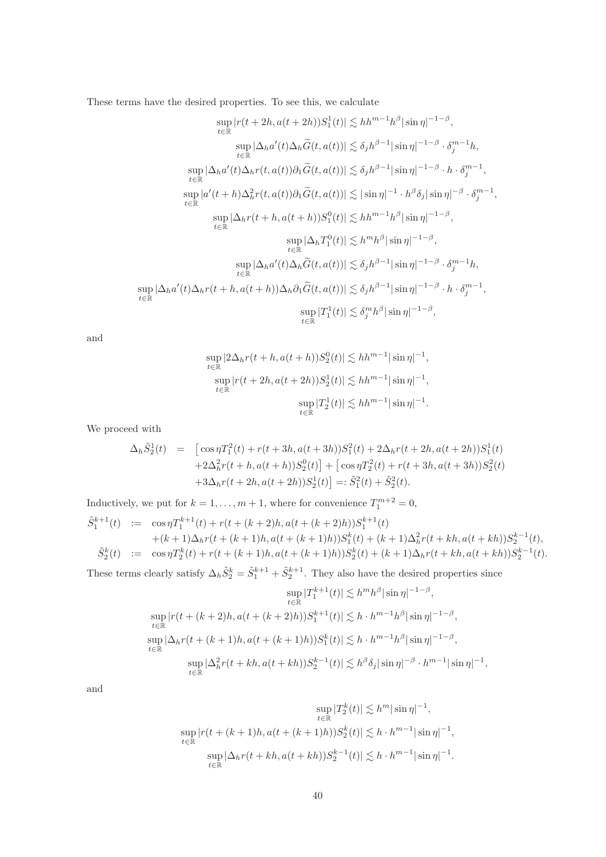These terms have the desired properties. To see this, we calculate

$$
\sup_{t \in \mathbb{R}} |r(t + 2h, a(t + 2h))S_1^1(t)| \lesssim h h^{m-1} h^{\beta} |\sin \eta|^{-1-\beta},
$$
  
\n
$$
\sup_{t \in \mathbb{R}} |\Delta_h a'(t)\Delta_h \widetilde{G}(t, a(t))| \lesssim \delta_j h^{\beta-1} |\sin \eta|^{-1-\beta} \cdot \delta_j^{m-1} h,
$$
  
\n
$$
\sup_{t \in \mathbb{R}} |\Delta_h a'(t)\Delta_h r(t, a(t))\partial_1 \widetilde{G}(t, a(t))| \lesssim \delta_j h^{\beta-1} |\sin \eta|^{-1-\beta} \cdot h \cdot \delta_j^{m-1},
$$
  
\n
$$
\sup_{t \in \mathbb{R}} |a'(t + h)\Delta_h^2 r(t, a(t))\partial_1 \widetilde{G}(t, a(t))| \lesssim |\sin \eta|^{-1} \cdot h^{\beta} \delta_j |\sin \eta|^{-\beta} \cdot \delta_j^{m-1},
$$
  
\n
$$
\sup_{t \in \mathbb{R}} |\Delta_h r(t + h, a(t + h))S_1^0(t)| \lesssim h h^{m-1} h^{\beta} |\sin \eta|^{-1-\beta},
$$
  
\n
$$
\sup_{t \in \mathbb{R}} |\Delta_h a'(t)\Delta_h \widetilde{G}(t, a(t))| \lesssim \delta_j h^{\beta-1} |\sin \eta|^{-1-\beta} \cdot \delta_j^{m-1} h,
$$
  
\n
$$
\sup_{t \in \mathbb{R}} |\Delta_h a'(t)\Delta_h r(t + h, a(t + h))\Delta_h \partial_1 \widetilde{G}(t, a(t))| \lesssim \delta_j h^{\beta-1} |\sin \eta|^{-1-\beta} \cdot h \cdot \delta_j^{m-1},
$$
  
\n
$$
\sup_{t \in \mathbb{R}} |T_1^1(t)| \lesssim \delta_j^m h^{\beta} |\sin \eta|^{-1-\beta},
$$

and

$$
\sup_{t \in \mathbb{R}} |2\Delta_h r(t+h, a(t+h))S_2^0(t)| \lesssim h h^{m-1} |\sin \eta|^{-1},
$$
  
\n
$$
\sup_{t \in \mathbb{R}} |r(t+2h, a(t+2h))S_2^1(t)| \lesssim h h^{m-1} |\sin \eta|^{-1},
$$
  
\n
$$
\sup_{t \in \mathbb{R}} |T_2^1(t)| \lesssim h h^{m-1} |\sin \eta|^{-1}.
$$

We proceed with

$$
\Delta_h \tilde{S}_2^1(t) = \left[ \cos \eta T_1^2(t) + r(t + 3h, a(t + 3h)) S_1^2(t) + 2\Delta_h r(t + 2h, a(t + 2h)) S_1^1(t) + 2\Delta_h^2 r(t + h, a(t + h)) S_2^0(t) \right] + \left[ \cos \eta T_2^2(t) + r(t + 3h, a(t + 3h)) S_2^2(t) + 3\Delta_h r(t + 2h, a(t + 2h)) S_2^1(t) \right] =: \tilde{S}_1^2(t) + \tilde{S}_2^2(t).
$$

Inductively, we put for  $k = 1, ..., m + 1$ , where for convenience  $T_1^{m+2} = 0$ ,

$$
\begin{aligned}\n\tilde{S}_1^{k+1}(t) &:= \cos \eta T_1^{k+1}(t) + r(t + (k+2)h, a(t + (k+2)h))S_1^{k+1}(t) \\
&\quad + (k+1)\Delta_h r(t + (k+1)h, a(t + (k+1)h))S_1^k(t) + (k+1)\Delta_h^2 r(t + kh, a(t + kh))S_2^{k-1}(t), \\
\tilde{S}_2^k(t) &:= \cos \eta T_2^k(t) + r(t + (k+1)h, a(t + (k+1)h))S_2^k(t) + (k+1)\Delta_h r(t + kh, a(t + kh))S_2^{k-1}(t).\n\end{aligned}
$$

These terms clearly satisfy  $\Delta_h \tilde{S}_2^k = \tilde{S}_1^{k+1} + \tilde{S}_2^{k+1}$ . They also have the desired properties since

$$
\sup_{t \in \mathbb{R}} |T_1^{k+1}(t)| \lesssim h^m h^{\beta} |\sin \eta|^{-1-\beta},
$$
  
\n
$$
\sup_{t \in \mathbb{R}} |r(t + (k+2)h, a(t + (k+2)h))S_1^{k+1}(t)| \lesssim h \cdot h^{m-1} h^{\beta} |\sin \eta|^{-1-\beta},
$$
  
\n
$$
\sup_{t \in \mathbb{R}} |\Delta_h r(t + (k+1)h, a(t + (k+1)h))S_1^k(t)| \lesssim h \cdot h^{m-1} h^{\beta} |\sin \eta|^{-1-\beta},
$$
  
\n
$$
\sup_{t \in \mathbb{R}} |\Delta_h^2 r(t + kh, a(t + kh))S_2^{k-1}(t)| \lesssim h^{\beta} \delta_j |\sin \eta|^{-\beta} \cdot h^{m-1} |\sin \eta|^{-1},
$$

and

$$
\sup_{t \in \mathbb{R}} |T_2^k(t)| \lesssim h^m |\sin \eta|^{-1},
$$
  
\n
$$
\sup_{t \in \mathbb{R}} |r(t + (k+1)h, a(t + (k+1)h))S_2^k(t)| \lesssim h \cdot h^{m-1} |\sin \eta|^{-1},
$$
  
\n
$$
\sup_{t \in \mathbb{R}} |\Delta_h r(t + kh, a(t + kh))S_2^{k-1}(t)| \lesssim h \cdot h^{m-1} |\sin \eta|^{-1}.
$$